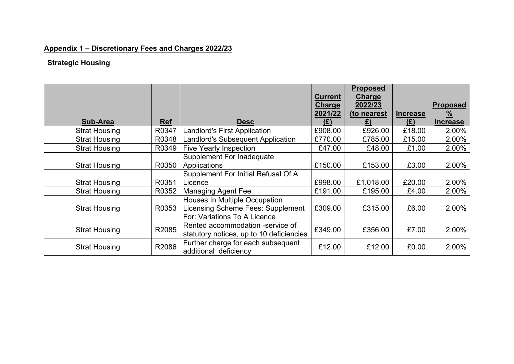### **Appendix 1 – Discretionary Fees and Charges 2022/23**

| <b>Strategic Housing</b> |            |                                                                                                    |                                                   |                                                                  |                        |                                                     |  |  |
|--------------------------|------------|----------------------------------------------------------------------------------------------------|---------------------------------------------------|------------------------------------------------------------------|------------------------|-----------------------------------------------------|--|--|
|                          |            |                                                                                                    |                                                   |                                                                  |                        |                                                     |  |  |
| <b>Sub-Area</b>          | <b>Ref</b> | <b>Desc</b>                                                                                        | <b>Current</b><br><b>Charge</b><br>2021/22<br>(E) | <b>Proposed</b><br><b>Charge</b><br>2022/23<br>(to nearest<br>£) | <b>Increase</b><br>(E) | <b>Proposed</b><br>$\frac{9}{6}$<br><b>Increase</b> |  |  |
| <b>Strat Housing</b>     | R0347      | <b>Landlord's First Application</b>                                                                | £908.00                                           | £926.00                                                          | £18.00                 | 2.00%                                               |  |  |
| <b>Strat Housing</b>     | R0348      | <b>Landlord's Subsequent Application</b>                                                           | £770.00                                           | £785.00                                                          | £15.00                 | 2.00%                                               |  |  |
| <b>Strat Housing</b>     | R0349      | Five Yearly Inspection                                                                             | £47.00                                            | £48.00                                                           | £1.00                  | 2.00%                                               |  |  |
| <b>Strat Housing</b>     | R0350      | <b>Supplement For Inadequate</b><br>Applications<br>Supplement For Initial Refusal Of A            | £150.00                                           | £153.00                                                          | £3.00                  | 2.00%                                               |  |  |
| <b>Strat Housing</b>     | R0351      | Licence                                                                                            | £998.00                                           | £1,018.00                                                        | £20.00                 | 2.00%                                               |  |  |
| <b>Strat Housing</b>     | R0352      | <b>Managing Agent Fee</b>                                                                          | £191.00                                           | £195.00                                                          | £4.00                  | 2.00%                                               |  |  |
| <b>Strat Housing</b>     | R0353      | Houses In Multiple Occupation<br>Licensing Scheme Fees: Supplement<br>For: Variations To A Licence | £309.00                                           | £315.00                                                          | £6.00                  | 2.00%                                               |  |  |
| <b>Strat Housing</b>     | R2085      | Rented accommodation -service of<br>statutory notices, up to 10 deficiencies                       | £349.00                                           | £356.00                                                          | £7.00                  | 2.00%                                               |  |  |
| <b>Strat Housing</b>     | R2086      | Further charge for each subsequent<br>additional deficiency                                        | £12.00                                            | £12.00                                                           | £0.00                  | 2.00%                                               |  |  |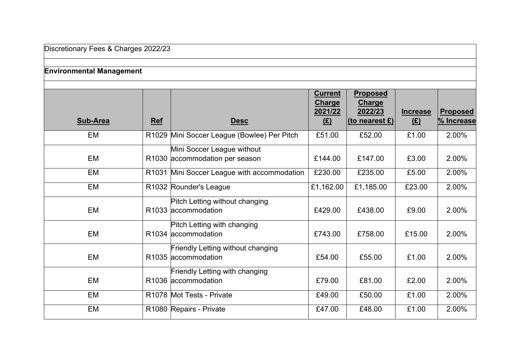# **Environmental Management**

|                 |                   |                                                                 | <b>Current</b><br><b>Charge</b> | <b>Proposed</b><br><b>Charge</b> |                      |                               |
|-----------------|-------------------|-----------------------------------------------------------------|---------------------------------|----------------------------------|----------------------|-------------------------------|
| <b>Sub-Area</b> | <b>Ref</b>        | <b>Desc</b>                                                     | 2021/22<br><u>(£)</u>           | 2022/23<br>(to nearest £)        | <b>Increase</b><br>E | <b>Proposed</b><br>% Increase |
| EM              | R <sub>1029</sub> | Mini Soccer League (Bowlee) Per Pitch                           | £51.00                          | £52.00                           | £1.00                | 2.00%                         |
|                 |                   | Mini Soccer League without                                      |                                 |                                  |                      |                               |
| EM              |                   | R1030 accommodation per season                                  | £144.00                         | £147.00                          | £3.00                | 2.00%                         |
| EM              | R <sub>1031</sub> | Mini Soccer League with accommodation                           | £230.00                         | £235.00                          | £5.00                | 2.00%                         |
| EM              |                   | R1032 Rounder's League                                          | £1,162.00                       | £1,185.00                        | £23.00               | 2.00%                         |
| EM              |                   | Pitch Letting without changing<br>R1033 accommodation           | £429.00                         | £438.00                          | £9.00                | 2.00%                         |
| EM              |                   | Pitch Letting with changing<br>R1034 accommodation              | £743.00                         | £758.00                          | £15.00               | 2.00%                         |
| EM              |                   | <b>Friendly Letting without changing</b><br>R1035 accommodation | £54.00                          | £55.00                           | £1.00                | 2.00%                         |
|                 |                   | Friendly Letting with changing                                  |                                 |                                  |                      |                               |
| EM              |                   | R <sub>1036</sub> accommodation                                 | £79.00                          | £81.00                           | £2.00                | 2.00%                         |
| EM              |                   | R1078 Mot Tests - Private                                       | £49.00                          | £50.00                           | £1.00                | 2.00%                         |
| EM              |                   | R1080 Repairs - Private                                         | £47.00                          | £48.00                           | £1.00                | 2.00%                         |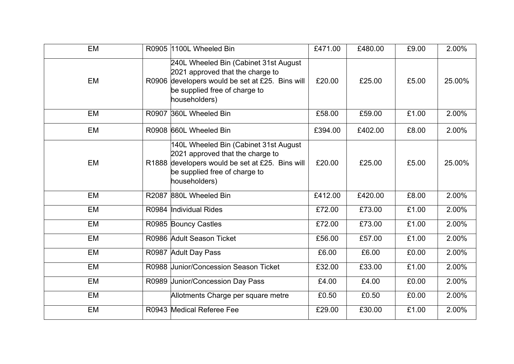| EM        | R0905 1100L Wheeled Bin                                                                                                                                                        | £471.00 | £480.00 | £9.00 | 2.00%  |
|-----------|--------------------------------------------------------------------------------------------------------------------------------------------------------------------------------|---------|---------|-------|--------|
| <b>EM</b> | 240L Wheeled Bin (Cabinet 31st August<br>2021 approved that the charge to<br>R0906 developers would be set at £25. Bins will<br>be supplied free of charge to<br>householders) | £20.00  | £25.00  | £5.00 | 25.00% |
| EM        | R0907 360L Wheeled Bin                                                                                                                                                         | £58.00  | £59.00  | £1.00 | 2.00%  |
| EM        | R0908 660L Wheeled Bin                                                                                                                                                         | £394.00 | £402.00 | £8.00 | 2.00%  |
| <b>EM</b> | 140L Wheeled Bin (Cabinet 31st August<br>2021 approved that the charge to<br>R1888 developers would be set at £25. Bins will<br>be supplied free of charge to<br>householders) | £20.00  | £25.00  | £5.00 | 25.00% |
| <b>EM</b> | R2087 880L Wheeled Bin                                                                                                                                                         | £412.00 | £420.00 | £8.00 | 2.00%  |
| <b>EM</b> | R0984 Individual Rides                                                                                                                                                         | £72.00  | £73.00  | £1.00 | 2.00%  |
| EM        | R0985 Bouncy Castles                                                                                                                                                           | £72.00  | £73.00  | £1.00 | 2.00%  |
| <b>EM</b> | R0986 Adult Season Ticket                                                                                                                                                      | £56.00  | £57.00  | £1.00 | 2.00%  |
| EM        | R0987 Adult Day Pass                                                                                                                                                           | £6.00   | £6.00   | £0.00 | 2.00%  |
| EM        | R0988 Junior/Concession Season Ticket                                                                                                                                          | £32.00  | £33.00  | £1.00 | 2.00%  |
| EM        | R0989 Junior/Concession Day Pass                                                                                                                                               | £4.00   | £4.00   | £0.00 | 2.00%  |
| EM        | Allotments Charge per square metre                                                                                                                                             | £0.50   | £0.50   | £0.00 | 2.00%  |
| <b>EM</b> | R0943 Medical Referee Fee                                                                                                                                                      | £29.00  | £30.00  | £1.00 | 2.00%  |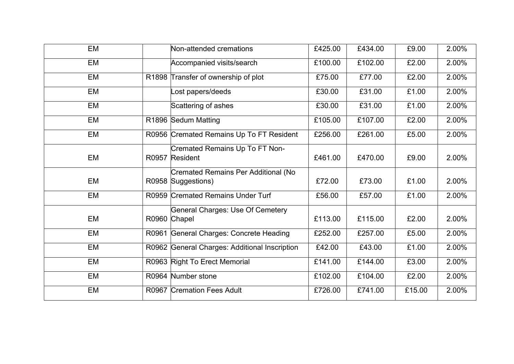| <b>EM</b> | Non-attended cremations                                          | £425.00 | £434.00 | £9.00  | 2.00% |
|-----------|------------------------------------------------------------------|---------|---------|--------|-------|
| EM        | Accompanied visits/search                                        | £100.00 | £102.00 | £2.00  | 2.00% |
| <b>EM</b> | R1898 Transfer of ownership of plot                              | £75.00  | £77.00  | £2.00  | 2.00% |
| EM        | Lost papers/deeds                                                | £30.00  | £31.00  | £1.00  | 2.00% |
| EM        | Scattering of ashes                                              | £30.00  | £31.00  | £1.00  | 2.00% |
| EM        | R1896 Sedum Matting                                              | £105.00 | £107.00 | £2.00  | 2.00% |
| EM        | R0956 Cremated Remains Up To FT Resident                         | £256.00 | £261.00 | £5.00  | 2.00% |
| EM        | Cremated Remains Up To FT Non-<br>R0957 Resident                 | £461.00 | £470.00 | £9.00  | 2.00% |
| EM        | <b>Cremated Remains Per Additional (No</b><br>R0958 Suggestions) | £72.00  | £73.00  | £1.00  | 2.00% |
| EM        | R0959 Cremated Remains Under Turf                                | £56.00  | £57.00  | £1.00  | 2.00% |
| EM        | General Charges: Use Of Cemetery<br>R0960 Chapel                 | £113.00 | £115.00 | £2.00  | 2.00% |
| EM        | R0961 General Charges: Concrete Heading                          | £252.00 | £257.00 | £5.00  | 2.00% |
| EM        | R0962 General Charges: Additional Inscription                    | £42.00  | £43.00  | £1.00  | 2.00% |
| <b>EM</b> | R0963 Right To Erect Memorial                                    | £141.00 | £144.00 | £3.00  | 2.00% |
| EM        | R0964 Number stone                                               | £102.00 | £104.00 | £2.00  | 2.00% |
| <b>EM</b> | R0967 Cremation Fees Adult                                       | £726.00 | £741.00 | £15.00 | 2.00% |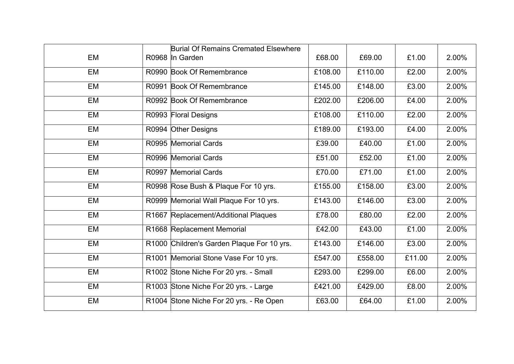|           | <b>Burial Of Remains Cremated Elsewhere</b> |         |         |        |       |
|-----------|---------------------------------------------|---------|---------|--------|-------|
| EM        | R0968 In Garden                             | £68.00  | £69.00  | £1.00  | 2.00% |
| EM        | R0990 Book Of Remembrance                   | £108.00 | £110.00 | £2.00  | 2.00% |
| EM        | R0991 Book Of Remembrance                   | £145.00 | £148.00 | £3.00  | 2.00% |
| <b>EM</b> | R0992 Book Of Remembrance                   | £202.00 | £206.00 | £4.00  | 2.00% |
| EM        | R0993 Floral Designs                        | £108.00 | £110.00 | £2.00  | 2.00% |
| EM        | R0994 Other Designs                         | £189.00 | £193.00 | £4.00  | 2.00% |
| EM        | R0995 Memorial Cards                        | £39.00  | £40.00  | £1.00  | 2.00% |
| EM        | R0996 Memorial Cards                        | £51.00  | £52.00  | £1.00  | 2.00% |
| EM        | R0997 Memorial Cards                        | £70.00  | £71.00  | £1.00  | 2.00% |
| EM        | R0998 Rose Bush & Plaque For 10 yrs.        | £155.00 | £158.00 | £3.00  | 2.00% |
| EM        | R0999 Memorial Wall Plaque For 10 yrs.      | £143.00 | £146.00 | £3.00  | 2.00% |
| EM        | R1667 Replacement/Additional Plaques        | £78.00  | £80.00  | £2.00  | 2.00% |
| EM        | R1668 Replacement Memorial                  | £42.00  | £43.00  | £1.00  | 2.00% |
| EM        | R1000 Children's Garden Plaque For 10 yrs.  | £143.00 | £146.00 | £3.00  | 2.00% |
| EM        | R1001 Memorial Stone Vase For 10 yrs.       | £547.00 | £558.00 | £11.00 | 2.00% |
| EM        | R1002 Stone Niche For 20 yrs. - Small       | £293.00 | £299.00 | £6.00  | 2.00% |
| EM        | R1003 Stone Niche For 20 yrs. - Large       | £421.00 | £429.00 | £8.00  | 2.00% |
| EM        | R1004 Stone Niche For 20 yrs. - Re Open     | £63.00  | £64.00  | £1.00  | 2.00% |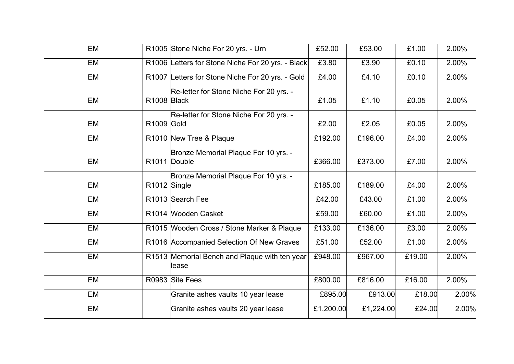| EM |              | R1005 Stone Niche For 20 yrs. - Urn                    | £52.00    | £53.00    | £1.00  | 2.00% |
|----|--------------|--------------------------------------------------------|-----------|-----------|--------|-------|
| EM |              | R1006 Letters for Stone Niche For 20 yrs. - Black      | £3.80     | £3.90     | £0.10  | 2.00% |
| EM |              | R1007 Letters for Stone Niche For 20 yrs. - Gold       | £4.00     | £4.10     | £0.10  | 2.00% |
| EM | R1008 Black  | Re-letter for Stone Niche For 20 yrs. -                | £1.05     | £1.10     | £0.05  | 2.00% |
| EM | R1009 Gold   | Re-letter for Stone Niche For 20 yrs. -                | £2.00     | £2.05     | £0.05  | 2.00% |
| EM |              | R1010 New Tree & Plaque                                | £192.00   | £196.00   | £4.00  | 2.00% |
| EM |              | Bronze Memorial Plaque For 10 yrs. -<br>R1011 Double   | £366.00   | £373.00   | £7.00  | 2.00% |
| EM | R1012 Single | Bronze Memorial Plaque For 10 yrs. -                   | £185.00   | £189.00   | £4.00  | 2.00% |
| EM |              | R1013 Search Fee                                       | £42.00    | £43.00    | £1.00  | 2.00% |
| EM |              | R1014 Wooden Casket                                    | £59.00    | £60.00    | £1.00  | 2.00% |
| EM |              | R1015 Wooden Cross / Stone Marker & Plaque             | £133.00   | £136.00   | £3.00  | 2.00% |
| EM |              | R1016 Accompanied Selection Of New Graves              | £51.00    | £52.00    | £1.00  | 2.00% |
| EM |              | R1513 Memorial Bench and Plaque with ten year<br>lease | £948.00   | £967.00   | £19.00 | 2.00% |
| EM |              | R0983 Site Fees                                        | £800.00   | £816.00   | £16.00 | 2.00% |
| EM |              | Granite ashes vaults 10 year lease                     | £895.00   | £913.00   | £18.00 | 2.00% |
| EM |              | Granite ashes vaults 20 year lease                     | £1,200.00 | £1,224.00 | £24.00 | 2.00% |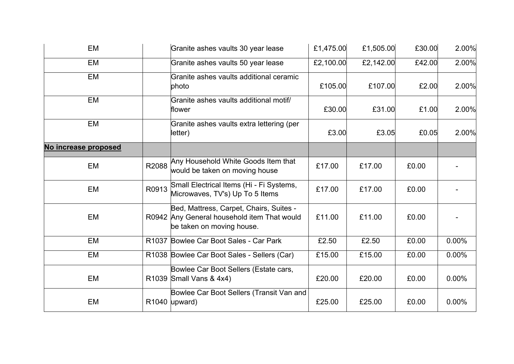| EM                   |       | Granite ashes vaults 30 year lease                                                                                  | £1,475.00 | £1,505.00 | £30.00 | 2.00%    |
|----------------------|-------|---------------------------------------------------------------------------------------------------------------------|-----------|-----------|--------|----------|
| EM                   |       | Granite ashes vaults 50 year lease                                                                                  | £2,100.00 | £2,142.00 | £42.00 | 2.00%    |
| EM                   |       | Granite ashes vaults additional ceramic<br>photo                                                                    | £105.00   | £107.00   | £2.00  | 2.00%    |
| EM                   |       | Granite ashes vaults additional motif/<br>flower                                                                    | £30.00    | £31.00    | £1.00  | 2.00%    |
| EM                   |       | Granite ashes vaults extra lettering (per<br>letter)                                                                | £3.00     | £3.05     | £0.05  | 2.00%    |
| No increase proposed |       |                                                                                                                     |           |           |        |          |
| EM                   | R2088 | Any Household White Goods Item that<br>would be taken on moving house                                               | £17.00    | £17.00    | £0.00  |          |
| EM                   | R0913 | Small Electrical Items (Hi - Fi Systems,<br>Microwaves, TV's) Up To 5 Items                                         | £17.00    | £17.00    | £0.00  |          |
| EM                   |       | Bed, Mattress, Carpet, Chairs, Suites -<br>R0942 Any General household item That would<br>be taken on moving house. | £11.00    | £11.00    | £0.00  |          |
| EM                   |       | R1037 Bowlee Car Boot Sales - Car Park                                                                              | £2.50     | £2.50     | £0.00  | 0.00%    |
| EM                   |       | R1038 Bowlee Car Boot Sales - Sellers (Car)                                                                         | £15.00    | £15.00    | £0.00  | 0.00%    |
| EM                   |       | Bowlee Car Boot Sellers (Estate cars,<br>R1039 Small Vans & 4x4)                                                    | £20.00    | £20.00    | £0.00  | $0.00\%$ |
| EM                   |       | Bowlee Car Boot Sellers (Transit Van and<br>R1040 upward)                                                           | £25.00    | £25.00    | £0.00  | $0.00\%$ |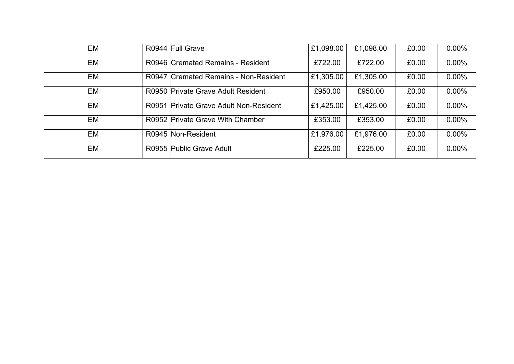| EM |       | R0944 Full Grave                        | £1,098.00 | £1,098.00 | £0.00 | $0.00\%$ |
|----|-------|-----------------------------------------|-----------|-----------|-------|----------|
| EM |       | R0946 Cremated Remains - Resident       | £722.00   | £722.00   | £0.00 | $0.00\%$ |
| EM |       | R0947 Cremated Remains - Non-Resident   | £1,305.00 | £1,305.00 | £0.00 | $0.00\%$ |
| EM |       | R0950 Private Grave Adult Resident      | £950.00   | £950.00   | £0.00 | $0.00\%$ |
| EM | R0951 | <b>Private Grave Adult Non-Resident</b> | £1,425.00 | £1,425.00 | £0.00 | $0.00\%$ |
| EM |       | R0952 Private Grave With Chamber        | £353.00   | £353.00   | £0.00 | $0.00\%$ |
| EM |       | R0945 Non-Resident                      | £1,976.00 | £1,976.00 | £0.00 | $0.00\%$ |
| EM |       | R0955 Public Grave Adult                | £225.00   | £225.00   | £0.00 | $0.00\%$ |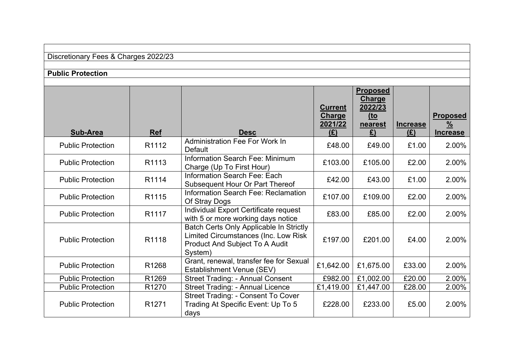| Discretionary Fees & Charges 2022/23 |  |  |  |
|--------------------------------------|--|--|--|
|--------------------------------------|--|--|--|

### **Public Protection**

| Sub-Area                 | <b>Ref</b>        | <b>Desc</b>                                                                                                                         | <b>Current</b><br>Charge<br>2021/22<br>(E) | <b>Proposed</b><br>Charge<br>2022/23<br>$to$<br>nearest<br>£) | <b>Increase</b><br>(E) | <b>Proposed</b><br>$\frac{9}{6}$<br><b>Increase</b> |
|--------------------------|-------------------|-------------------------------------------------------------------------------------------------------------------------------------|--------------------------------------------|---------------------------------------------------------------|------------------------|-----------------------------------------------------|
| <b>Public Protection</b> | R1112             | <b>Administration Fee For Work In</b><br>Default                                                                                    | £48.00                                     | £49.00                                                        | £1.00                  | 2.00%                                               |
| <b>Public Protection</b> | R <sub>1113</sub> | Information Search Fee: Minimum<br>Charge (Up To First Hour)                                                                        | £103.00                                    | £105.00                                                       | £2.00                  | 2.00%                                               |
| <b>Public Protection</b> | R1114             | Information Search Fee: Each<br>Subsequent Hour Or Part Thereof                                                                     | £42.00                                     | £43.00                                                        | £1.00                  | 2.00%                                               |
| <b>Public Protection</b> | R1115             | Information Search Fee: Reclamation<br>Of Stray Dogs                                                                                | £107.00                                    | £109.00                                                       | £2.00                  | 2.00%                                               |
| <b>Public Protection</b> | R1117             | Individual Export Certificate request<br>with 5 or more working days notice                                                         | £83.00                                     | £85.00                                                        | £2.00                  | 2.00%                                               |
| <b>Public Protection</b> | R <sub>1118</sub> | Batch Certs Only Applicable In Strictly<br>Limited Circumstances (Inc. Low Risk<br><b>Product And Subject To A Audit</b><br>System) | £197.00                                    | £201.00                                                       | £4.00                  | 2.00%                                               |
| <b>Public Protection</b> | R1268             | Grant, renewal, transfer fee for Sexual<br>Establishment Venue (SEV)                                                                | £1,642.00                                  | £1,675.00                                                     | £33.00                 | 2.00%                                               |
| <b>Public Protection</b> | R1269             | <b>Street Trading: - Annual Consent</b>                                                                                             | £982.00                                    | £1,002.00                                                     | £20.00                 | 2.00%                                               |
| <b>Public Protection</b> | R <sub>1270</sub> | <b>Street Trading: - Annual Licence</b>                                                                                             | £1,419.00                                  | £1,447.00                                                     | £28.00                 | 2.00%                                               |
| <b>Public Protection</b> | R <sub>1271</sub> | Street Trading: - Consent To Cover<br>Trading At Specific Event: Up To 5<br>days                                                    | £228.00                                    | £233.00                                                       | £5.00                  | 2.00%                                               |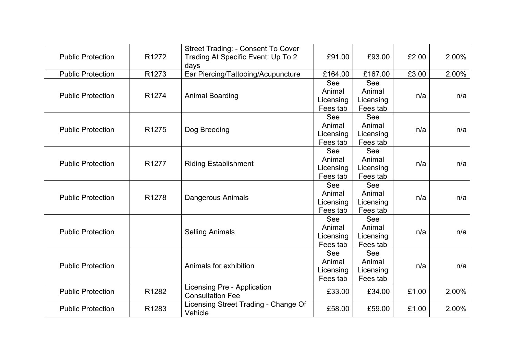| <b>Public Protection</b> | R <sub>1272</sub> | Street Trading: - Consent To Cover<br>Trading At Specific Event: Up To 2<br>days | £91.00                                 | £93.00                                 | £2.00 | 2.00% |
|--------------------------|-------------------|----------------------------------------------------------------------------------|----------------------------------------|----------------------------------------|-------|-------|
| <b>Public Protection</b> | R <sub>1273</sub> | Ear Piercing/Tattooing/Acupuncture                                               | £164.00                                | £167.00                                | £3.00 | 2.00% |
| <b>Public Protection</b> | R <sub>1274</sub> | <b>Animal Boarding</b>                                                           | See<br>Animal<br>Licensing<br>Fees tab | See<br>Animal<br>Licensing<br>Fees tab | n/a   | n/a   |
| <b>Public Protection</b> | R <sub>1275</sub> | Dog Breeding                                                                     | See<br>Animal<br>Licensing<br>Fees tab | See<br>Animal<br>Licensing<br>Fees tab | n/a   | n/a   |
| <b>Public Protection</b> | R <sub>1277</sub> | <b>Riding Establishment</b>                                                      | See<br>Animal<br>Licensing<br>Fees tab | See<br>Animal<br>Licensing<br>Fees tab | n/a   | n/a   |
| <b>Public Protection</b> | R <sub>1278</sub> | <b>Dangerous Animals</b>                                                         | See<br>Animal<br>Licensing<br>Fees tab | See<br>Animal<br>Licensing<br>Fees tab | n/a   | n/a   |
| <b>Public Protection</b> |                   | <b>Selling Animals</b>                                                           | See<br>Animal<br>Licensing<br>Fees tab | See<br>Animal<br>Licensing<br>Fees tab | n/a   | n/a   |
| <b>Public Protection</b> |                   | Animals for exhibition                                                           | See<br>Animal<br>Licensing<br>Fees tab | See<br>Animal<br>Licensing<br>Fees tab | n/a   | n/a   |
| <b>Public Protection</b> | R1282             | Licensing Pre - Application<br><b>Consultation Fee</b>                           | £33.00                                 | £34.00                                 | £1.00 | 2.00% |
| <b>Public Protection</b> | R1283             | Licensing Street Trading - Change Of<br>Vehicle                                  | £58.00                                 | £59.00                                 | £1.00 | 2.00% |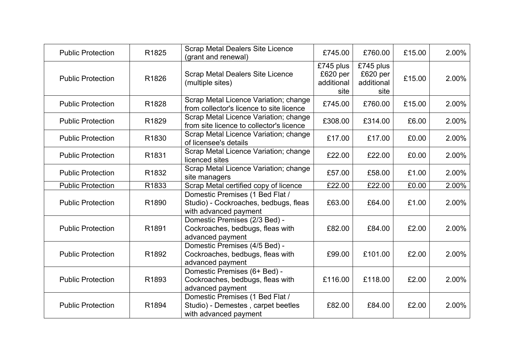| <b>Public Protection</b> | R1825             | <b>Scrap Metal Dealers Site Licence</b><br>(grant and renewal)                                    | £745.00                                     | £760.00                                     | £15.00 | 2.00% |
|--------------------------|-------------------|---------------------------------------------------------------------------------------------------|---------------------------------------------|---------------------------------------------|--------|-------|
| <b>Public Protection</b> | R1826             | <b>Scrap Metal Dealers Site Licence</b><br>(multiple sites)                                       | £745 plus<br>£620 per<br>additional<br>site | £745 plus<br>£620 per<br>additional<br>site | £15.00 | 2.00% |
| <b>Public Protection</b> | R <sub>1828</sub> | Scrap Metal Licence Variation; change<br>from collector's licence to site licence                 | £745.00                                     | £760.00                                     | £15.00 | 2.00% |
| <b>Public Protection</b> | R1829             | Scrap Metal Licence Variation; change<br>from site licence to collector's licence                 | £308.00                                     | £314.00                                     | £6.00  | 2.00% |
| <b>Public Protection</b> | R <sub>1830</sub> | Scrap Metal Licence Variation; change<br>of licensee's details                                    | £17.00                                      | £17.00                                      | £0.00  | 2.00% |
| <b>Public Protection</b> | R <sub>1831</sub> | Scrap Metal Licence Variation; change<br>licenced sites                                           | £22.00                                      | £22.00                                      | £0.00  | 2.00% |
| <b>Public Protection</b> | R <sub>1832</sub> | Scrap Metal Licence Variation; change<br>site managers                                            | £57.00                                      | £58.00                                      | £1.00  | 2.00% |
| <b>Public Protection</b> | R1833             | Scrap Metal certified copy of licence                                                             | £22.00                                      | £22.00                                      | £0.00  | 2.00% |
| <b>Public Protection</b> | R <sub>1890</sub> | Domestic Premises (1 Bed Flat /<br>Studio) - Cockroaches, bedbugs, fleas<br>with advanced payment | £63.00                                      | £64.00                                      | £1.00  | 2.00% |
| <b>Public Protection</b> | R1891             | Domestic Premises (2/3 Bed) -<br>Cockroaches, bedbugs, fleas with<br>advanced payment             | £82.00                                      | £84.00                                      | £2.00  | 2.00% |
| <b>Public Protection</b> | R <sub>1892</sub> | Domestic Premises (4/5 Bed) -<br>Cockroaches, bedbugs, fleas with<br>advanced payment             | £99.00                                      | £101.00                                     | £2.00  | 2.00% |
| <b>Public Protection</b> | R1893             | Domestic Premises (6+ Bed) -<br>Cockroaches, bedbugs, fleas with<br>advanced payment              | £116.00                                     | £118.00                                     | £2.00  | 2.00% |
| <b>Public Protection</b> | R1894             | Domestic Premises (1 Bed Flat /<br>Studio) - Demestes, carpet beetles<br>with advanced payment    | £82.00                                      | £84.00                                      | £2.00  | 2.00% |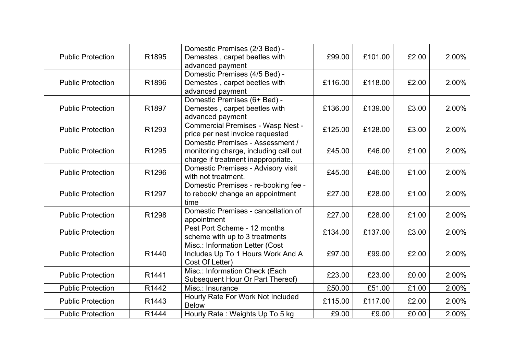|       | Domestic Premises (2/3 Bed) -                                                                         |                                                                                                                                                                                                                                                                                                                                                                                                                                                                                                                                                                                                                                                                                                                                                                                                          |                                                                                          |                                                                                           | 2.00%                                                                         |
|-------|-------------------------------------------------------------------------------------------------------|----------------------------------------------------------------------------------------------------------------------------------------------------------------------------------------------------------------------------------------------------------------------------------------------------------------------------------------------------------------------------------------------------------------------------------------------------------------------------------------------------------------------------------------------------------------------------------------------------------------------------------------------------------------------------------------------------------------------------------------------------------------------------------------------------------|------------------------------------------------------------------------------------------|-------------------------------------------------------------------------------------------|-------------------------------------------------------------------------------|
|       |                                                                                                       |                                                                                                                                                                                                                                                                                                                                                                                                                                                                                                                                                                                                                                                                                                                                                                                                          |                                                                                          |                                                                                           |                                                                               |
|       |                                                                                                       |                                                                                                                                                                                                                                                                                                                                                                                                                                                                                                                                                                                                                                                                                                                                                                                                          |                                                                                          |                                                                                           |                                                                               |
| R1896 | Demestes, carpet beetles with                                                                         | £116.00                                                                                                                                                                                                                                                                                                                                                                                                                                                                                                                                                                                                                                                                                                                                                                                                  | £118.00                                                                                  | £2.00                                                                                     | 2.00%                                                                         |
|       | advanced payment                                                                                      |                                                                                                                                                                                                                                                                                                                                                                                                                                                                                                                                                                                                                                                                                                                                                                                                          |                                                                                          |                                                                                           |                                                                               |
|       | Domestic Premises (6+ Bed) -                                                                          |                                                                                                                                                                                                                                                                                                                                                                                                                                                                                                                                                                                                                                                                                                                                                                                                          |                                                                                          |                                                                                           |                                                                               |
| R1897 | Demestes, carpet beetles with                                                                         | £136.00                                                                                                                                                                                                                                                                                                                                                                                                                                                                                                                                                                                                                                                                                                                                                                                                  | £139.00                                                                                  | £3.00                                                                                     | 2.00%                                                                         |
|       | advanced payment                                                                                      |                                                                                                                                                                                                                                                                                                                                                                                                                                                                                                                                                                                                                                                                                                                                                                                                          |                                                                                          |                                                                                           |                                                                               |
|       |                                                                                                       |                                                                                                                                                                                                                                                                                                                                                                                                                                                                                                                                                                                                                                                                                                                                                                                                          |                                                                                          |                                                                                           | 2.00%                                                                         |
|       |                                                                                                       |                                                                                                                                                                                                                                                                                                                                                                                                                                                                                                                                                                                                                                                                                                                                                                                                          |                                                                                          |                                                                                           |                                                                               |
|       |                                                                                                       |                                                                                                                                                                                                                                                                                                                                                                                                                                                                                                                                                                                                                                                                                                                                                                                                          |                                                                                          |                                                                                           |                                                                               |
|       |                                                                                                       |                                                                                                                                                                                                                                                                                                                                                                                                                                                                                                                                                                                                                                                                                                                                                                                                          |                                                                                          |                                                                                           | 2.00%                                                                         |
|       |                                                                                                       |                                                                                                                                                                                                                                                                                                                                                                                                                                                                                                                                                                                                                                                                                                                                                                                                          |                                                                                          |                                                                                           |                                                                               |
|       |                                                                                                       |                                                                                                                                                                                                                                                                                                                                                                                                                                                                                                                                                                                                                                                                                                                                                                                                          |                                                                                          |                                                                                           | 2.00%                                                                         |
|       |                                                                                                       |                                                                                                                                                                                                                                                                                                                                                                                                                                                                                                                                                                                                                                                                                                                                                                                                          |                                                                                          |                                                                                           |                                                                               |
|       |                                                                                                       |                                                                                                                                                                                                                                                                                                                                                                                                                                                                                                                                                                                                                                                                                                                                                                                                          |                                                                                          |                                                                                           |                                                                               |
|       |                                                                                                       |                                                                                                                                                                                                                                                                                                                                                                                                                                                                                                                                                                                                                                                                                                                                                                                                          |                                                                                          |                                                                                           | 2.00%                                                                         |
|       |                                                                                                       |                                                                                                                                                                                                                                                                                                                                                                                                                                                                                                                                                                                                                                                                                                                                                                                                          |                                                                                          |                                                                                           |                                                                               |
| R1298 |                                                                                                       | £27.00                                                                                                                                                                                                                                                                                                                                                                                                                                                                                                                                                                                                                                                                                                                                                                                                   | £28.00                                                                                   | £1.00                                                                                     | 2.00%                                                                         |
|       |                                                                                                       |                                                                                                                                                                                                                                                                                                                                                                                                                                                                                                                                                                                                                                                                                                                                                                                                          |                                                                                          |                                                                                           |                                                                               |
|       |                                                                                                       | £134.00                                                                                                                                                                                                                                                                                                                                                                                                                                                                                                                                                                                                                                                                                                                                                                                                  | £137.00                                                                                  | £3.00                                                                                     | 2.00%                                                                         |
|       |                                                                                                       |                                                                                                                                                                                                                                                                                                                                                                                                                                                                                                                                                                                                                                                                                                                                                                                                          |                                                                                          |                                                                                           |                                                                               |
|       |                                                                                                       |                                                                                                                                                                                                                                                                                                                                                                                                                                                                                                                                                                                                                                                                                                                                                                                                          |                                                                                          |                                                                                           | 2.00%                                                                         |
|       |                                                                                                       |                                                                                                                                                                                                                                                                                                                                                                                                                                                                                                                                                                                                                                                                                                                                                                                                          |                                                                                          |                                                                                           |                                                                               |
|       |                                                                                                       |                                                                                                                                                                                                                                                                                                                                                                                                                                                                                                                                                                                                                                                                                                                                                                                                          |                                                                                          |                                                                                           |                                                                               |
|       |                                                                                                       |                                                                                                                                                                                                                                                                                                                                                                                                                                                                                                                                                                                                                                                                                                                                                                                                          |                                                                                          |                                                                                           | 2.00%                                                                         |
|       |                                                                                                       |                                                                                                                                                                                                                                                                                                                                                                                                                                                                                                                                                                                                                                                                                                                                                                                                          |                                                                                          |                                                                                           | 2.00%                                                                         |
|       |                                                                                                       |                                                                                                                                                                                                                                                                                                                                                                                                                                                                                                                                                                                                                                                                                                                                                                                                          |                                                                                          |                                                                                           |                                                                               |
|       |                                                                                                       |                                                                                                                                                                                                                                                                                                                                                                                                                                                                                                                                                                                                                                                                                                                                                                                                          |                                                                                          |                                                                                           | 2.00%                                                                         |
| R1444 | Hourly Rate: Weights Up To 5 kg                                                                       | £9.00                                                                                                                                                                                                                                                                                                                                                                                                                                                                                                                                                                                                                                                                                                                                                                                                    | £9.00                                                                                    | £0.00                                                                                     | 2.00%                                                                         |
|       | R1895<br>R <sub>1293</sub><br>R1295<br>R1296<br>R1297<br>R1440<br>R1441<br>R1442<br>R <sub>1443</sub> | Demestes, carpet beetles with<br>advanced payment<br>Domestic Premises (4/5 Bed) -<br><b>Commercial Premises - Wasp Nest -</b><br>price per nest invoice requested<br>Domestic Premises - Assessment /<br>monitoring charge, including call out<br>charge if treatment inappropriate.<br>Domestic Premises - Advisory visit<br>with not treatment.<br>Domestic Premises - re-booking fee -<br>to rebook/ change an appointment<br>time<br>Domestic Premises - cancellation of<br>appointment<br>Pest Port Scheme - 12 months<br>scheme with up to 3 treatments<br>Misc.: Information Letter (Cost<br>Includes Up To 1 Hours Work And A<br>Cost Of Letter)<br>Misc.: Information Check (Each<br>Subsequent Hour Or Part Thereof)<br>Misc.: Insurance<br>Hourly Rate For Work Not Included<br><b>Below</b> | £99.00<br>£125.00<br>£45.00<br>£45.00<br>£27.00<br>£97.00<br>£23.00<br>£50.00<br>£115.00 | £101.00<br>£128.00<br>£46.00<br>£46.00<br>£28.00<br>£99.00<br>£23.00<br>£51.00<br>£117.00 | £2.00<br>£3.00<br>£1.00<br>£1.00<br>£1.00<br>£2.00<br>£0.00<br>£1.00<br>£2.00 |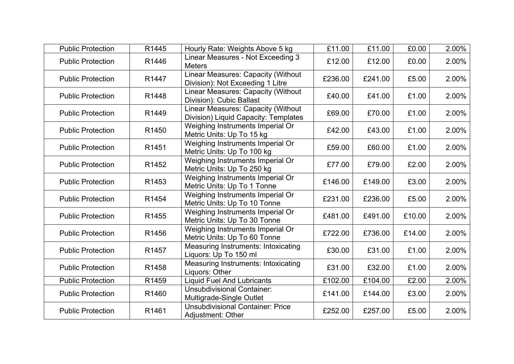| <b>Public Protection</b> | R1445             | Hourly Rate: Weights Above 5 kg                                            | £11.00  | £11.00  | £0.00  | 2.00% |
|--------------------------|-------------------|----------------------------------------------------------------------------|---------|---------|--------|-------|
| <b>Public Protection</b> | R1446             | Linear Measures - Not Exceeding 3<br><b>Meters</b>                         | £12.00  | £12.00  | £0.00  | 2.00% |
| <b>Public Protection</b> | R <sub>1447</sub> | Linear Measures: Capacity (Without<br>Division): Not Exceeding 1 Litre     | £236.00 | £241.00 | £5.00  | 2.00% |
| <b>Public Protection</b> | R1448             | Linear Measures: Capacity (Without<br>Division): Cubic Ballast             | £40.00  | £41.00  | £1.00  | 2.00% |
| <b>Public Protection</b> | R1449             | Linear Measures: Capacity (Without<br>Division) Liquid Capacity: Templates | £69.00  | £70.00  | £1.00  | 2.00% |
| <b>Public Protection</b> | R <sub>1450</sub> | Weighing Instruments Imperial Or<br>Metric Units: Up To 15 kg              | £42.00  | £43.00  | £1.00  | 2.00% |
| <b>Public Protection</b> | R <sub>1451</sub> | Weighing Instruments Imperial Or<br>Metric Units: Up To 100 kg             | £59.00  | £60.00  | £1.00  | 2.00% |
| <b>Public Protection</b> | R <sub>1452</sub> | Weighing Instruments Imperial Or<br>Metric Units: Up To 250 kg             | £77.00  | £79.00  | £2.00  | 2.00% |
| <b>Public Protection</b> | R <sub>1453</sub> | Weighing Instruments Imperial Or<br>Metric Units: Up To 1 Tonne            | £146.00 | £149.00 | £3.00  | 2.00% |
| <b>Public Protection</b> | R1454             | Weighing Instruments Imperial Or<br>Metric Units: Up To 10 Tonne           | £231.00 | £236.00 | £5.00  | 2.00% |
| <b>Public Protection</b> | R1455             | Weighing Instruments Imperial Or<br>Metric Units: Up To 30 Tonne           | £481.00 | £491.00 | £10.00 | 2.00% |
| <b>Public Protection</b> | R1456             | Weighing Instruments Imperial Or<br>Metric Units: Up To 60 Tonne           | £722.00 | £736.00 | £14.00 | 2.00% |
| <b>Public Protection</b> | R1457             | Measuring Instruments: Intoxicating<br>Liquors: Up To 150 ml               | £30.00  | £31.00  | £1.00  | 2.00% |
| <b>Public Protection</b> | R1458             | <b>Measuring Instruments: Intoxicating</b><br>Liquors: Other               | £31.00  | £32.00  | £1.00  | 2.00% |
| <b>Public Protection</b> | R1459             | <b>Liquid Fuel And Lubricants</b>                                          | £102.00 | £104.00 | £2.00  | 2.00% |
| <b>Public Protection</b> | R1460             | <b>Unsubdivisional Container:</b><br>Multigrade-Single Outlet              | £141.00 | £144.00 | £3.00  | 2.00% |
| <b>Public Protection</b> | R1461             | <b>Unsubdivisional Container: Price</b><br>Adjustment: Other               | £252.00 | £257.00 | £5.00  | 2.00% |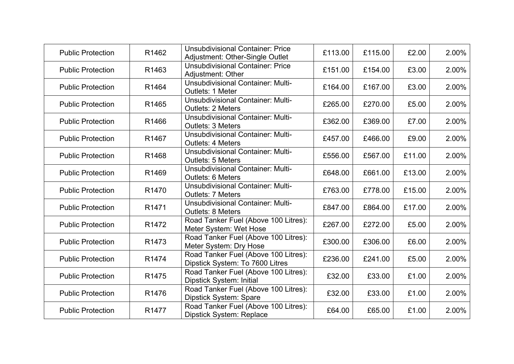| <b>Public Protection</b> | R1462             | <b>Unsubdivisional Container: Price</b><br>Adjustment: Other-Single Outlet | £113.00 | £115.00 | £2.00  | 2.00% |
|--------------------------|-------------------|----------------------------------------------------------------------------|---------|---------|--------|-------|
| <b>Public Protection</b> | R1463             | <b>Unsubdivisional Container: Price</b><br>Adjustment: Other               | £151.00 | £154.00 | £3.00  | 2.00% |
| <b>Public Protection</b> | R1464             | <b>Unsubdivisional Container: Multi-</b><br>Outlets: 1 Meter               | £164.00 | £167.00 | £3.00  | 2.00% |
| <b>Public Protection</b> | R1465             | <b>Unsubdivisional Container: Multi-</b><br><b>Outlets: 2 Meters</b>       | £265.00 | £270.00 | £5.00  | 2.00% |
| <b>Public Protection</b> | R1466             | <b>Unsubdivisional Container: Multi-</b><br><b>Outlets: 3 Meters</b>       | £362.00 | £369.00 | £7.00  | 2.00% |
| <b>Public Protection</b> | R1467             | <b>Unsubdivisional Container: Multi-</b><br><b>Outlets: 4 Meters</b>       | £457.00 | £466.00 | £9.00  | 2.00% |
| <b>Public Protection</b> | R1468             | <b>Unsubdivisional Container: Multi-</b><br><b>Outlets: 5 Meters</b>       | £556.00 | £567.00 | £11.00 | 2.00% |
| <b>Public Protection</b> | R1469             | <b>Unsubdivisional Container: Multi-</b><br><b>Outlets: 6 Meters</b>       | £648.00 | £661.00 | £13.00 | 2.00% |
| <b>Public Protection</b> | R <sub>1470</sub> | <b>Unsubdivisional Container: Multi-</b><br>Outlets: 7 Meters              | £763.00 | £778.00 | £15.00 | 2.00% |
| <b>Public Protection</b> | R <sub>1471</sub> | <b>Unsubdivisional Container: Multi-</b><br>Outlets: 8 Meters              | £847.00 | £864.00 | £17.00 | 2.00% |
| <b>Public Protection</b> | R <sub>1472</sub> | Road Tanker Fuel (Above 100 Litres):<br>Meter System: Wet Hose             | £267.00 | £272.00 | £5.00  | 2.00% |
| <b>Public Protection</b> | R <sub>1473</sub> | Road Tanker Fuel (Above 100 Litres):<br>Meter System: Dry Hose             | £300.00 | £306.00 | £6.00  | 2.00% |
| <b>Public Protection</b> | R1474             | Road Tanker Fuel (Above 100 Litres):<br>Dipstick System: To 7600 Litres    | £236.00 | £241.00 | £5.00  | 2.00% |
| <b>Public Protection</b> | R <sub>1475</sub> | Road Tanker Fuel (Above 100 Litres):<br>Dipstick System: Initial           | £32.00  | £33.00  | £1.00  | 2.00% |
| <b>Public Protection</b> | R1476             | Road Tanker Fuel (Above 100 Litres):<br>Dipstick System: Spare             | £32.00  | £33.00  | £1.00  | 2.00% |
| <b>Public Protection</b> | R <sub>1477</sub> | Road Tanker Fuel (Above 100 Litres):<br><b>Dipstick System: Replace</b>    | £64.00  | £65.00  | £1.00  | 2.00% |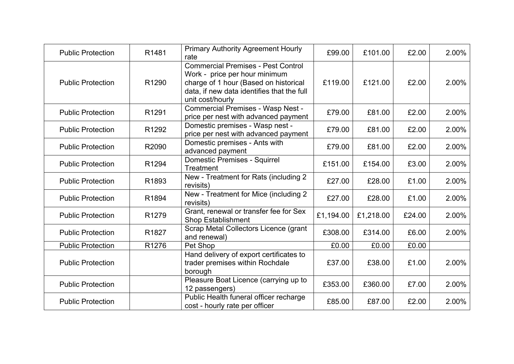| <b>Public Protection</b> | R1481             | <b>Primary Authority Agreement Hourly</b><br>rate                                                                                                                                     | £99.00    | £101.00   | £2.00  | 2.00% |
|--------------------------|-------------------|---------------------------------------------------------------------------------------------------------------------------------------------------------------------------------------|-----------|-----------|--------|-------|
| <b>Public Protection</b> | R <sub>1290</sub> | <b>Commercial Premises - Pest Control</b><br>Work - price per hour minimum<br>charge of 1 hour (Based on historical<br>data, if new data identifies that the full<br>unit cost/hourly | £119.00   | £121.00   | £2.00  | 2.00% |
| <b>Public Protection</b> | R1291             | <b>Commercial Premises - Wasp Nest -</b><br>price per nest with advanced payment                                                                                                      | £79.00    | £81.00    | £2.00  | 2.00% |
| <b>Public Protection</b> | R1292             | Domestic premises - Wasp nest -<br>price per nest with advanced payment                                                                                                               | £79.00    | £81.00    | £2.00  | 2.00% |
| <b>Public Protection</b> | R2090             | Domestic premises - Ants with<br>advanced payment                                                                                                                                     | £79.00    | £81.00    | £2.00  | 2.00% |
| <b>Public Protection</b> | R1294             | Domestic Premises - Squirrel<br><b>Treatment</b>                                                                                                                                      | £151.00   | £154.00   | £3.00  | 2.00% |
| <b>Public Protection</b> | R1893             | New - Treatment for Rats (including 2<br>revisits)                                                                                                                                    | £27.00    | £28.00    | £1.00  | 2.00% |
| <b>Public Protection</b> | R1894             | New - Treatment for Mice (including 2<br>revisits)                                                                                                                                    | £27.00    | £28.00    | £1.00  | 2.00% |
| <b>Public Protection</b> | R <sub>1279</sub> | Grant, renewal or transfer fee for Sex<br><b>Shop Establishment</b>                                                                                                                   | £1,194.00 | £1,218.00 | £24.00 | 2.00% |
| <b>Public Protection</b> | R1827             | Scrap Metal Collectors Licence (grant<br>and renewal)                                                                                                                                 | £308.00   | £314.00   | £6.00  | 2.00% |
| <b>Public Protection</b> | R1276             | Pet Shop                                                                                                                                                                              | £0.00     | £0.00     | £0.00  |       |
| <b>Public Protection</b> |                   | Hand delivery of export certificates to<br>trader premises within Rochdale<br>borough                                                                                                 | £37.00    | £38.00    | £1.00  | 2.00% |
| <b>Public Protection</b> |                   | Pleasure Boat Licence (carrying up to<br>12 passengers)                                                                                                                               | £353.00   | £360.00   | £7.00  | 2.00% |
| <b>Public Protection</b> |                   | Public Health funeral officer recharge<br>cost - hourly rate per officer                                                                                                              | £85.00    | £87.00    | £2.00  | 2.00% |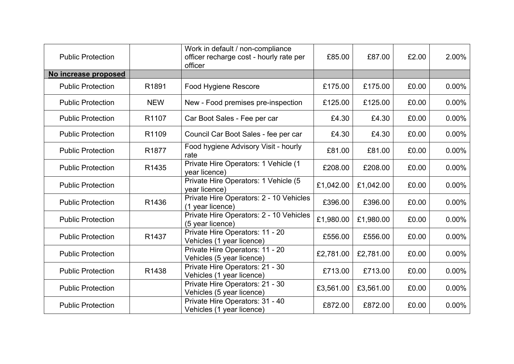| <b>Public Protection</b> |                   | Work in default / non-compliance<br>officer recharge cost - hourly rate per<br>officer | £85.00    | £87.00    | £2.00 | 2.00%    |
|--------------------------|-------------------|----------------------------------------------------------------------------------------|-----------|-----------|-------|----------|
| No increase proposed     |                   |                                                                                        |           |           |       |          |
| <b>Public Protection</b> | R1891             | Food Hygiene Rescore                                                                   | £175.00   | £175.00   | £0.00 | $0.00\%$ |
| <b>Public Protection</b> | <b>NEW</b>        | New - Food premises pre-inspection                                                     | £125.00   | £125.00   | £0.00 | $0.00\%$ |
| <b>Public Protection</b> | R1107             | Car Boot Sales - Fee per car                                                           | £4.30     | £4.30     | £0.00 | 0.00%    |
| <b>Public Protection</b> | R1109             | Council Car Boot Sales - fee per car                                                   | £4.30     | £4.30     | £0.00 | $0.00\%$ |
| <b>Public Protection</b> | R <sub>1877</sub> | Food hygiene Advisory Visit - hourly<br>rate                                           | £81.00    | £81.00    | £0.00 | $0.00\%$ |
| <b>Public Protection</b> | R1435             | Private Hire Operators: 1 Vehicle (1<br>year licence)                                  | £208.00   | £208.00   | £0.00 | $0.00\%$ |
| <b>Public Protection</b> |                   | Private Hire Operators: 1 Vehicle (5<br>year licence)                                  | £1,042.00 | £1,042.00 | £0.00 | $0.00\%$ |
| <b>Public Protection</b> | R1436             | Private Hire Operators: 2 - 10 Vehicles<br>(1 year licence)                            | £396.00   | £396.00   | £0.00 | $0.00\%$ |
| <b>Public Protection</b> |                   | Private Hire Operators: 2 - 10 Vehicles<br>(5 year licence)                            | £1,980.00 | £1,980.00 | £0.00 | $0.00\%$ |
| <b>Public Protection</b> | R1437             | Private Hire Operators: 11 - 20<br>Vehicles (1 year licence)                           | £556.00   | £556.00   | £0.00 | $0.00\%$ |
| <b>Public Protection</b> |                   | Private Hire Operators: 11 - 20<br>Vehicles (5 year licence)                           | £2,781.00 | £2,781.00 | £0.00 | $0.00\%$ |
| <b>Public Protection</b> | R1438             | Private Hire Operators: 21 - 30<br>Vehicles (1 year licence)                           | £713.00   | £713.00   | £0.00 | $0.00\%$ |
| <b>Public Protection</b> |                   | Private Hire Operators: 21 - 30<br>Vehicles (5 year licence)                           | £3,561.00 | £3,561.00 | £0.00 | $0.00\%$ |
| <b>Public Protection</b> |                   | Private Hire Operators: 31 - 40<br>Vehicles (1 year licence)                           | £872.00   | £872.00   | £0.00 | $0.00\%$ |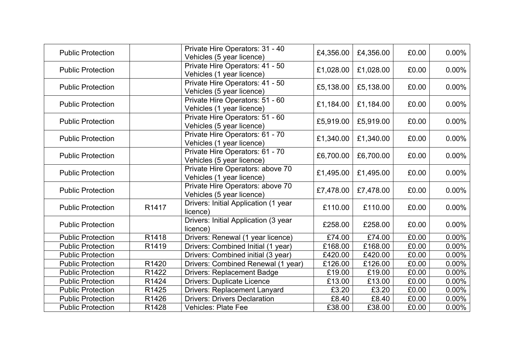| <b>Public Protection</b> |       | Private Hire Operators: 31 - 40<br>Vehicles (5 year licence)  | £4,356.00 | £4,356.00 | £0.00 | $0.00\%$ |
|--------------------------|-------|---------------------------------------------------------------|-----------|-----------|-------|----------|
| <b>Public Protection</b> |       | Private Hire Operators: 41 - 50<br>Vehicles (1 year licence)  | £1,028.00 | £1,028.00 | £0.00 | $0.00\%$ |
| <b>Public Protection</b> |       | Private Hire Operators: 41 - 50<br>Vehicles (5 year licence)  | £5,138.00 | £5,138.00 | £0.00 | $0.00\%$ |
| <b>Public Protection</b> |       | Private Hire Operators: 51 - 60<br>Vehicles (1 year licence)  | £1,184.00 | £1,184.00 | £0.00 | $0.00\%$ |
| <b>Public Protection</b> |       | Private Hire Operators: 51 - 60<br>Vehicles (5 year licence)  | £5,919.00 | £5,919.00 | £0.00 | $0.00\%$ |
| <b>Public Protection</b> |       | Private Hire Operators: 61 - 70<br>Vehicles (1 year licence)  | £1,340.00 | £1,340.00 | £0.00 | $0.00\%$ |
| <b>Public Protection</b> |       | Private Hire Operators: 61 - 70<br>Vehicles (5 year licence)  | £6,700.00 | £6,700.00 | £0.00 | $0.00\%$ |
| <b>Public Protection</b> |       | Private Hire Operators: above 70<br>Vehicles (1 year licence) | £1,495.00 | £1,495.00 | £0.00 | $0.00\%$ |
| <b>Public Protection</b> |       | Private Hire Operators: above 70<br>Vehicles (5 year licence) | £7,478.00 | £7,478.00 | £0.00 | 0.00%    |
| <b>Public Protection</b> | R1417 | Drivers: Initial Application (1 year<br>licence)              | £110.00   | £110.00   | £0.00 | $0.00\%$ |
| <b>Public Protection</b> |       | Drivers: Initial Application (3 year<br>licence)              | £258.00   | £258.00   | £0.00 | $0.00\%$ |
| <b>Public Protection</b> | R1418 | Drivers: Renewal (1 year licence)                             | £74.00    | £74.00    | £0.00 | $0.00\%$ |
| <b>Public Protection</b> | R1419 | Drivers: Combined Initial (1 year)                            | £168.00   | £168.00   | £0.00 | $0.00\%$ |
| <b>Public Protection</b> |       | Drivers: Combined initial (3 year)                            | £420.00   | £420.00   | £0.00 | $0.00\%$ |
| <b>Public Protection</b> | R1420 | Drivers: Combined Renewal (1 year)                            | £126.00   | £126.00   | £0.00 | $0.00\%$ |
| <b>Public Protection</b> | R1422 | <b>Drivers: Replacement Badge</b>                             | £19.00    | £19.00    | £0.00 | $0.00\%$ |
| <b>Public Protection</b> | R1424 | <b>Drivers: Duplicate Licence</b>                             | £13.00    | £13.00    | £0.00 | $0.00\%$ |
| <b>Public Protection</b> | R1425 | <b>Drivers: Replacement Lanyard</b>                           | £3.20     | £3.20     | £0.00 | $0.00\%$ |
| <b>Public Protection</b> | R1426 | <b>Drivers: Drivers Declaration</b>                           | £8.40     | £8.40     | £0.00 | $0.00\%$ |
| <b>Public Protection</b> | R1428 | <b>Vehicles: Plate Fee</b>                                    | £38.00    | £38.00    | £0.00 | $0.00\%$ |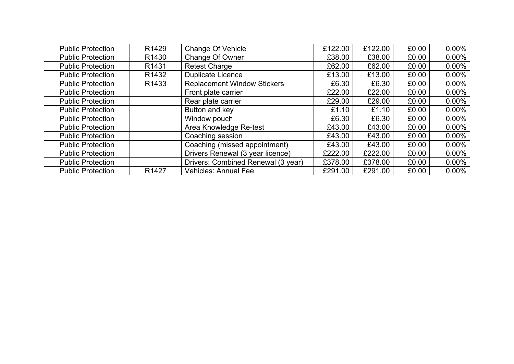| <b>Public Protection</b> | R <sub>1429</sub> | Change Of Vehicle                  | £122.00 | £122.00 | £0.00 | $0.00\%$ |
|--------------------------|-------------------|------------------------------------|---------|---------|-------|----------|
| <b>Public Protection</b> | R <sub>1430</sub> | Change Of Owner                    | £38.00  | £38.00  | £0.00 | $0.00\%$ |
| <b>Public Protection</b> | R <sub>1431</sub> | <b>Retest Charge</b>               | £62.00  | £62.00  | £0.00 | $0.00\%$ |
| <b>Public Protection</b> | R <sub>1432</sub> | <b>Duplicate Licence</b>           | £13.00  | £13.00  | £0.00 | $0.00\%$ |
| <b>Public Protection</b> | R <sub>1433</sub> | <b>Replacement Window Stickers</b> | £6.30   | £6.30   | £0.00 | $0.00\%$ |
| <b>Public Protection</b> |                   | Front plate carrier                | £22.00  | £22.00  | £0.00 | $0.00\%$ |
| <b>Public Protection</b> |                   | Rear plate carrier                 | £29.00  | £29.00  | £0.00 | $0.00\%$ |
| <b>Public Protection</b> |                   | Button and key                     | £1.10   | £1.10   | £0.00 | $0.00\%$ |
| <b>Public Protection</b> |                   | Window pouch                       | £6.30   | £6.30   | £0.00 | $0.00\%$ |
| <b>Public Protection</b> |                   | Area Knowledge Re-test             | £43.00  | £43.00  | £0.00 | $0.00\%$ |
| <b>Public Protection</b> |                   | Coaching session                   | £43.00  | £43.00  | £0.00 | $0.00\%$ |
| <b>Public Protection</b> |                   | Coaching (missed appointment)      | £43.00  | £43.00  | £0.00 | $0.00\%$ |
| <b>Public Protection</b> |                   | Drivers Renewal (3 year licence)   | £222.00 | £222.00 | £0.00 | $0.00\%$ |
| <b>Public Protection</b> |                   | Drivers: Combined Renewal (3 year) | £378.00 | £378.00 | £0.00 | $0.00\%$ |
| <b>Public Protection</b> | R1427             | <b>Vehicles: Annual Fee</b>        | £291.00 | £291.00 | £0.00 | $0.00\%$ |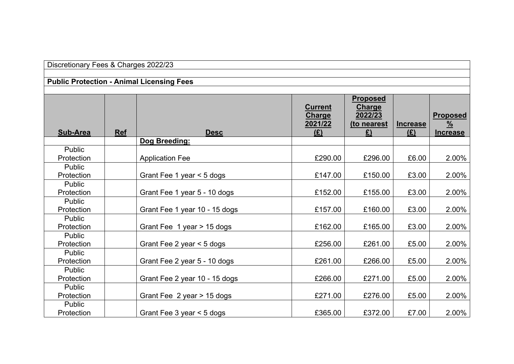| Discretionary Fees & Charges 2022/23 |            |                                                  |                                            |                                                           |                        |                                                     |
|--------------------------------------|------------|--------------------------------------------------|--------------------------------------------|-----------------------------------------------------------|------------------------|-----------------------------------------------------|
|                                      |            | <b>Public Protection - Animal Licensing Fees</b> |                                            |                                                           |                        |                                                     |
|                                      |            |                                                  |                                            |                                                           |                        |                                                     |
| <b>Sub-Area</b>                      | <b>Ref</b> | <b>Desc</b>                                      | <b>Current</b><br>Charge<br>2021/22<br>(E) | <b>Proposed</b><br>Charge<br>2022/23<br>(to nearest<br>£) | <b>Increase</b><br>(E) | <b>Proposed</b><br>$\frac{9}{6}$<br><b>Increase</b> |
|                                      |            | Dog Breeding:                                    |                                            |                                                           |                        |                                                     |
| Public<br>Protection                 |            | <b>Application Fee</b>                           | £290.00                                    | £296.00                                                   | £6.00                  | 2.00%                                               |
| Public<br>Protection                 |            | Grant Fee 1 year < 5 dogs                        | £147.00                                    | £150.00                                                   | £3.00                  | 2.00%                                               |
| Public<br>Protection                 |            | Grant Fee 1 year 5 - 10 dogs                     | £152.00                                    | £155.00                                                   | £3.00                  | 2.00%                                               |
| Public<br>Protection                 |            | Grant Fee 1 year 10 - 15 dogs                    | £157.00                                    | £160.00                                                   | £3.00                  | 2.00%                                               |
| <b>Public</b><br>Protection          |            | Grant Fee 1 year > 15 dogs                       | £162.00                                    | £165.00                                                   | £3.00                  | 2.00%                                               |
| Public<br>Protection                 |            | Grant Fee 2 year < 5 dogs                        | £256.00                                    | £261.00                                                   | £5.00                  | 2.00%                                               |
| Public<br>Protection                 |            | Grant Fee 2 year 5 - 10 dogs                     | £261.00                                    | £266.00                                                   | £5.00                  | 2.00%                                               |
| Public<br>Protection                 |            | Grant Fee 2 year 10 - 15 dogs                    | £266.00                                    | £271.00                                                   | £5.00                  | 2.00%                                               |
| Public<br>Protection                 |            | Grant Fee 2 year > 15 dogs                       | £271.00                                    | £276.00                                                   | £5.00                  | 2.00%                                               |
| Public<br>Protection                 |            | Grant Fee $3$ year $\leq 5$ dogs                 | £365.00                                    | £372.00                                                   | £7.00                  | 2.00%                                               |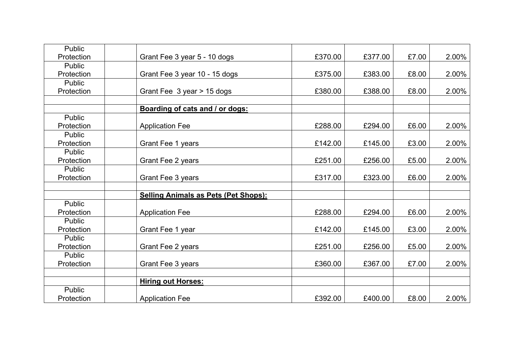| Public               |                                             |         |         |       |       |
|----------------------|---------------------------------------------|---------|---------|-------|-------|
| Protection           | Grant Fee 3 year 5 - 10 dogs                | £370.00 | £377.00 | £7.00 | 2.00% |
| Public               |                                             |         |         |       |       |
| Protection           | Grant Fee 3 year 10 - 15 dogs               | £375.00 | £383.00 | £8.00 | 2.00% |
| Public               |                                             |         |         |       |       |
| Protection           | Grant Fee 3 year > 15 dogs                  | £380.00 | £388.00 | £8.00 | 2.00% |
|                      |                                             |         |         |       |       |
|                      | Boarding of cats and / or dogs:             |         |         |       |       |
| Public               |                                             |         |         |       |       |
| Protection           | <b>Application Fee</b>                      | £288.00 | £294.00 | £6.00 | 2.00% |
| Public               |                                             |         |         |       |       |
| Protection           | Grant Fee 1 years                           | £142.00 | £145.00 | £3.00 | 2.00% |
| Public               |                                             |         |         |       |       |
| Protection           | Grant Fee 2 years                           | £251.00 | £256.00 | £5.00 | 2.00% |
| Public               |                                             |         |         |       |       |
| Protection           | Grant Fee 3 years                           | £317.00 | £323.00 | £6.00 | 2.00% |
|                      |                                             |         |         |       |       |
|                      | <b>Selling Animals as Pets (Pet Shops):</b> |         |         |       |       |
| Public               |                                             |         |         |       |       |
| Protection           | <b>Application Fee</b>                      | £288.00 | £294.00 | £6.00 | 2.00% |
| Public               |                                             |         |         |       |       |
| Protection           | Grant Fee 1 year                            | £142.00 | £145.00 | £3.00 | 2.00% |
| Public               |                                             |         |         |       |       |
| Protection           | Grant Fee 2 years                           | £251.00 | £256.00 | £5.00 | 2.00% |
| Public<br>Protection |                                             |         |         | £7.00 | 2.00% |
|                      | Grant Fee 3 years                           | £360.00 | £367.00 |       |       |
|                      |                                             |         |         |       |       |
| Public               | <b>Hiring out Horses:</b>                   |         |         |       |       |
| Protection           |                                             | £392.00 | £400.00 | £8.00 | 2.00% |
|                      | <b>Application Fee</b>                      |         |         |       |       |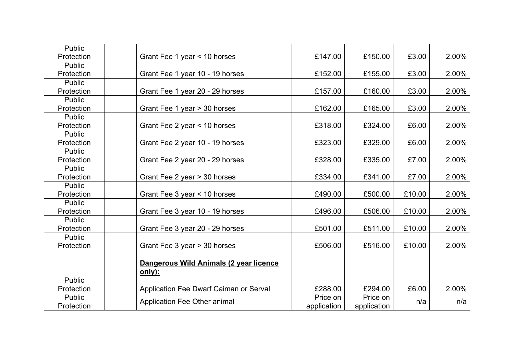| Public        |                                        |             |             |        |       |
|---------------|----------------------------------------|-------------|-------------|--------|-------|
| Protection    | Grant Fee 1 year < 10 horses           | £147.00     | £150.00     | £3.00  | 2.00% |
| Public        |                                        |             |             |        |       |
| Protection    | Grant Fee 1 year 10 - 19 horses        | £152.00     | £155.00     | £3.00  | 2.00% |
| Public        |                                        |             |             |        |       |
| Protection    | Grant Fee 1 year 20 - 29 horses        | £157.00     | £160.00     | £3.00  | 2.00% |
| Public        |                                        |             |             |        |       |
| Protection    | Grant Fee 1 year > 30 horses           | £162.00     | £165.00     | £3.00  | 2.00% |
| Public        |                                        |             |             |        |       |
| Protection    | Grant Fee 2 year < 10 horses           | £318.00     | £324.00     | £6.00  | 2.00% |
| Public        |                                        |             |             |        |       |
| Protection    | Grant Fee 2 year 10 - 19 horses        | £323.00     | £329.00     | £6.00  | 2.00% |
| <b>Public</b> |                                        |             |             |        |       |
| Protection    | Grant Fee 2 year 20 - 29 horses        | £328.00     | £335.00     | £7.00  | 2.00% |
| Public        |                                        |             |             |        |       |
| Protection    | Grant Fee 2 year > 30 horses           | £334.00     | £341.00     | £7.00  | 2.00% |
| Public        |                                        |             |             |        |       |
| Protection    | Grant Fee 3 year < 10 horses           | £490.00     | £500.00     | £10.00 | 2.00% |
| Public        |                                        |             |             |        |       |
| Protection    | Grant Fee 3 year 10 - 19 horses        | £496.00     | £506.00     | £10.00 | 2.00% |
| Public        |                                        |             |             |        |       |
| Protection    | Grant Fee 3 year 20 - 29 horses        | £501.00     | £511.00     | £10.00 | 2.00% |
| Public        |                                        |             |             |        |       |
| Protection    | Grant Fee 3 year > 30 horses           | £506.00     | £516.00     | £10.00 | 2.00% |
|               |                                        |             |             |        |       |
|               | Dangerous Wild Animals (2 year licence |             |             |        |       |
|               | only):                                 |             |             |        |       |
| Public        |                                        |             |             |        |       |
| Protection    | Application Fee Dwarf Caiman or Serval | £288.00     | £294.00     | £6.00  | 2.00% |
| Public        | Application Fee Other animal           | Price on    | Price on    | n/a    | n/a   |
| Protection    |                                        | application | application |        |       |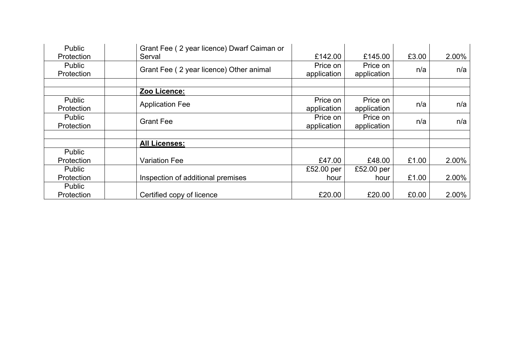| Public            | Grant Fee (2 year licence) Dwarf Caiman or |             |             |       |       |
|-------------------|--------------------------------------------|-------------|-------------|-------|-------|
| Protection        | Serval                                     | £142.00     | £145.00     | £3.00 | 2.00% |
| <b>Public</b>     | Grant Fee (2 year licence) Other animal    | Price on    | Price on    | n/a   | n/a   |
| Protection        |                                            | application | application |       |       |
|                   |                                            |             |             |       |       |
|                   | Zoo Licence:                               |             |             |       |       |
| Public            |                                            | Price on    | Price on    |       |       |
| Protection        | <b>Application Fee</b>                     | application | application | n/a   | n/a   |
| <b>Public</b>     |                                            | Price on    | Price on    |       |       |
| Protection        | <b>Grant Fee</b>                           | application | application | n/a   | n/a   |
|                   |                                            |             |             |       |       |
|                   | <b>All Licenses:</b>                       |             |             |       |       |
| Public            |                                            |             |             |       |       |
| <b>Protection</b> | <b>Variation Fee</b>                       | £47.00      | £48.00      | £1.00 | 2.00% |
| Public            |                                            | £52.00 per  | £52.00 per  |       |       |
| Protection        | Inspection of additional premises          | hour        | hour        | £1.00 | 2.00% |
| Public            |                                            |             |             |       |       |
| Protection        | Certified copy of licence                  | £20.00      | £20.00      | £0.00 | 2.00% |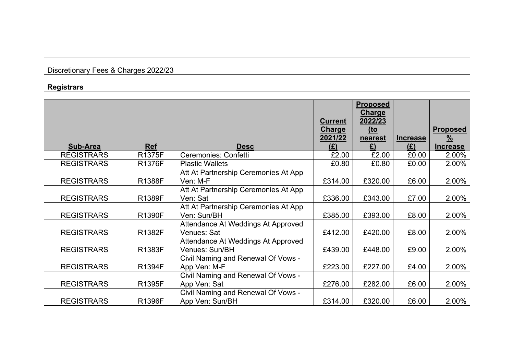| Discretionary Fees & Charges 2022/23 |  |  |  |
|--------------------------------------|--|--|--|
|--------------------------------------|--|--|--|

## **Registrars**

|                   |               |                                      |                | <b>Proposed</b><br><b>Charge</b> |                 |                 |
|-------------------|---------------|--------------------------------------|----------------|----------------------------------|-----------------|-----------------|
|                   |               |                                      | <b>Current</b> | 2022/23                          |                 |                 |
|                   |               |                                      | <b>Charge</b>  | <u>(to</u>                       |                 | <b>Proposed</b> |
|                   |               |                                      | 2021/22        | nearest                          | <b>Increase</b> | $\frac{9}{6}$   |
| Sub-Area          | <b>Ref</b>    | <b>Desc</b>                          | (E)            | £)                               | (E)             | <b>Increase</b> |
| <b>REGISTRARS</b> | <b>R1375F</b> | Ceremonies: Confetti                 | £2.00          | £2.00                            | £0.00           | 2.00%           |
| <b>REGISTRARS</b> | R1376F        | <b>Plastic Wallets</b>               | £0.80          | £0.80                            | £0.00           | 2.00%           |
|                   |               | Att At Partnership Ceremonies At App |                |                                  |                 |                 |
| <b>REGISTRARS</b> | R1388F        | Ven: M-F                             | £314.00        | £320.00                          | £6.00           | 2.00%           |
|                   |               | Att At Partnership Ceremonies At App |                |                                  |                 |                 |
| <b>REGISTRARS</b> | R1389F        | Ven: Sat                             | £336.00        | £343.00                          | £7.00           | 2.00%           |
|                   |               | Att At Partnership Ceremonies At App |                |                                  |                 |                 |
| <b>REGISTRARS</b> | <b>R1390F</b> | Ven: Sun/BH                          | £385.00        | £393.00                          | £8.00           | 2.00%           |
|                   |               | Attendance At Weddings At Approved   |                |                                  |                 |                 |
| <b>REGISTRARS</b> | R1382F        | Venues: Sat                          | £412.00        | £420.00                          | £8.00           | 2.00%           |
|                   |               | Attendance At Weddings At Approved   |                |                                  |                 |                 |
| <b>REGISTRARS</b> | R1383F        | Venues: Sun/BH                       | £439.00        | £448.00                          | £9.00           | 2.00%           |
|                   |               | Civil Naming and Renewal Of Vows -   |                |                                  |                 |                 |
| <b>REGISTRARS</b> | R1394F        | App Ven: M-F                         | £223.00        | £227.00                          | £4.00           | 2.00%           |
|                   |               | Civil Naming and Renewal Of Vows -   |                |                                  |                 |                 |
| <b>REGISTRARS</b> | R1395F        | App Ven: Sat                         | £276.00        | £282.00                          | £6.00           | 2.00%           |
|                   |               | Civil Naming and Renewal Of Vows -   |                |                                  |                 |                 |
| <b>REGISTRARS</b> | R1396F        | App Ven: Sun/BH                      | £314.00        | £320.00                          | £6.00           | 2.00%           |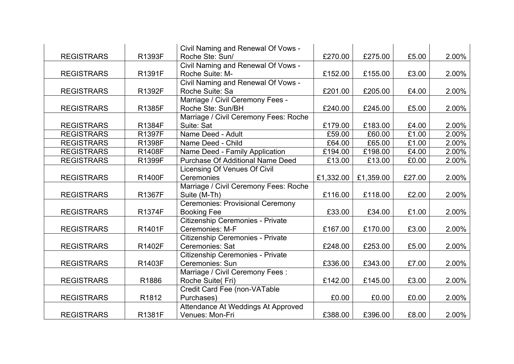|                   |               | Civil Naming and Renewal Of Vows -      |           |           |        |       |
|-------------------|---------------|-----------------------------------------|-----------|-----------|--------|-------|
| <b>REGISTRARS</b> | R1393F        | Roche Ste: Sun/                         | £270.00   | £275.00   | £5.00  | 2.00% |
|                   |               | Civil Naming and Renewal Of Vows -      |           |           |        |       |
| <b>REGISTRARS</b> | R1391F        | Roche Suite: M-                         | £152.00   | £155.00   | £3.00  | 2.00% |
|                   |               | Civil Naming and Renewal Of Vows -      |           |           |        |       |
| <b>REGISTRARS</b> | R1392F        | Roche Suite: Sa                         | £201.00   | £205.00   | £4.00  | 2.00% |
|                   |               | Marriage / Civil Ceremony Fees -        |           |           |        |       |
| <b>REGISTRARS</b> | R1385F        | Roche Ste: Sun/BH                       | £240.00   | £245.00   | £5.00  | 2.00% |
|                   |               | Marriage / Civil Ceremony Fees: Roche   |           |           |        |       |
| <b>REGISTRARS</b> | R1384F        | Suite: Sat                              | £179.00   | £183.00   | £4.00  | 2.00% |
| <b>REGISTRARS</b> | <b>R1397F</b> | Name Deed - Adult                       | £59.00    | £60.00    | £1.00  | 2.00% |
| <b>REGISTRARS</b> | R1398F        | Name Deed - Child                       | £64.00    | £65.00    | £1.00  | 2.00% |
| <b>REGISTRARS</b> | <b>R1408F</b> | Name Deed - Family Application          | £194.00   | £198.00   | £4.00  | 2.00% |
| <b>REGISTRARS</b> | R1399F        | <b>Purchase Of Additional Name Deed</b> | £13.00    | £13.00    | £0.00  | 2.00% |
|                   |               | Licensing Of Venues Of Civil            |           |           |        |       |
| <b>REGISTRARS</b> | <b>R1400F</b> | Ceremonies                              | £1,332.00 | £1,359.00 | £27.00 | 2.00% |
|                   |               | Marriage / Civil Ceremony Fees: Roche   |           |           |        |       |
| <b>REGISTRARS</b> | R1367F        | Suite (M-Th)                            | £116.00   | £118.00   | £2.00  | 2.00% |
|                   |               | <b>Ceremonies: Provisional Ceremony</b> |           |           |        |       |
| <b>REGISTRARS</b> | R1374F        | <b>Booking Fee</b>                      | £33.00    | £34.00    | £1.00  | 2.00% |
|                   |               | Citizenship Ceremonies - Private        |           |           |        |       |
| <b>REGISTRARS</b> | R1401F        | Ceremonies: M-F                         | £167.00   | £170.00   | £3.00  | 2.00% |
|                   |               | Citizenship Ceremonies - Private        |           |           |        |       |
| <b>REGISTRARS</b> | R1402F        | Ceremonies: Sat                         | £248.00   | £253.00   | £5.00  | 2.00% |
|                   |               | Citizenship Ceremonies - Private        |           |           |        |       |
| <b>REGISTRARS</b> | R1403F        | Ceremonies: Sun                         | £336.00   | £343.00   | £7.00  | 2.00% |
|                   |               | Marriage / Civil Ceremony Fees :        |           |           |        |       |
| <b>REGISTRARS</b> | R1886         | Roche Suite(Fri)                        | £142.00   | £145.00   | £3.00  | 2.00% |
|                   |               | Credit Card Fee (non-VATable            |           |           |        |       |
| <b>REGISTRARS</b> | R1812         | Purchases)                              | £0.00     | £0.00     | £0.00  | 2.00% |
|                   |               | Attendance At Weddings At Approved      |           |           |        |       |
| <b>REGISTRARS</b> | R1381F        | Venues: Mon-Fri                         | £388.00   | £396.00   | £8.00  | 2.00% |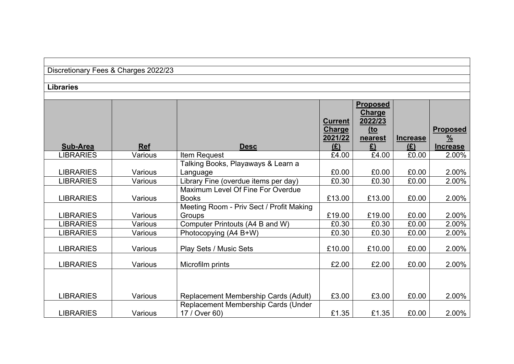| Discretionary Fees & Charges 2022/23 |  |  |  |
|--------------------------------------|--|--|--|
|--------------------------------------|--|--|--|

#### **Libraries**

|                  |            |                                          | <b>Current</b> | <b>Proposed</b><br><b>Charge</b><br>2022/23 |                        |                                  |
|------------------|------------|------------------------------------------|----------------|---------------------------------------------|------------------------|----------------------------------|
|                  |            |                                          | <b>Charge</b>  | $10$                                        |                        | <b>Proposed</b>                  |
| Sub-Area         | <b>Ref</b> | <b>Desc</b>                              | 2021/22<br>(E) | nearest<br>£)                               | <b>Increase</b><br>(E) | $\frac{9}{6}$<br><b>Increase</b> |
| <b>LIBRARIES</b> | Various    | Item Request                             | £4.00          | £4.00                                       | £0.00                  | 2.00%                            |
|                  |            | Talking Books, Playaways & Learn a       |                |                                             |                        |                                  |
| <b>LIBRARIES</b> | Various    | Language                                 | £0.00          | £0.00                                       | £0.00                  | 2.00%                            |
| <b>LIBRARIES</b> | Various    | Library Fine (overdue items per day)     | £0.30          | £0.30                                       | £0.00                  | 2.00%                            |
|                  |            | Maximum Level Of Fine For Overdue        |                |                                             |                        |                                  |
| <b>LIBRARIES</b> | Various    | <b>Books</b>                             | £13.00         | £13.00                                      | £0.00                  | 2.00%                            |
|                  |            | Meeting Room - Priv Sect / Profit Making |                |                                             |                        |                                  |
| <b>LIBRARIES</b> | Various    | Groups                                   | £19.00         | £19.00                                      | £0.00                  | 2.00%                            |
| <b>LIBRARIES</b> | Various    | Computer Printouts (A4 B and W)          | £0.30          | £0.30                                       | £0.00                  | 2.00%                            |
| <b>LIBRARIES</b> | Various    | Photocopying (A4 B+W)                    | £0.30          | £0.30                                       | £0.00                  | 2.00%                            |
| <b>LIBRARIES</b> | Various    | Play Sets / Music Sets                   | £10.00         | £10.00                                      | £0.00                  | 2.00%                            |
| <b>LIBRARIES</b> | Various    | Microfilm prints                         | £2.00          | £2.00                                       | £0.00                  | 2.00%                            |
|                  |            |                                          |                |                                             |                        |                                  |
| <b>LIBRARIES</b> | Various    | Replacement Membership Cards (Adult)     | £3.00          | £3.00                                       | £0.00                  | 2.00%                            |
|                  |            | Replacement Membership Cards (Under      |                |                                             |                        |                                  |
| <b>LIBRARIES</b> | Various    | 17 / Over 60)                            | £1.35          | £1.35                                       | £0.00                  | 2.00%                            |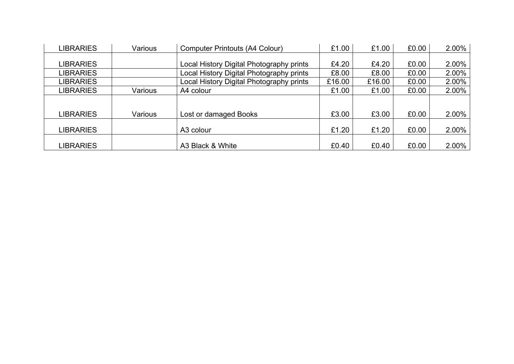| <b>LIBRARIES</b> | Various | <b>Computer Printouts (A4 Colour)</b>    | £1.00  | £1.00  | £0.00 | 2.00% |
|------------------|---------|------------------------------------------|--------|--------|-------|-------|
|                  |         |                                          |        |        |       |       |
| <b>LIBRARIES</b> |         | Local History Digital Photography prints | £4.20  | £4.20  | £0.00 | 2.00% |
| <b>LIBRARIES</b> |         | Local History Digital Photography prints | £8.00  | £8.00  | £0.00 | 2.00% |
| <b>LIBRARIES</b> |         | Local History Digital Photography prints | £16.00 | £16.00 | £0.00 | 2.00% |
| <b>LIBRARIES</b> | Various | A4 colour                                | £1.00  | £1.00  | £0.00 | 2.00% |
|                  |         |                                          |        |        |       |       |
|                  |         |                                          |        |        |       |       |
| <b>LIBRARIES</b> | Various | Lost or damaged Books                    | £3.00  | £3.00  | £0.00 | 2.00% |
|                  |         |                                          |        |        |       |       |
| <b>LIBRARIES</b> |         | A3 colour                                | £1.20  | £1.20  | £0.00 | 2.00% |
|                  |         |                                          |        |        |       |       |
| <b>LIBRARIES</b> |         | A3 Black & White                         | £0.40  | £0.40  | £0.00 | 2.00% |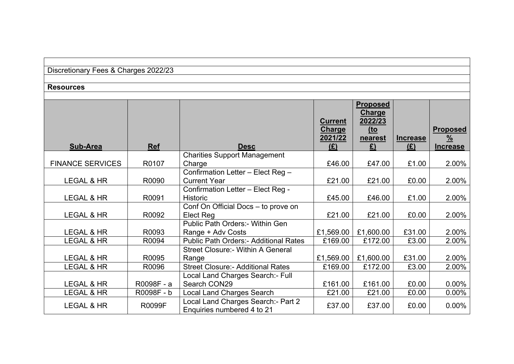| Discretionary Fees & Charges 2022/23 |  |  |  |
|--------------------------------------|--|--|--|
|--------------------------------------|--|--|--|

#### **Resources**

|                         |               |                                                                  | <b>Current</b><br><b>Charge</b><br>2021/22 | <b>Proposed</b><br>Charge<br>2022/23<br>$10$<br>nearest | <b>Increase</b> | <b>Proposed</b><br>$\frac{9}{6}$ |
|-------------------------|---------------|------------------------------------------------------------------|--------------------------------------------|---------------------------------------------------------|-----------------|----------------------------------|
| <b>Sub-Area</b>         | <b>Ref</b>    | <b>Desc</b>                                                      | (E)                                        | $\mathbf{f}$                                            | (E)             | <b>Increase</b>                  |
| <b>FINANCE SERVICES</b> | R0107         | <b>Charities Support Management</b><br>Charge                    | £46.00                                     | £47.00                                                  | £1.00           | 2.00%                            |
| LEGAL & HR              | R0090         | Confirmation Letter - Elect Reg -<br><b>Current Year</b>         | £21.00                                     | £21.00                                                  | £0.00           | 2.00%                            |
| <b>LEGAL &amp; HR</b>   | R0091         | Confirmation Letter - Elect Reg -<br><b>Historic</b>             | £45.00                                     | £46.00                                                  | £1.00           | 2.00%                            |
| LEGAL & HR              | R0092         | Conf On Official Docs - to prove on<br>Elect Reg                 | £21.00                                     | £21.00                                                  | £0.00           | 2.00%                            |
| LEGAL & HR              | R0093         | Public Path Orders:- Within Gen<br>Range + Adv Costs             | £1,569.00                                  | £1,600.00                                               | £31.00          | 2.00%                            |
| <b>LEGAL &amp; HR</b>   | R0094         | <b>Public Path Orders:- Additional Rates</b>                     | £169.00                                    | £172.00                                                 | £3.00           | 2.00%                            |
| LEGAL & HR              | R0095         | Street Closure: - Within A General<br>Range                      | £1,569.00                                  | £1,600.00                                               | £31.00          | 2.00%                            |
| <b>LEGAL &amp; HR</b>   | R0096         | <b>Street Closure:- Additional Rates</b>                         | £169.00                                    | £172.00                                                 | £3.00           | 2.00%                            |
| LEGAL & HR              | R0098F - a    | Local Land Charges Search:- Full<br>Search CON29                 | £161.00                                    | £161.00                                                 | £0.00           | $0.00\%$                         |
| <b>LEGAL &amp; HR</b>   | R0098F-b      | <b>Local Land Charges Search</b>                                 | £21.00                                     | £21.00                                                  | £0.00           | $0.00\%$                         |
| LEGAL & HR              | <b>R0099F</b> | Local Land Charges Search:- Part 2<br>Enquiries numbered 4 to 21 | £37.00                                     | £37.00                                                  | £0.00           | $0.00\%$                         |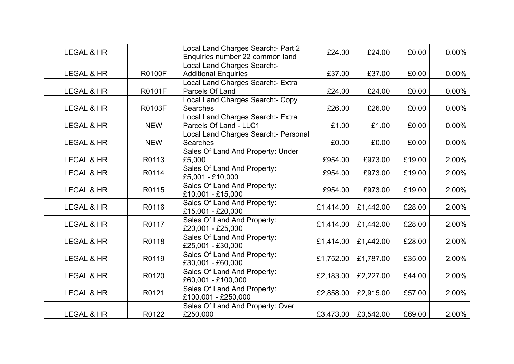| <b>LEGAL &amp; HR</b> |               | Local Land Charges Search: - Part 2<br>Enquiries number 22 common land | £24.00    | £24.00    | £0.00  | $0.00\%$ |
|-----------------------|---------------|------------------------------------------------------------------------|-----------|-----------|--------|----------|
| LEGAL & HR            | <b>R0100F</b> | <b>Local Land Charges Search:-</b><br><b>Additional Enquiries</b>      | £37.00    | £37.00    | £0.00  | $0.00\%$ |
| LEGAL & HR            | <b>R0101F</b> | Local Land Charges Search:- Extra<br>Parcels Of Land                   | £24.00    | £24.00    | £0.00  | $0.00\%$ |
| LEGAL & HR            | <b>R0103F</b> | Local Land Charges Search:- Copy<br><b>Searches</b>                    | £26.00    | £26.00    | £0.00  | $0.00\%$ |
| LEGAL & HR            | <b>NEW</b>    | Local Land Charges Search:- Extra<br>Parcels Of Land - LLC1            | £1.00     | £1.00     | £0.00  | $0.00\%$ |
| LEGAL & HR            | <b>NEW</b>    | Local Land Charges Search:- Personal<br><b>Searches</b>                | £0.00     | £0.00     | £0.00  | $0.00\%$ |
| LEGAL & HR            | R0113         | Sales Of Land And Property: Under<br>£5,000                            | £954.00   | £973.00   | £19.00 | 2.00%    |
| <b>LEGAL &amp; HR</b> | R0114         | Sales Of Land And Property:<br>£5,001 - £10,000                        | £954.00   | £973.00   | £19.00 | 2.00%    |
| <b>LEGAL &amp; HR</b> | R0115         | Sales Of Land And Property:<br>£10,001 - £15,000                       | £954.00   | £973.00   | £19.00 | 2.00%    |
| <b>LEGAL &amp; HR</b> | R0116         | Sales Of Land And Property:<br>£15,001 - £20,000                       | £1,414.00 | £1,442.00 | £28.00 | 2.00%    |
| <b>LEGAL &amp; HR</b> | R0117         | Sales Of Land And Property:<br>£20,001 - £25,000                       | £1,414.00 | £1,442.00 | £28.00 | 2.00%    |
| <b>LEGAL &amp; HR</b> | R0118         | Sales Of Land And Property:<br>£25,001 - £30,000                       | £1,414.00 | £1,442.00 | £28.00 | 2.00%    |
| <b>LEGAL &amp; HR</b> | R0119         | Sales Of Land And Property:<br>£30,001 - £60,000                       | £1,752.00 | £1,787.00 | £35.00 | 2.00%    |
| <b>LEGAL &amp; HR</b> | R0120         | Sales Of Land And Property:<br>£60,001 - £100,000                      | £2,183.00 | £2,227.00 | £44.00 | 2.00%    |
| LEGAL & HR            | R0121         | Sales Of Land And Property:<br>£100,001 - £250,000                     | £2,858.00 | £2,915.00 | £57.00 | 2.00%    |
| LEGAL & HR            | R0122         | Sales Of Land And Property: Over<br>£250,000                           | £3,473.00 | £3,542.00 | £69.00 | 2.00%    |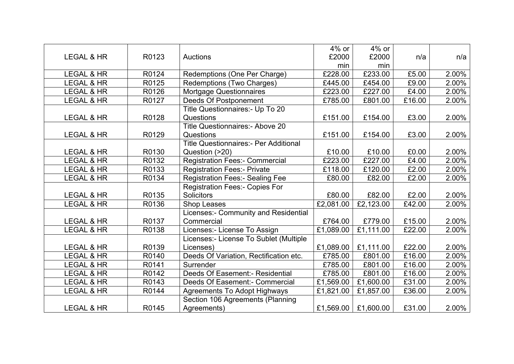|                       |       |                                              | 4% or     | 4% or     |        |       |
|-----------------------|-------|----------------------------------------------|-----------|-----------|--------|-------|
| <b>LEGAL &amp; HR</b> | R0123 | <b>Auctions</b>                              | £2000     | £2000     | n/a    | n/a   |
|                       |       |                                              | min       | min       |        |       |
| <b>LEGAL &amp; HR</b> | R0124 | Redemptions (One Per Charge)                 | £228.00   | £233.00   | £5.00  | 2.00% |
| <b>LEGAL &amp; HR</b> | R0125 | Redemptions (Two Charges)                    | £445.00   | £454.00   | £9.00  | 2.00% |
| <b>LEGAL &amp; HR</b> | R0126 | Mortgage Questionnaires                      | £223.00   | £227.00   | £4.00  | 2.00% |
| <b>LEGAL &amp; HR</b> | R0127 | <b>Deeds Of Postponement</b>                 | £785.00   | £801.00   | £16.00 | 2.00% |
|                       |       | Title Questionnaires:- Up To 20              |           |           |        |       |
| LEGAL & HR            | R0128 | Questions                                    | £151.00   | £154.00   | £3.00  | 2.00% |
|                       |       | <b>Title Questionnaires:- Above 20</b>       |           |           |        |       |
| <b>LEGAL &amp; HR</b> | R0129 | Questions                                    | £151.00   | £154.00   | £3.00  | 2.00% |
|                       |       | <b>Title Questionnaires:- Per Additional</b> |           |           |        |       |
| <b>LEGAL &amp; HR</b> | R0130 | Question (>20)                               | £10.00    | £10.00    | £0.00  | 2.00% |
| <b>LEGAL &amp; HR</b> | R0132 | <b>Registration Fees:- Commercial</b>        | £223.00   | £227.00   | £4.00  | 2.00% |
| <b>LEGAL &amp; HR</b> | R0133 | <b>Registration Fees:- Private</b>           | £118.00   | £120.00   | £2.00  | 2.00% |
| <b>LEGAL &amp; HR</b> | R0134 | <b>Registration Fees:- Sealing Fee</b>       | £80.00    | £82.00    | £2.00  | 2.00% |
|                       |       | <b>Registration Fees:- Copies For</b>        |           |           |        |       |
| <b>LEGAL &amp; HR</b> | R0135 | <b>Solicitors</b>                            | £80.00    | £82.00    | £2.00  | 2.00% |
| LEGAL & HR            | R0136 | Shop Leases                                  | £2,081.00 | £2,123.00 | £42.00 | 2.00% |
|                       |       | Licenses:- Community and Residential         |           |           |        |       |
| <b>LEGAL &amp; HR</b> | R0137 | Commercial                                   | £764.00   | £779.00   | £15.00 | 2.00% |
| LEGAL & HR            | R0138 | Licenses:- License To Assign                 | £1,089.00 | £1,111.00 | £22.00 | 2.00% |
|                       |       | Licenses:- License To Sublet (Multiple       |           |           |        |       |
| <b>LEGAL &amp; HR</b> | R0139 | Licenses)                                    | £1,089.00 | £1,111.00 | £22.00 | 2.00% |
| <b>LEGAL &amp; HR</b> | R0140 | Deeds Of Variation, Rectification etc.       | £785.00   | £801.00   | £16.00 | 2.00% |
| <b>LEGAL &amp; HR</b> | R0141 | Surrender                                    | £785.00   | £801.00   | £16.00 | 2.00% |
| <b>LEGAL &amp; HR</b> | R0142 | Deeds Of Easement:- Residential              | £785.00   | £801.00   | £16.00 | 2.00% |
| <b>LEGAL &amp; HR</b> | R0143 | Deeds Of Easement:- Commercial               | £1,569.00 | £1,600.00 | £31.00 | 2.00% |
| LEGAL & HR            | R0144 | <b>Agreements To Adopt Highways</b>          | £1,821.00 | £1,857.00 | £36.00 | 2.00% |
|                       |       | Section 106 Agreements (Planning             |           |           |        |       |
| <b>LEGAL &amp; HR</b> | R0145 | Agreements)                                  | £1,569.00 | £1,600.00 | £31.00 | 2.00% |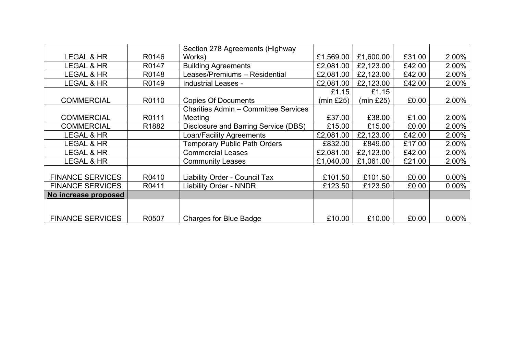|                         |       | Section 278 Agreements (Highway             |           |           |        |          |
|-------------------------|-------|---------------------------------------------|-----------|-----------|--------|----------|
| LEGAL & HR              | R0146 | Works)                                      | £1,569.00 | £1,600.00 | £31.00 | 2.00%    |
| LEGAL & HR              | R0147 | <b>Building Agreements</b>                  | £2,081.00 | £2,123.00 | £42.00 | 2.00%    |
| <b>LEGAL &amp; HR</b>   | R0148 | Leases/Premiums - Residential               | £2,081.00 | £2,123.00 | £42.00 | 2.00%    |
| LEGAL & HR              | R0149 | <b>Industrial Leases -</b>                  | £2,081.00 | £2,123.00 | £42.00 | 2.00%    |
|                         |       |                                             | £1.15     | £1.15     |        |          |
| <b>COMMERCIAL</b>       | R0110 | <b>Copies Of Documents</b>                  | (min £25) | (min £25) | £0.00  | 2.00%    |
|                         |       | <b>Charities Admin - Committee Services</b> |           |           |        |          |
| <b>COMMERCIAL</b>       | R0111 | Meeting                                     | £37.00    | £38.00    | £1.00  | 2.00%    |
| <b>COMMERCIAL</b>       | R1882 | Disclosure and Barring Service (DBS)        | £15.00    | £15.00    | £0.00  | 2.00%    |
| LEGAL & HR              |       | Loan/Facility Agreements                    | £2,081.00 | £2,123.00 | £42.00 | 2.00%    |
| LEGAL & HR              |       | <b>Temporary Public Path Orders</b>         | £832.00   | £849.00   | £17.00 | 2.00%    |
| LEGAL & HR              |       | <b>Commercial Leases</b>                    | £2,081.00 | £2,123.00 | £42.00 | 2.00%    |
| LEGAL & HR              |       | <b>Community Leases</b>                     | £1,040.00 | £1,061.00 | £21.00 | 2.00%    |
|                         |       |                                             |           |           |        |          |
| <b>FINANCE SERVICES</b> | R0410 | Liability Order - Council Tax               | £101.50   | £101.50   | £0.00  | $0.00\%$ |
| <b>FINANCE SERVICES</b> | R0411 | <b>Liability Order - NNDR</b>               | £123.50   | £123.50   | £0.00  | $0.00\%$ |
| No increase proposed    |       |                                             |           |           |        |          |
|                         |       |                                             |           |           |        |          |
|                         |       |                                             |           |           |        |          |
| <b>FINANCE SERVICES</b> | R0507 | <b>Charges for Blue Badge</b>               | £10.00    | £10.00    | £0.00  | $0.00\%$ |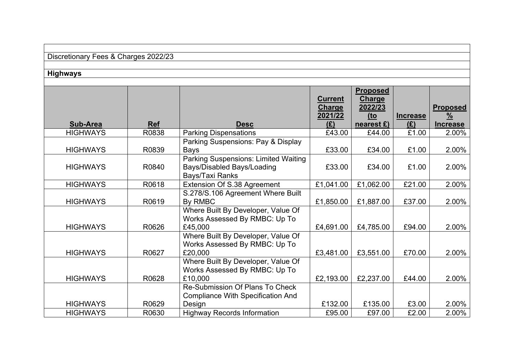| Discretionary Fees & Charges 2022/23 |  |  |  |
|--------------------------------------|--|--|--|
|--------------------------------------|--|--|--|

# **Highways**

|                 |            |                                                                                              | <b>Current</b><br>Charge<br>2021/22 | <b>Proposed</b><br><b>Charge</b><br>2022/23<br>$10$ | <b>Increase</b> | <b>Proposed</b><br>$\frac{9}{6}$ |
|-----------------|------------|----------------------------------------------------------------------------------------------|-------------------------------------|-----------------------------------------------------|-----------------|----------------------------------|
| <b>Sub-Area</b> | <b>Ref</b> | <b>Desc</b>                                                                                  | (E)                                 | nearest $E$ )                                       | (E)             | <b>Increase</b>                  |
| <b>HIGHWAYS</b> | R0838      | <b>Parking Dispensations</b>                                                                 | £43.00                              | £44.00                                              | £1.00           | 2.00%                            |
| <b>HIGHWAYS</b> | R0839      | Parking Suspensions: Pay & Display<br>Bays                                                   | £33.00                              | £34.00                                              | £1.00           | 2.00%                            |
| <b>HIGHWAYS</b> | R0840      | <b>Parking Suspensions: Limited Waiting</b><br>Bays/Disabled Bays/Loading<br>Bays/Taxi Ranks | £33.00                              | £34.00                                              | £1.00           | 2.00%                            |
| <b>HIGHWAYS</b> | R0618      | Extension Of S.38 Agreement                                                                  | £1,041.00                           | £1,062.00                                           | £21.00          | 2.00%                            |
| <b>HIGHWAYS</b> | R0619      | S.278/S.106 Agreement Where Built<br>By RMBC                                                 | £1,850.00                           | £1,887.00                                           | £37.00          | 2.00%                            |
| <b>HIGHWAYS</b> | R0626      | Where Built By Developer, Value Of<br>Works Assessed By RMBC: Up To<br>£45,000               | £4,691.00                           | £4,785.00                                           | £94.00          | 2.00%                            |
| <b>HIGHWAYS</b> | R0627      | Where Built By Developer, Value Of<br>Works Assessed By RMBC: Up To<br>£20,000               | £3,481.00                           | £3,551.00                                           | £70.00          | 2.00%                            |
| <b>HIGHWAYS</b> | R0628      | Where Built By Developer, Value Of<br>Works Assessed By RMBC: Up To<br>£10,000               | £2,193.00                           | £2,237.00                                           | £44.00          | 2.00%                            |
|                 |            | Re-Submission Of Plans To Check<br><b>Compliance With Specification And</b>                  |                                     |                                                     |                 |                                  |
| <b>HIGHWAYS</b> | R0629      | Design                                                                                       | £132.00                             | £135.00                                             | £3.00           | 2.00%                            |
| <b>HIGHWAYS</b> | R0630      | <b>Highway Records Information</b>                                                           | £95.00                              | £97.00                                              | £2.00           | 2.00%                            |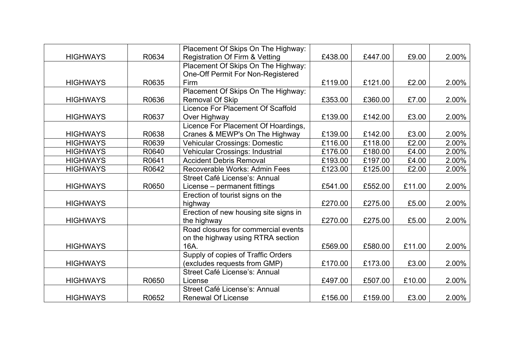|                 |       | Placement Of Skips On The Highway:    |         |         |        |       |
|-----------------|-------|---------------------------------------|---------|---------|--------|-------|
| <b>HIGHWAYS</b> | R0634 | Registration Of Firm & Vetting        | £438.00 | £447.00 | £9.00  | 2.00% |
|                 |       | Placement Of Skips On The Highway:    |         |         |        |       |
|                 |       | One-Off Permit For Non-Registered     |         |         |        |       |
| <b>HIGHWAYS</b> | R0635 | Firm                                  | £119.00 | £121.00 | £2.00  | 2.00% |
|                 |       | Placement Of Skips On The Highway:    |         |         |        |       |
| <b>HIGHWAYS</b> | R0636 | <b>Removal Of Skip</b>                | £353.00 | £360.00 | £7.00  | 2.00% |
|                 |       | Licence For Placement Of Scaffold     |         |         |        |       |
| <b>HIGHWAYS</b> | R0637 | Over Highway                          | £139.00 | £142.00 | £3.00  | 2.00% |
|                 |       | Licence For Placement Of Hoardings,   |         |         |        |       |
| <b>HIGHWAYS</b> | R0638 | Cranes & MEWP's On The Highway        | £139.00 | £142.00 | £3.00  | 2.00% |
| <b>HIGHWAYS</b> | R0639 | <b>Vehicular Crossings: Domestic</b>  | £116.00 | £118.00 | £2.00  | 2.00% |
| <b>HIGHWAYS</b> | R0640 | Vehicular Crossings: Industrial       | £176.00 | £180.00 | £4.00  | 2.00% |
| <b>HIGHWAYS</b> | R0641 | <b>Accident Debris Removal</b>        | £193.00 | £197.00 | £4.00  | 2.00% |
| <b>HIGHWAYS</b> | R0642 | Recoverable Works: Admin Fees         | £123.00 | £125.00 | £2.00  | 2.00% |
|                 |       | Street Café License's: Annual         |         |         |        |       |
| <b>HIGHWAYS</b> | R0650 | License – permanent fittings          | £541.00 | £552.00 | £11.00 | 2.00% |
|                 |       | Erection of tourist signs on the      |         |         |        |       |
| <b>HIGHWAYS</b> |       | highway                               | £270.00 | £275.00 | £5.00  | 2.00% |
|                 |       | Erection of new housing site signs in |         |         |        |       |
| <b>HIGHWAYS</b> |       | the highway                           | £270.00 | £275.00 | £5.00  | 2.00% |
|                 |       | Road closures for commercial events   |         |         |        |       |
|                 |       | on the highway using RTRA section     |         |         |        |       |
| <b>HIGHWAYS</b> |       | 16A.                                  | £569.00 | £580.00 | £11.00 | 2.00% |
|                 |       | Supply of copies of Traffic Orders    |         |         |        |       |
| <b>HIGHWAYS</b> |       | (excludes requests from GMP)          | £170.00 | £173.00 | £3.00  | 2.00% |
|                 |       | Street Café License's: Annual         |         |         |        |       |
| <b>HIGHWAYS</b> | R0650 | License                               | £497.00 | £507.00 | £10.00 | 2.00% |
|                 |       | Street Café License's: Annual         |         |         |        |       |
| <b>HIGHWAYS</b> | R0652 | <b>Renewal Of License</b>             | £156.00 | £159.00 | £3.00  | 2.00% |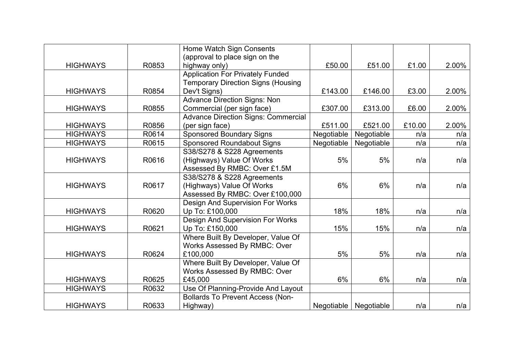|                 |       | Home Watch Sign Consents                   |            |            |        |       |
|-----------------|-------|--------------------------------------------|------------|------------|--------|-------|
|                 |       | (approval to place sign on the             |            |            |        |       |
| <b>HIGHWAYS</b> | R0853 | highway only)                              | £50.00     | £51.00     | £1.00  | 2.00% |
|                 |       | <b>Application For Privately Funded</b>    |            |            |        |       |
|                 |       | <b>Temporary Direction Signs (Housing</b>  |            |            |        |       |
| <b>HIGHWAYS</b> | R0854 | Dev't Signs)                               | £143.00    | £146.00    | £3.00  | 2.00% |
|                 |       | <b>Advance Direction Signs: Non</b>        |            |            |        |       |
| <b>HIGHWAYS</b> | R0855 | Commercial (per sign face)                 | £307.00    | £313.00    | £6.00  | 2.00% |
|                 |       | <b>Advance Direction Signs: Commercial</b> |            |            |        |       |
| <b>HIGHWAYS</b> | R0856 | (per sign face)                            | £511.00    | £521.00    | £10.00 | 2.00% |
| <b>HIGHWAYS</b> | R0614 | <b>Sponsored Boundary Signs</b>            | Negotiable | Negotiable | n/a    | n/a   |
| <b>HIGHWAYS</b> | R0615 | <b>Sponsored Roundabout Signs</b>          | Negotiable | Negotiable | n/a    | n/a   |
|                 |       | S38/S278 & S228 Agreements                 |            |            |        |       |
| <b>HIGHWAYS</b> | R0616 | (Highways) Value Of Works                  | 5%         | 5%         | n/a    | n/a   |
|                 |       | Assessed By RMBC: Over £1.5M               |            |            |        |       |
|                 |       | S38/S278 & S228 Agreements                 |            |            |        |       |
| <b>HIGHWAYS</b> | R0617 | (Highways) Value Of Works                  | 6%         | 6%         | n/a    | n/a   |
|                 |       | Assessed By RMBC: Over £100,000            |            |            |        |       |
|                 |       | Design And Supervision For Works           |            |            |        |       |
| <b>HIGHWAYS</b> | R0620 | Up To: £100,000                            | 18%        | 18%        | n/a    | n/a   |
|                 |       | Design And Supervision For Works           |            |            |        |       |
| <b>HIGHWAYS</b> | R0621 | Up To: £150,000                            | 15%        | 15%        | n/a    | n/a   |
|                 |       | Where Built By Developer, Value Of         |            |            |        |       |
|                 |       | Works Assessed By RMBC: Over               |            |            |        |       |
| <b>HIGHWAYS</b> | R0624 | £100,000                                   | 5%         | 5%         | n/a    | n/a   |
|                 |       | Where Built By Developer, Value Of         |            |            |        |       |
|                 |       | Works Assessed By RMBC: Over               |            |            |        |       |
| <b>HIGHWAYS</b> | R0625 | £45,000                                    | 6%         | 6%         | n/a    | n/a   |
| <b>HIGHWAYS</b> | R0632 | Use Of Planning-Provide And Layout         |            |            |        |       |
|                 |       | <b>Bollards To Prevent Access (Non-</b>    |            |            |        |       |
| <b>HIGHWAYS</b> | R0633 | Highway)                                   | Negotiable | Negotiable | n/a    | n/a   |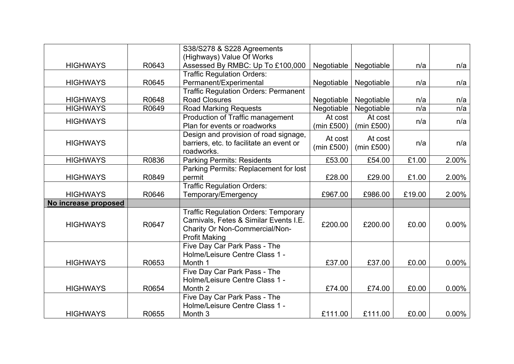|                      |       | S38/S278 & S228 Agreements                  |            |            |        |          |
|----------------------|-------|---------------------------------------------|------------|------------|--------|----------|
|                      |       | (Highways) Value Of Works                   |            |            |        |          |
| <b>HIGHWAYS</b>      | R0643 | Assessed By RMBC: Up To £100,000            | Negotiable | Negotiable | n/a    | n/a      |
|                      |       | <b>Traffic Regulation Orders:</b>           |            |            |        |          |
| <b>HIGHWAYS</b>      | R0645 | Permanent/Experimental                      | Negotiable | Negotiable | n/a    | n/a      |
|                      |       | <b>Traffic Regulation Orders: Permanent</b> |            |            |        |          |
| <b>HIGHWAYS</b>      | R0648 | <b>Road Closures</b>                        | Negotiable | Negotiable | n/a    | n/a      |
| <b>HIGHWAYS</b>      | R0649 | <b>Road Marking Requests</b>                | Negotiable | Negotiable | n/a    | n/a      |
| <b>HIGHWAYS</b>      |       | Production of Traffic management            | At cost    | At cost    | n/a    | n/a      |
|                      |       | Plan for events or roadworks                | (min £500) | (min £500) |        |          |
|                      |       | Design and provision of road signage,       | At cost    | At cost    |        |          |
| <b>HIGHWAYS</b>      |       | barriers, etc. to facilitate an event or    | (min £500) | (min £500) | n/a    | n/a      |
|                      |       | roadworks.                                  |            |            |        |          |
| <b>HIGHWAYS</b>      | R0836 | <b>Parking Permits: Residents</b>           | £53.00     | £54.00     | £1.00  | 2.00%    |
|                      |       | Parking Permits: Replacement for lost       |            |            |        |          |
| <b>HIGHWAYS</b>      | R0849 | permit                                      | £28.00     | £29.00     | £1.00  | 2.00%    |
|                      |       | <b>Traffic Regulation Orders:</b>           |            |            |        |          |
| <b>HIGHWAYS</b>      | R0646 | Temporary/Emergency                         | £967.00    | £986.00    | £19.00 | 2.00%    |
| No increase proposed |       |                                             |            |            |        |          |
|                      |       | <b>Traffic Regulation Orders: Temporary</b> |            |            |        |          |
| <b>HIGHWAYS</b>      | R0647 | Carnivals, Fetes & Similar Events I.E.      | £200.00    | £200.00    | £0.00  | $0.00\%$ |
|                      |       | Charity Or Non-Commercial/Non-              |            |            |        |          |
|                      |       | <b>Profit Making</b>                        |            |            |        |          |
|                      |       | Five Day Car Park Pass - The                |            |            |        |          |
|                      |       | Holme/Leisure Centre Class 1 -              |            |            |        |          |
| <b>HIGHWAYS</b>      | R0653 | Month 1                                     | £37.00     | £37.00     | £0.00  | $0.00\%$ |
|                      |       | Five Day Car Park Pass - The                |            |            |        |          |
|                      |       | Holme/Leisure Centre Class 1 -              |            |            |        |          |
| <b>HIGHWAYS</b>      | R0654 | Month <sub>2</sub>                          | £74.00     | £74.00     | £0.00  | $0.00\%$ |
|                      |       | Five Day Car Park Pass - The                |            |            |        |          |
|                      |       | Holme/Leisure Centre Class 1 -              |            |            |        |          |
| <b>HIGHWAYS</b>      | R0655 | Month <sub>3</sub>                          | £111.00    | £111.00    | £0.00  | $0.00\%$ |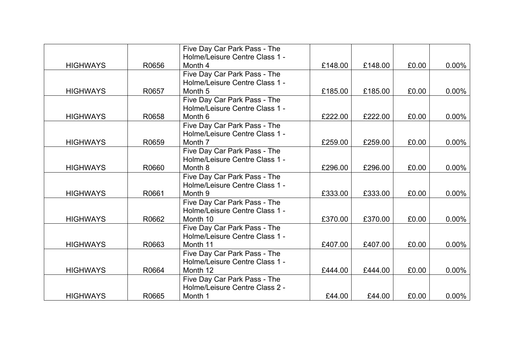|                 |       | Five Day Car Park Pass - The   |         |         |       |          |
|-----------------|-------|--------------------------------|---------|---------|-------|----------|
|                 |       | Holme/Leisure Centre Class 1 - |         |         |       |          |
| <b>HIGHWAYS</b> | R0656 | Month 4                        | £148.00 | £148.00 | £0.00 | $0.00\%$ |
|                 |       | Five Day Car Park Pass - The   |         |         |       |          |
|                 |       | Holme/Leisure Centre Class 1 - |         |         |       |          |
| <b>HIGHWAYS</b> | R0657 | Month <sub>5</sub>             | £185.00 | £185.00 | £0.00 | $0.00\%$ |
|                 |       | Five Day Car Park Pass - The   |         |         |       |          |
|                 |       | Holme/Leisure Centre Class 1 - |         |         |       |          |
| <b>HIGHWAYS</b> | R0658 | Month 6                        | £222.00 | £222.00 | £0.00 | $0.00\%$ |
|                 |       | Five Day Car Park Pass - The   |         |         |       |          |
|                 |       | Holme/Leisure Centre Class 1 - |         |         |       |          |
| <b>HIGHWAYS</b> | R0659 | Month 7                        | £259.00 | £259.00 | £0.00 | $0.00\%$ |
|                 |       | Five Day Car Park Pass - The   |         |         |       |          |
|                 |       | Holme/Leisure Centre Class 1 - |         |         |       |          |
| <b>HIGHWAYS</b> | R0660 | Month 8                        | £296.00 | £296.00 | £0.00 | $0.00\%$ |
|                 |       | Five Day Car Park Pass - The   |         |         |       |          |
|                 |       | Holme/Leisure Centre Class 1 - |         |         |       |          |
| <b>HIGHWAYS</b> | R0661 | Month 9                        | £333.00 | £333.00 | £0.00 | $0.00\%$ |
|                 |       | Five Day Car Park Pass - The   |         |         |       |          |
|                 |       | Holme/Leisure Centre Class 1 - |         |         |       |          |
| <b>HIGHWAYS</b> | R0662 | Month 10                       | £370.00 | £370.00 | £0.00 | $0.00\%$ |
|                 |       | Five Day Car Park Pass - The   |         |         |       |          |
|                 |       | Holme/Leisure Centre Class 1 - |         |         |       |          |
| <b>HIGHWAYS</b> | R0663 | Month 11                       | £407.00 | £407.00 | £0.00 | $0.00\%$ |
|                 |       | Five Day Car Park Pass - The   |         |         |       |          |
|                 |       | Holme/Leisure Centre Class 1 - |         |         |       |          |
| <b>HIGHWAYS</b> | R0664 | Month 12                       | £444.00 | £444.00 | £0.00 | $0.00\%$ |
|                 |       | Five Day Car Park Pass - The   |         |         |       |          |
|                 |       | Holme/Leisure Centre Class 2 - |         |         |       |          |
| <b>HIGHWAYS</b> | R0665 | Month 1                        | £44.00  | £44.00  | £0.00 | $0.00\%$ |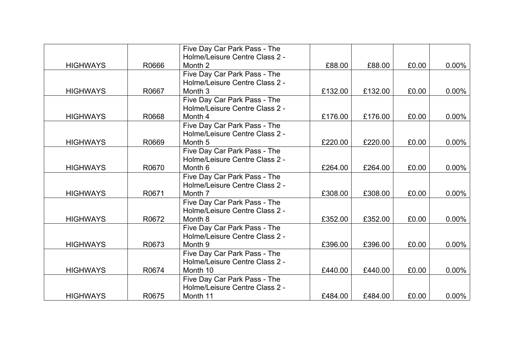|                 |       | Five Day Car Park Pass - The   |         |         |       |          |
|-----------------|-------|--------------------------------|---------|---------|-------|----------|
|                 |       | Holme/Leisure Centre Class 2 - |         |         |       |          |
| <b>HIGHWAYS</b> | R0666 | Month 2                        | £88.00  | £88.00  | £0.00 | $0.00\%$ |
|                 |       | Five Day Car Park Pass - The   |         |         |       |          |
|                 |       | Holme/Leisure Centre Class 2 - |         |         |       |          |
| <b>HIGHWAYS</b> | R0667 | Month 3                        | £132.00 | £132.00 | £0.00 | $0.00\%$ |
|                 |       | Five Day Car Park Pass - The   |         |         |       |          |
|                 |       | Holme/Leisure Centre Class 2 - |         |         |       |          |
| <b>HIGHWAYS</b> | R0668 | Month 4                        | £176.00 | £176.00 | £0.00 | $0.00\%$ |
|                 |       | Five Day Car Park Pass - The   |         |         |       |          |
|                 |       | Holme/Leisure Centre Class 2 - |         |         |       |          |
| <b>HIGHWAYS</b> | R0669 | Month <sub>5</sub>             | £220.00 | £220.00 | £0.00 | $0.00\%$ |
|                 |       | Five Day Car Park Pass - The   |         |         |       |          |
|                 |       | Holme/Leisure Centre Class 2 - |         |         |       |          |
| <b>HIGHWAYS</b> | R0670 | Month 6                        | £264.00 | £264.00 | £0.00 | $0.00\%$ |
|                 |       | Five Day Car Park Pass - The   |         |         |       |          |
|                 |       | Holme/Leisure Centre Class 2 - |         |         |       |          |
| <b>HIGHWAYS</b> | R0671 | Month 7                        | £308.00 | £308.00 | £0.00 | $0.00\%$ |
|                 |       | Five Day Car Park Pass - The   |         |         |       |          |
|                 |       | Holme/Leisure Centre Class 2 - |         |         |       |          |
| <b>HIGHWAYS</b> | R0672 | Month 8                        | £352.00 | £352.00 | £0.00 | $0.00\%$ |
|                 |       | Five Day Car Park Pass - The   |         |         |       |          |
|                 |       | Holme/Leisure Centre Class 2 - |         |         |       |          |
| <b>HIGHWAYS</b> | R0673 | Month 9                        | £396.00 | £396.00 | £0.00 | $0.00\%$ |
|                 |       | Five Day Car Park Pass - The   |         |         |       |          |
|                 |       | Holme/Leisure Centre Class 2 - |         |         |       |          |
| <b>HIGHWAYS</b> | R0674 | Month 10                       | £440.00 | £440.00 | £0.00 | $0.00\%$ |
|                 |       | Five Day Car Park Pass - The   |         |         |       |          |
|                 |       | Holme/Leisure Centre Class 2 - |         |         |       |          |
| <b>HIGHWAYS</b> | R0675 | Month 11                       | £484.00 | £484.00 | £0.00 | $0.00\%$ |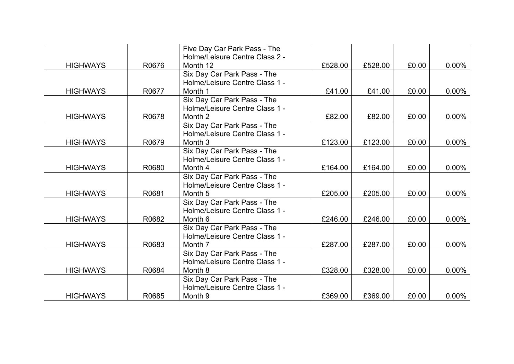|                 |       | Five Day Car Park Pass - The   |         |         |       |          |
|-----------------|-------|--------------------------------|---------|---------|-------|----------|
|                 |       | Holme/Leisure Centre Class 2 - |         |         |       |          |
| <b>HIGHWAYS</b> | R0676 | Month 12                       | £528.00 | £528.00 | £0.00 | $0.00\%$ |
|                 |       | Six Day Car Park Pass - The    |         |         |       |          |
|                 |       | Holme/Leisure Centre Class 1 - |         |         |       |          |
| <b>HIGHWAYS</b> | R0677 | Month 1                        | £41.00  | £41.00  | £0.00 | $0.00\%$ |
|                 |       | Six Day Car Park Pass - The    |         |         |       |          |
|                 |       | Holme/Leisure Centre Class 1 - |         |         |       |          |
| <b>HIGHWAYS</b> | R0678 | Month 2                        | £82.00  | £82.00  | £0.00 | $0.00\%$ |
|                 |       | Six Day Car Park Pass - The    |         |         |       |          |
|                 |       | Holme/Leisure Centre Class 1 - |         |         |       |          |
| <b>HIGHWAYS</b> | R0679 | Month <sub>3</sub>             | £123.00 | £123.00 | £0.00 | $0.00\%$ |
|                 |       | Six Day Car Park Pass - The    |         |         |       |          |
|                 |       | Holme/Leisure Centre Class 1 - |         |         |       |          |
| <b>HIGHWAYS</b> | R0680 | Month 4                        | £164.00 | £164.00 | £0.00 | $0.00\%$ |
|                 |       | Six Day Car Park Pass - The    |         |         |       |          |
|                 |       | Holme/Leisure Centre Class 1 - |         |         |       |          |
| <b>HIGHWAYS</b> | R0681 | Month 5                        | £205.00 | £205.00 | £0.00 | $0.00\%$ |
|                 |       | Six Day Car Park Pass - The    |         |         |       |          |
|                 |       | Holme/Leisure Centre Class 1 - |         |         |       |          |
| <b>HIGHWAYS</b> | R0682 | Month 6                        | £246.00 | £246.00 | £0.00 | $0.00\%$ |
|                 |       | Six Day Car Park Pass - The    |         |         |       |          |
|                 |       | Holme/Leisure Centre Class 1 - |         |         |       |          |
| <b>HIGHWAYS</b> | R0683 | Month 7                        | £287.00 | £287.00 | £0.00 | $0.00\%$ |
|                 |       | Six Day Car Park Pass - The    |         |         |       |          |
|                 |       | Holme/Leisure Centre Class 1 - |         |         |       |          |
| <b>HIGHWAYS</b> | R0684 | Month 8                        | £328.00 | £328.00 | £0.00 | $0.00\%$ |
|                 |       | Six Day Car Park Pass - The    |         |         |       |          |
|                 |       | Holme/Leisure Centre Class 1 - |         |         |       |          |
| <b>HIGHWAYS</b> | R0685 | Month 9                        | £369.00 | £369.00 | £0.00 | $0.00\%$ |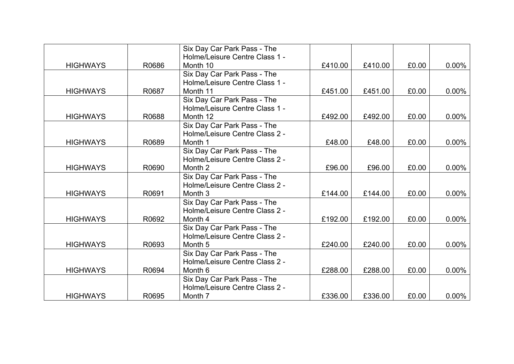|                 |       | Six Day Car Park Pass - The    |         |         |       |          |
|-----------------|-------|--------------------------------|---------|---------|-------|----------|
|                 |       | Holme/Leisure Centre Class 1 - |         |         |       |          |
| <b>HIGHWAYS</b> | R0686 | Month 10                       | £410.00 | £410.00 | £0.00 | $0.00\%$ |
|                 |       | Six Day Car Park Pass - The    |         |         |       |          |
|                 |       | Holme/Leisure Centre Class 1 - |         |         |       |          |
| <b>HIGHWAYS</b> | R0687 | Month 11                       | £451.00 | £451.00 | £0.00 | $0.00\%$ |
|                 |       | Six Day Car Park Pass - The    |         |         |       |          |
|                 |       | Holme/Leisure Centre Class 1 - |         |         |       |          |
| <b>HIGHWAYS</b> | R0688 | Month 12                       | £492.00 | £492.00 | £0.00 | $0.00\%$ |
|                 |       | Six Day Car Park Pass - The    |         |         |       |          |
|                 |       | Holme/Leisure Centre Class 2 - |         |         |       |          |
| <b>HIGHWAYS</b> | R0689 | Month 1                        | £48.00  | £48.00  | £0.00 | $0.00\%$ |
|                 |       | Six Day Car Park Pass - The    |         |         |       |          |
|                 |       | Holme/Leisure Centre Class 2 - |         |         |       |          |
| <b>HIGHWAYS</b> | R0690 | Month 2                        | £96.00  | £96.00  | £0.00 | $0.00\%$ |
|                 |       | Six Day Car Park Pass - The    |         |         |       |          |
|                 |       | Holme/Leisure Centre Class 2 - |         |         |       |          |
| <b>HIGHWAYS</b> | R0691 | Month 3                        | £144.00 | £144.00 | £0.00 | $0.00\%$ |
|                 |       | Six Day Car Park Pass - The    |         |         |       |          |
|                 |       | Holme/Leisure Centre Class 2 - |         |         |       |          |
| <b>HIGHWAYS</b> | R0692 | Month 4                        | £192.00 | £192.00 | £0.00 | $0.00\%$ |
|                 |       | Six Day Car Park Pass - The    |         |         |       |          |
|                 |       | Holme/Leisure Centre Class 2 - |         |         |       |          |
| <b>HIGHWAYS</b> | R0693 | Month <sub>5</sub>             | £240.00 | £240.00 | £0.00 | $0.00\%$ |
|                 |       | Six Day Car Park Pass - The    |         |         |       |          |
|                 |       | Holme/Leisure Centre Class 2 - |         |         |       |          |
| <b>HIGHWAYS</b> | R0694 | Month 6                        | £288.00 | £288.00 | £0.00 | $0.00\%$ |
|                 |       | Six Day Car Park Pass - The    |         |         |       |          |
|                 |       | Holme/Leisure Centre Class 2 - |         |         |       |          |
| <b>HIGHWAYS</b> | R0695 | Month 7                        | £336.00 | £336.00 | £0.00 | $0.00\%$ |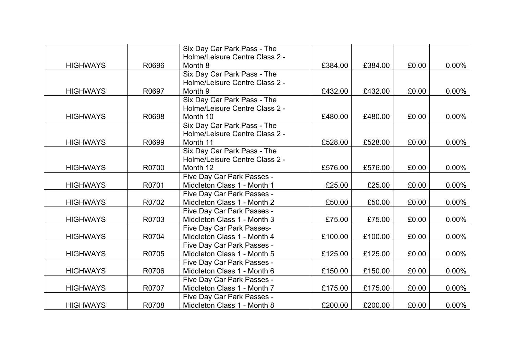|                 |       | Six Day Car Park Pass - The<br>Holme/Leisure Centre Class 2 - |         |         |       |          |
|-----------------|-------|---------------------------------------------------------------|---------|---------|-------|----------|
| <b>HIGHWAYS</b> | R0696 | Month 8                                                       | £384.00 | £384.00 | £0.00 | $0.00\%$ |
|                 |       | Six Day Car Park Pass - The                                   |         |         |       |          |
|                 |       | Holme/Leisure Centre Class 2 -                                |         |         |       |          |
| <b>HIGHWAYS</b> | R0697 | Month <sub>9</sub>                                            | £432.00 | £432.00 | £0.00 | $0.00\%$ |
|                 |       | Six Day Car Park Pass - The                                   |         |         |       |          |
|                 |       | Holme/Leisure Centre Class 2 -                                |         |         |       |          |
| <b>HIGHWAYS</b> | R0698 | Month 10                                                      | £480.00 | £480.00 | £0.00 | $0.00\%$ |
|                 |       | Six Day Car Park Pass - The                                   |         |         |       |          |
|                 |       | Holme/Leisure Centre Class 2 -                                |         |         |       |          |
| <b>HIGHWAYS</b> | R0699 | Month 11                                                      | £528.00 | £528.00 | £0.00 | $0.00\%$ |
|                 |       | Six Day Car Park Pass - The                                   |         |         |       |          |
|                 |       | Holme/Leisure Centre Class 2 -                                |         |         |       |          |
| <b>HIGHWAYS</b> | R0700 | Month 12                                                      | £576.00 | £576.00 | £0.00 | $0.00\%$ |
|                 |       | Five Day Car Park Passes -                                    |         |         |       |          |
| <b>HIGHWAYS</b> | R0701 | Middleton Class 1 - Month 1                                   | £25.00  | £25.00  | £0.00 | $0.00\%$ |
|                 |       | Five Day Car Park Passes -                                    |         |         |       |          |
| <b>HIGHWAYS</b> | R0702 | Middleton Class 1 - Month 2                                   | £50.00  | £50.00  | £0.00 | $0.00\%$ |
|                 |       | Five Day Car Park Passes -                                    |         |         |       |          |
| <b>HIGHWAYS</b> | R0703 | Middleton Class 1 - Month 3                                   | £75.00  | £75.00  | £0.00 | $0.00\%$ |
|                 |       | Five Day Car Park Passes-                                     |         |         |       |          |
| <b>HIGHWAYS</b> | R0704 | Middleton Class 1 - Month 4                                   | £100.00 | £100.00 | £0.00 | $0.00\%$ |
|                 |       | Five Day Car Park Passes -                                    |         |         |       |          |
| <b>HIGHWAYS</b> | R0705 | Middleton Class 1 - Month 5                                   | £125.00 | £125.00 | £0.00 | $0.00\%$ |
|                 |       | Five Day Car Park Passes -                                    |         |         |       |          |
| <b>HIGHWAYS</b> | R0706 | Middleton Class 1 - Month 6                                   | £150.00 | £150.00 | £0.00 | $0.00\%$ |
|                 |       | Five Day Car Park Passes -                                    |         |         |       |          |
| <b>HIGHWAYS</b> | R0707 | Middleton Class 1 - Month 7                                   | £175.00 | £175.00 | £0.00 | $0.00\%$ |
|                 |       | Five Day Car Park Passes -                                    |         |         |       |          |
| <b>HIGHWAYS</b> | R0708 | Middleton Class 1 - Month 8                                   | £200.00 | £200.00 | £0.00 | $0.00\%$ |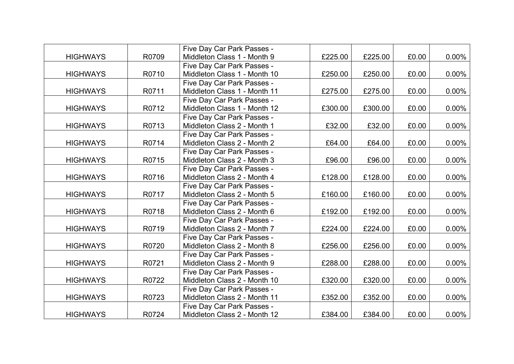|                 |       | Five Day Car Park Passes -   |         |         |       |          |
|-----------------|-------|------------------------------|---------|---------|-------|----------|
| <b>HIGHWAYS</b> | R0709 | Middleton Class 1 - Month 9  | £225.00 | £225.00 | £0.00 | $0.00\%$ |
|                 |       | Five Day Car Park Passes -   |         |         |       |          |
| <b>HIGHWAYS</b> | R0710 | Middleton Class 1 - Month 10 | £250.00 | £250.00 | £0.00 | 0.00%    |
|                 |       | Five Day Car Park Passes -   |         |         |       |          |
| <b>HIGHWAYS</b> | R0711 | Middleton Class 1 - Month 11 | £275.00 | £275.00 | £0.00 | $0.00\%$ |
|                 |       | Five Day Car Park Passes -   |         |         |       |          |
| <b>HIGHWAYS</b> | R0712 | Middleton Class 1 - Month 12 | £300.00 | £300.00 | £0.00 | $0.00\%$ |
|                 |       | Five Day Car Park Passes -   |         |         |       |          |
| <b>HIGHWAYS</b> | R0713 | Middleton Class 2 - Month 1  | £32.00  | £32.00  | £0.00 | $0.00\%$ |
|                 |       | Five Day Car Park Passes -   |         |         |       |          |
| <b>HIGHWAYS</b> | R0714 | Middleton Class 2 - Month 2  | £64.00  | £64.00  | £0.00 | $0.00\%$ |
|                 |       | Five Day Car Park Passes -   |         |         |       |          |
| <b>HIGHWAYS</b> | R0715 | Middleton Class 2 - Month 3  | £96.00  | £96.00  | £0.00 | $0.00\%$ |
|                 |       | Five Day Car Park Passes -   |         |         |       |          |
| <b>HIGHWAYS</b> | R0716 | Middleton Class 2 - Month 4  | £128.00 | £128.00 | £0.00 | $0.00\%$ |
|                 |       | Five Day Car Park Passes -   |         |         |       |          |
| <b>HIGHWAYS</b> | R0717 | Middleton Class 2 - Month 5  | £160.00 | £160.00 | £0.00 | $0.00\%$ |
|                 |       | Five Day Car Park Passes -   |         |         |       |          |
| <b>HIGHWAYS</b> | R0718 | Middleton Class 2 - Month 6  | £192.00 | £192.00 | £0.00 | $0.00\%$ |
|                 |       | Five Day Car Park Passes -   |         |         |       |          |
| <b>HIGHWAYS</b> | R0719 | Middleton Class 2 - Month 7  | £224.00 | £224.00 | £0.00 | 0.00%    |
|                 |       | Five Day Car Park Passes -   |         |         |       |          |
| <b>HIGHWAYS</b> | R0720 | Middleton Class 2 - Month 8  | £256.00 | £256.00 | £0.00 | $0.00\%$ |
|                 |       | Five Day Car Park Passes -   |         |         |       |          |
| <b>HIGHWAYS</b> | R0721 | Middleton Class 2 - Month 9  | £288.00 | £288.00 | £0.00 | $0.00\%$ |
|                 |       | Five Day Car Park Passes -   |         |         |       |          |
| <b>HIGHWAYS</b> | R0722 | Middleton Class 2 - Month 10 | £320.00 | £320.00 | £0.00 | 0.00%    |
|                 |       | Five Day Car Park Passes -   |         |         |       |          |
| <b>HIGHWAYS</b> | R0723 | Middleton Class 2 - Month 11 | £352.00 | £352.00 | £0.00 | $0.00\%$ |
|                 |       | Five Day Car Park Passes -   |         |         |       |          |
| <b>HIGHWAYS</b> | R0724 | Middleton Class 2 - Month 12 | £384.00 | £384.00 | £0.00 | $0.00\%$ |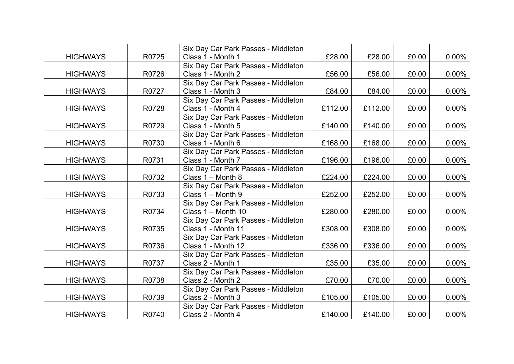|                 |       | Six Day Car Park Passes - Middleton |         |         |       |          |
|-----------------|-------|-------------------------------------|---------|---------|-------|----------|
| <b>HIGHWAYS</b> | R0725 | Class 1 - Month 1                   | £28.00  | £28.00  | £0.00 | $0.00\%$ |
|                 |       | Six Day Car Park Passes - Middleton |         |         |       |          |
| <b>HIGHWAYS</b> | R0726 | Class 1 - Month 2                   | £56.00  | £56.00  | £0.00 | 0.00%    |
|                 |       | Six Day Car Park Passes - Middleton |         |         |       |          |
| <b>HIGHWAYS</b> | R0727 | Class 1 - Month 3                   | £84.00  | £84.00  | £0.00 | 0.00%    |
|                 |       | Six Day Car Park Passes - Middleton |         |         |       |          |
| <b>HIGHWAYS</b> | R0728 | Class 1 - Month 4                   | £112.00 | £112.00 | £0.00 | $0.00\%$ |
|                 |       | Six Day Car Park Passes - Middleton |         |         |       |          |
| <b>HIGHWAYS</b> | R0729 | Class 1 - Month 5                   | £140.00 | £140.00 | £0.00 | 0.00%    |
|                 |       | Six Day Car Park Passes - Middleton |         |         |       |          |
| <b>HIGHWAYS</b> | R0730 | Class 1 - Month 6                   | £168.00 | £168.00 | £0.00 | 0.00%    |
|                 |       | Six Day Car Park Passes - Middleton |         |         |       |          |
| <b>HIGHWAYS</b> | R0731 | Class 1 - Month 7                   | £196.00 | £196.00 | £0.00 | $0.00\%$ |
|                 |       | Six Day Car Park Passes - Middleton |         |         |       |          |
| <b>HIGHWAYS</b> | R0732 | Class 1 - Month 8                   | £224.00 | £224.00 | £0.00 | 0.00%    |
|                 |       | Six Day Car Park Passes - Middleton |         |         |       |          |
| <b>HIGHWAYS</b> | R0733 | Class 1 - Month 9                   | £252.00 | £252.00 | £0.00 | 0.00%    |
|                 |       | Six Day Car Park Passes - Middleton |         |         |       |          |
| <b>HIGHWAYS</b> | R0734 | Class 1 - Month 10                  | £280.00 | £280.00 | £0.00 | $0.00\%$ |
|                 |       | Six Day Car Park Passes - Middleton |         |         |       |          |
| <b>HIGHWAYS</b> | R0735 | Class 1 - Month 11                  | £308.00 | £308.00 | £0.00 | $0.00\%$ |
|                 |       | Six Day Car Park Passes - Middleton |         |         |       |          |
| <b>HIGHWAYS</b> | R0736 | Class 1 - Month 12                  | £336.00 | £336.00 | £0.00 | $0.00\%$ |
|                 |       | Six Day Car Park Passes - Middleton |         |         |       |          |
| <b>HIGHWAYS</b> | R0737 | Class 2 - Month 1                   | £35.00  | £35.00  | £0.00 | $0.00\%$ |
|                 |       | Six Day Car Park Passes - Middleton |         |         |       |          |
| <b>HIGHWAYS</b> | R0738 | Class 2 - Month 2                   | £70.00  | £70.00  | £0.00 | $0.00\%$ |
|                 |       | Six Day Car Park Passes - Middleton |         |         |       |          |
| <b>HIGHWAYS</b> | R0739 | Class 2 - Month 3                   | £105.00 | £105.00 | £0.00 | $0.00\%$ |
|                 |       | Six Day Car Park Passes - Middleton |         |         |       |          |
| <b>HIGHWAYS</b> | R0740 | Class 2 - Month 4                   | £140.00 | £140.00 | £0.00 | $0.00\%$ |
|                 |       |                                     |         |         |       |          |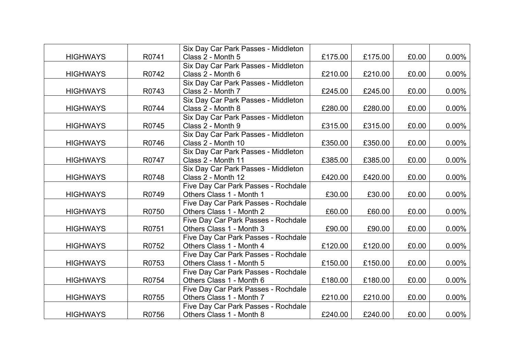|                 |       | Six Day Car Park Passes - Middleton |         |         |       |          |
|-----------------|-------|-------------------------------------|---------|---------|-------|----------|
| <b>HIGHWAYS</b> | R0741 | Class 2 - Month 5                   | £175.00 | £175.00 | £0.00 | $0.00\%$ |
|                 |       | Six Day Car Park Passes - Middleton |         |         |       |          |
| <b>HIGHWAYS</b> | R0742 | Class 2 - Month 6                   | £210.00 | £210.00 | £0.00 | 0.00%    |
|                 |       | Six Day Car Park Passes - Middleton |         |         |       |          |
| <b>HIGHWAYS</b> | R0743 | Class 2 - Month 7                   | £245.00 | £245.00 | £0.00 | $0.00\%$ |
|                 |       | Six Day Car Park Passes - Middleton |         |         |       |          |
| <b>HIGHWAYS</b> | R0744 | Class 2 - Month 8                   | £280.00 | £280.00 | £0.00 | $0.00\%$ |
|                 |       | Six Day Car Park Passes - Middleton |         |         |       |          |
| <b>HIGHWAYS</b> | R0745 | Class 2 - Month 9                   | £315.00 | £315.00 | £0.00 | $0.00\%$ |
|                 |       | Six Day Car Park Passes - Middleton |         |         |       |          |
| <b>HIGHWAYS</b> | R0746 | Class 2 - Month 10                  | £350.00 | £350.00 | £0.00 | $0.00\%$ |
|                 |       | Six Day Car Park Passes - Middleton |         |         |       |          |
| <b>HIGHWAYS</b> | R0747 | Class 2 - Month 11                  | £385.00 | £385.00 | £0.00 | $0.00\%$ |
|                 |       | Six Day Car Park Passes - Middleton |         |         |       |          |
| <b>HIGHWAYS</b> | R0748 | Class 2 - Month 12                  | £420.00 | £420.00 | £0.00 | $0.00\%$ |
|                 |       | Five Day Car Park Passes - Rochdale |         |         |       |          |
| <b>HIGHWAYS</b> | R0749 | Others Class 1 - Month 1            | £30.00  | £30.00  | £0.00 | $0.00\%$ |
|                 |       | Five Day Car Park Passes - Rochdale |         |         |       |          |
| <b>HIGHWAYS</b> | R0750 | Others Class 1 - Month 2            | £60.00  | £60.00  | £0.00 | $0.00\%$ |
|                 |       | Five Day Car Park Passes - Rochdale |         |         |       |          |
| <b>HIGHWAYS</b> | R0751 | Others Class 1 - Month 3            | £90.00  | £90.00  | £0.00 | $0.00\%$ |
|                 |       | Five Day Car Park Passes - Rochdale |         |         |       |          |
| <b>HIGHWAYS</b> | R0752 | Others Class 1 - Month 4            | £120.00 | £120.00 | £0.00 | $0.00\%$ |
|                 |       | Five Day Car Park Passes - Rochdale |         |         |       |          |
| <b>HIGHWAYS</b> | R0753 | Others Class 1 - Month 5            | £150.00 | £150.00 | £0.00 | $0.00\%$ |
|                 |       | Five Day Car Park Passes - Rochdale |         |         |       |          |
| <b>HIGHWAYS</b> | R0754 | Others Class 1 - Month 6            | £180.00 | £180.00 | £0.00 | $0.00\%$ |
|                 |       | Five Day Car Park Passes - Rochdale |         |         |       |          |
| <b>HIGHWAYS</b> | R0755 | Others Class 1 - Month 7            | £210.00 | £210.00 | £0.00 | $0.00\%$ |
|                 |       | Five Day Car Park Passes - Rochdale |         |         |       |          |
| <b>HIGHWAYS</b> | R0756 | Others Class 1 - Month 8            | £240.00 | £240.00 | £0.00 | $0.00\%$ |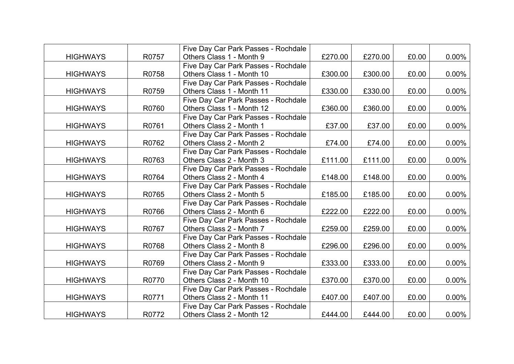|                 |       | Five Day Car Park Passes - Rochdale |         |         |       |          |
|-----------------|-------|-------------------------------------|---------|---------|-------|----------|
| <b>HIGHWAYS</b> | R0757 | Others Class 1 - Month 9            | £270.00 | £270.00 | £0.00 | $0.00\%$ |
|                 |       | Five Day Car Park Passes - Rochdale |         |         |       |          |
| <b>HIGHWAYS</b> | R0758 | Others Class 1 - Month 10           | £300.00 | £300.00 | £0.00 | $0.00\%$ |
|                 |       | Five Day Car Park Passes - Rochdale |         |         |       |          |
| <b>HIGHWAYS</b> | R0759 | Others Class 1 - Month 11           | £330.00 | £330.00 | £0.00 | $0.00\%$ |
|                 |       | Five Day Car Park Passes - Rochdale |         |         |       |          |
| <b>HIGHWAYS</b> | R0760 | Others Class 1 - Month 12           | £360.00 | £360.00 | £0.00 | $0.00\%$ |
|                 |       | Five Day Car Park Passes - Rochdale |         |         |       |          |
| <b>HIGHWAYS</b> | R0761 | Others Class 2 - Month 1            | £37.00  | £37.00  | £0.00 | $0.00\%$ |
|                 |       | Five Day Car Park Passes - Rochdale |         |         |       |          |
| <b>HIGHWAYS</b> | R0762 | Others Class 2 - Month 2            | £74.00  | £74.00  | £0.00 | $0.00\%$ |
|                 |       | Five Day Car Park Passes - Rochdale |         |         |       |          |
| <b>HIGHWAYS</b> | R0763 | Others Class 2 - Month 3            | £111.00 | £111.00 | £0.00 | $0.00\%$ |
|                 |       | Five Day Car Park Passes - Rochdale |         |         |       |          |
| <b>HIGHWAYS</b> | R0764 | Others Class 2 - Month 4            | £148.00 | £148.00 | £0.00 | $0.00\%$ |
|                 |       | Five Day Car Park Passes - Rochdale |         |         |       |          |
| <b>HIGHWAYS</b> | R0765 | Others Class 2 - Month 5            | £185.00 | £185.00 | £0.00 | $0.00\%$ |
|                 |       | Five Day Car Park Passes - Rochdale |         |         |       |          |
| <b>HIGHWAYS</b> | R0766 | Others Class 2 - Month 6            | £222.00 | £222.00 | £0.00 | $0.00\%$ |
|                 |       | Five Day Car Park Passes - Rochdale |         |         |       |          |
| <b>HIGHWAYS</b> | R0767 | Others Class 2 - Month 7            | £259.00 | £259.00 | £0.00 | $0.00\%$ |
|                 |       | Five Day Car Park Passes - Rochdale |         |         |       |          |
| <b>HIGHWAYS</b> | R0768 | Others Class 2 - Month 8            | £296.00 | £296.00 | £0.00 | 0.00%    |
|                 |       | Five Day Car Park Passes - Rochdale |         |         |       |          |
| <b>HIGHWAYS</b> | R0769 | Others Class 2 - Month 9            | £333.00 | £333.00 | £0.00 | $0.00\%$ |
|                 |       | Five Day Car Park Passes - Rochdale |         |         |       |          |
| <b>HIGHWAYS</b> | R0770 | Others Class 2 - Month 10           | £370.00 | £370.00 | £0.00 | 0.00%    |
|                 |       | Five Day Car Park Passes - Rochdale |         |         |       |          |
| <b>HIGHWAYS</b> | R0771 | Others Class 2 - Month 11           | £407.00 | £407.00 | £0.00 | 0.00%    |
|                 |       | Five Day Car Park Passes - Rochdale |         |         |       |          |
| <b>HIGHWAYS</b> | R0772 | Others Class 2 - Month 12           | £444.00 | £444.00 | £0.00 | $0.00\%$ |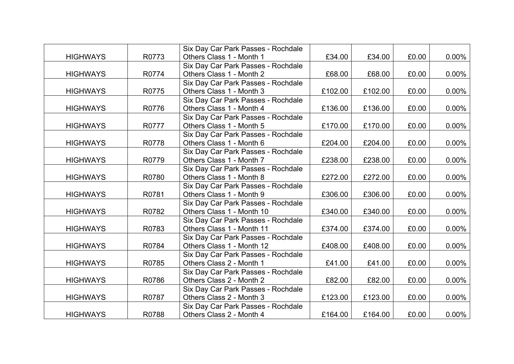|                 |       | Six Day Car Park Passes - Rochdale |         |         |       |          |
|-----------------|-------|------------------------------------|---------|---------|-------|----------|
| <b>HIGHWAYS</b> | R0773 | Others Class 1 - Month 1           | £34.00  | £34.00  | £0.00 | $0.00\%$ |
|                 |       | Six Day Car Park Passes - Rochdale |         |         |       |          |
| <b>HIGHWAYS</b> | R0774 | Others Class 1 - Month 2           | £68.00  | £68.00  | £0.00 | 0.00%    |
|                 |       | Six Day Car Park Passes - Rochdale |         |         |       |          |
| <b>HIGHWAYS</b> | R0775 | Others Class 1 - Month 3           | £102.00 | £102.00 | £0.00 | 0.00%    |
|                 |       | Six Day Car Park Passes - Rochdale |         |         |       |          |
| <b>HIGHWAYS</b> | R0776 | Others Class 1 - Month 4           | £136.00 | £136.00 | £0.00 | $0.00\%$ |
|                 |       | Six Day Car Park Passes - Rochdale |         |         |       |          |
| <b>HIGHWAYS</b> | R0777 | Others Class 1 - Month 5           | £170.00 | £170.00 | £0.00 | 0.00%    |
|                 |       | Six Day Car Park Passes - Rochdale |         |         |       |          |
| <b>HIGHWAYS</b> | R0778 | Others Class 1 - Month 6           | £204.00 | £204.00 | £0.00 | 0.00%    |
|                 |       | Six Day Car Park Passes - Rochdale |         |         |       |          |
| <b>HIGHWAYS</b> | R0779 | Others Class 1 - Month 7           | £238.00 | £238.00 | £0.00 | 0.00%    |
|                 |       | Six Day Car Park Passes - Rochdale |         |         |       |          |
| <b>HIGHWAYS</b> | R0780 | Others Class 1 - Month 8           | £272.00 | £272.00 | £0.00 | $0.00\%$ |
|                 |       | Six Day Car Park Passes - Rochdale |         |         |       |          |
| <b>HIGHWAYS</b> | R0781 | Others Class 1 - Month 9           | £306.00 | £306.00 | £0.00 | $0.00\%$ |
|                 |       | Six Day Car Park Passes - Rochdale |         |         |       |          |
| <b>HIGHWAYS</b> | R0782 | Others Class 1 - Month 10          | £340.00 | £340.00 | £0.00 | $0.00\%$ |
|                 |       | Six Day Car Park Passes - Rochdale |         |         |       |          |
| <b>HIGHWAYS</b> | R0783 | Others Class 1 - Month 11          | £374.00 | £374.00 | £0.00 | $0.00\%$ |
|                 |       | Six Day Car Park Passes - Rochdale |         |         |       |          |
| <b>HIGHWAYS</b> | R0784 | Others Class 1 - Month 12          | £408.00 | £408.00 | £0.00 | $0.00\%$ |
|                 |       | Six Day Car Park Passes - Rochdale |         |         |       |          |
| <b>HIGHWAYS</b> | R0785 | Others Class 2 - Month 1           | £41.00  | £41.00  | £0.00 | $0.00\%$ |
|                 |       | Six Day Car Park Passes - Rochdale |         |         |       |          |
| <b>HIGHWAYS</b> | R0786 | Others Class 2 - Month 2           | £82.00  | £82.00  | £0.00 | 0.00%    |
|                 |       | Six Day Car Park Passes - Rochdale |         |         |       |          |
| <b>HIGHWAYS</b> | R0787 | Others Class 2 - Month 3           | £123.00 | £123.00 | £0.00 | $0.00\%$ |
|                 |       | Six Day Car Park Passes - Rochdale |         |         |       |          |
| <b>HIGHWAYS</b> | R0788 | Others Class 2 - Month 4           | £164.00 | £164.00 | £0.00 | $0.00\%$ |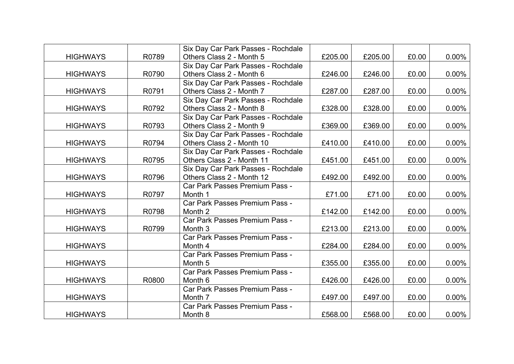|                 |       | Six Day Car Park Passes - Rochdale |         |         |       |          |
|-----------------|-------|------------------------------------|---------|---------|-------|----------|
| <b>HIGHWAYS</b> | R0789 | Others Class 2 - Month 5           | £205.00 | £205.00 | £0.00 | $0.00\%$ |
|                 |       | Six Day Car Park Passes - Rochdale |         |         |       |          |
| <b>HIGHWAYS</b> | R0790 | Others Class 2 - Month 6           | £246.00 | £246.00 | £0.00 | $0.00\%$ |
|                 |       | Six Day Car Park Passes - Rochdale |         |         |       |          |
| <b>HIGHWAYS</b> | R0791 | Others Class 2 - Month 7           | £287.00 | £287.00 | £0.00 | $0.00\%$ |
|                 |       | Six Day Car Park Passes - Rochdale |         |         |       |          |
| <b>HIGHWAYS</b> | R0792 | Others Class 2 - Month 8           | £328.00 | £328.00 | £0.00 | $0.00\%$ |
|                 |       | Six Day Car Park Passes - Rochdale |         |         |       |          |
| <b>HIGHWAYS</b> | R0793 | Others Class 2 - Month 9           | £369.00 | £369.00 | £0.00 | $0.00\%$ |
|                 |       | Six Day Car Park Passes - Rochdale |         |         |       |          |
| <b>HIGHWAYS</b> | R0794 | Others Class 2 - Month 10          | £410.00 | £410.00 | £0.00 | $0.00\%$ |
|                 |       | Six Day Car Park Passes - Rochdale |         |         |       |          |
| <b>HIGHWAYS</b> | R0795 | Others Class 2 - Month 11          | £451.00 | £451.00 | £0.00 | $0.00\%$ |
|                 |       | Six Day Car Park Passes - Rochdale |         |         |       |          |
| <b>HIGHWAYS</b> | R0796 | Others Class 2 - Month 12          | £492.00 | £492.00 | £0.00 | $0.00\%$ |
|                 |       | Car Park Passes Premium Pass -     |         |         |       |          |
| <b>HIGHWAYS</b> | R0797 | Month 1                            | £71.00  | £71.00  | £0.00 | $0.00\%$ |
|                 |       | Car Park Passes Premium Pass -     |         |         |       |          |
| <b>HIGHWAYS</b> | R0798 | Month 2                            | £142.00 | £142.00 | £0.00 | $0.00\%$ |
|                 |       | Car Park Passes Premium Pass -     |         |         |       |          |
| <b>HIGHWAYS</b> | R0799 | Month <sub>3</sub>                 | £213.00 | £213.00 | £0.00 | $0.00\%$ |
|                 |       | Car Park Passes Premium Pass -     |         |         |       |          |
| <b>HIGHWAYS</b> |       | Month 4                            | £284.00 | £284.00 | £0.00 | $0.00\%$ |
|                 |       | Car Park Passes Premium Pass -     |         |         |       |          |
| <b>HIGHWAYS</b> |       | Month <sub>5</sub>                 | £355.00 | £355.00 | £0.00 | $0.00\%$ |
|                 |       | Car Park Passes Premium Pass -     |         |         |       |          |
| <b>HIGHWAYS</b> | R0800 | Month 6                            | £426.00 | £426.00 | £0.00 | $0.00\%$ |
|                 |       | Car Park Passes Premium Pass -     |         |         |       |          |
| <b>HIGHWAYS</b> |       | Month 7                            | £497.00 | £497.00 | £0.00 | $0.00\%$ |
|                 |       | Car Park Passes Premium Pass -     |         |         |       |          |
| <b>HIGHWAYS</b> |       | Month 8                            | £568.00 | £568.00 | £0.00 | $0.00\%$ |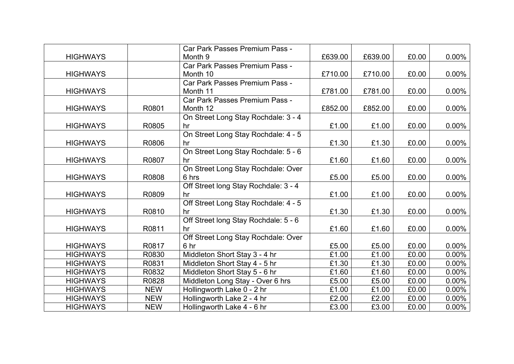|                 |            | Car Park Passes Premium Pass -       |         |         |       |          |
|-----------------|------------|--------------------------------------|---------|---------|-------|----------|
| <b>HIGHWAYS</b> |            | Month 9                              | £639.00 | £639.00 | £0.00 | $0.00\%$ |
|                 |            | Car Park Passes Premium Pass -       |         |         |       |          |
| <b>HIGHWAYS</b> |            | Month 10                             | £710.00 | £710.00 | £0.00 | $0.00\%$ |
|                 |            | Car Park Passes Premium Pass -       |         |         |       |          |
| <b>HIGHWAYS</b> |            | Month 11                             | £781.00 | £781.00 | £0.00 | $0.00\%$ |
|                 |            | Car Park Passes Premium Pass -       |         |         |       |          |
| <b>HIGHWAYS</b> | R0801      | Month 12                             | £852.00 | £852.00 | £0.00 | $0.00\%$ |
|                 |            | On Street Long Stay Rochdale: 3 - 4  |         |         |       |          |
| <b>HIGHWAYS</b> | R0805      | hr                                   | £1.00   | £1.00   | £0.00 | $0.00\%$ |
|                 |            | On Street Long Stay Rochdale: 4 - 5  |         |         |       |          |
| <b>HIGHWAYS</b> | R0806      | hr                                   | £1.30   | £1.30   | £0.00 | $0.00\%$ |
|                 |            | On Street Long Stay Rochdale: 5 - 6  |         |         |       |          |
| <b>HIGHWAYS</b> | R0807      | hr                                   | £1.60   | £1.60   | £0.00 | $0.00\%$ |
|                 |            | On Street Long Stay Rochdale: Over   |         |         |       |          |
| <b>HIGHWAYS</b> | R0808      | 6 hrs                                | £5.00   | £5.00   | £0.00 | $0.00\%$ |
|                 |            | Off Street long Stay Rochdale: 3 - 4 |         |         |       |          |
| <b>HIGHWAYS</b> | R0809      | hr                                   | £1.00   | £1.00   | £0.00 | $0.00\%$ |
|                 |            | Off Street Long Stay Rochdale: 4 - 5 |         |         |       |          |
| <b>HIGHWAYS</b> | R0810      | hr                                   | £1.30   | £1.30   | £0.00 | $0.00\%$ |
|                 |            | Off Street long Stay Rochdale: 5 - 6 |         |         |       |          |
| <b>HIGHWAYS</b> | R0811      | hr                                   | £1.60   | £1.60   | £0.00 | $0.00\%$ |
|                 |            | Off Street Long Stay Rochdale: Over  |         |         |       |          |
| <b>HIGHWAYS</b> | R0817      | 6 hr                                 | £5.00   | £5.00   | £0.00 | $0.00\%$ |
| <b>HIGHWAYS</b> | R0830      | Middleton Short Stay 3 - 4 hr        | £1.00   | £1.00   | £0.00 | $0.00\%$ |
| <b>HIGHWAYS</b> | R0831      | Middleton Short Stay 4 - 5 hr        | £1.30   | £1.30   | £0.00 | $0.00\%$ |
| <b>HIGHWAYS</b> | R0832      | Middleton Short Stay 5 - 6 hr        | £1.60   | £1.60   | £0.00 | $0.00\%$ |
| <b>HIGHWAYS</b> | R0828      | Middleton Long Stay - Over 6 hrs     | £5.00   | £5.00   | £0.00 | $0.00\%$ |
| <b>HIGHWAYS</b> | <b>NEW</b> | Hollingworth Lake 0 - 2 hr           | £1.00   | £1.00   | £0.00 | $0.00\%$ |
| <b>HIGHWAYS</b> | <b>NEW</b> | Hollingworth Lake 2 - 4 hr           | £2.00   | £2.00   | £0.00 | $0.00\%$ |
| <b>HIGHWAYS</b> | <b>NEW</b> | Hollingworth Lake 4 - 6 hr           | £3.00   | £3.00   | £0.00 | $0.00\%$ |
|                 |            |                                      |         |         |       |          |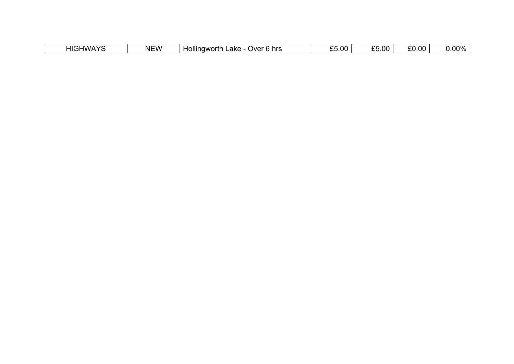| <b>HIGHWAYS</b><br>┙╹┍ | <b>NEW</b> | .<br><b>Hollingworth</b><br>.ake<br>Over 6 hrs | $\sim$ 5.00 $^+$ | £5.00 | $\sim$ 0.00 $^{\circ}$ | $J.00\%$ |
|------------------------|------------|------------------------------------------------|------------------|-------|------------------------|----------|
|------------------------|------------|------------------------------------------------|------------------|-------|------------------------|----------|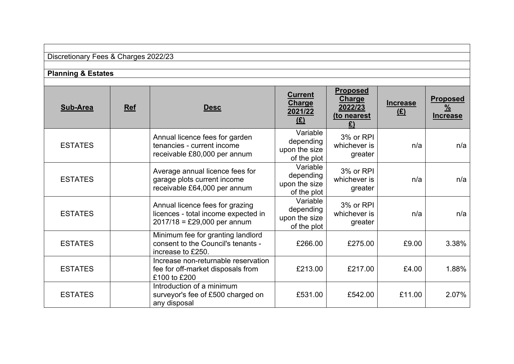# **Planning & Estates**

| <b>Sub-Area</b> | Ref | <b>Desc</b>                                                                                             | <b>Current</b><br><b>Charge</b><br>2021/22<br>E(      | <b>Proposed</b><br><b>Charge</b><br>2022/23<br>(to nearest | <b>Increase</b><br>E | <b>Proposed</b><br>$\frac{9}{6}$<br><b>Increase</b> |
|-----------------|-----|---------------------------------------------------------------------------------------------------------|-------------------------------------------------------|------------------------------------------------------------|----------------------|-----------------------------------------------------|
| <b>ESTATES</b>  |     | Annual licence fees for garden<br>tenancies - current income<br>receivable £80,000 per annum            | Variable<br>depending<br>upon the size<br>of the plot | 3% or RPI<br>whichever is<br>greater                       | n/a                  | n/a                                                 |
| <b>ESTATES</b>  |     | Average annual licence fees for<br>garage plots current income<br>receivable £64,000 per annum          | Variable<br>depending<br>upon the size<br>of the plot | 3% or RPI<br>whichever is<br>greater                       | n/a                  | n/a                                                 |
| <b>ESTATES</b>  |     | Annual licence fees for grazing<br>licences - total income expected in<br>$2017/18 = £29,000$ per annum | Variable<br>depending<br>upon the size<br>of the plot | 3% or RPI<br>whichever is<br>greater                       | n/a                  | n/a                                                 |
| <b>ESTATES</b>  |     | Minimum fee for granting landlord<br>consent to the Council's tenants -<br>increase to £250.            | £266.00                                               | £275.00                                                    | £9.00                | 3.38%                                               |
| <b>ESTATES</b>  |     | Increase non-returnable reservation<br>fee for off-market disposals from<br>£100 to £200                | £213.00                                               | £217.00                                                    | £4.00                | 1.88%                                               |
| <b>ESTATES</b>  |     | Introduction of a minimum<br>surveyor's fee of £500 charged on<br>any disposal                          | £531.00                                               | £542.00                                                    | £11.00               | 2.07%                                               |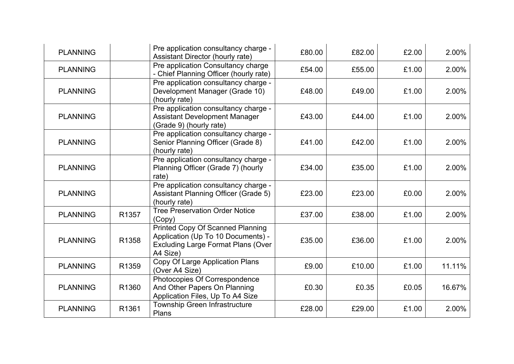| <b>PLANNING</b> |       | Pre application consultancy charge -<br>Assistant Director (hourly rate)                                                               | £80.00 | £82.00 | £2.00 | 2.00%  |
|-----------------|-------|----------------------------------------------------------------------------------------------------------------------------------------|--------|--------|-------|--------|
| <b>PLANNING</b> |       | Pre application Consultancy charge<br>- Chief Planning Officer (hourly rate)                                                           | £54.00 | £55.00 | £1.00 | 2.00%  |
| <b>PLANNING</b> |       | Pre application consultancy charge -<br>Development Manager (Grade 10)<br>(hourly rate)                                                | £48.00 | £49.00 | £1.00 | 2.00%  |
| <b>PLANNING</b> |       | Pre application consultancy charge -<br><b>Assistant Development Manager</b><br>(Grade 9) (hourly rate)                                | £43.00 | £44.00 | £1.00 | 2.00%  |
| <b>PLANNING</b> |       | Pre application consultancy charge -<br>Senior Planning Officer (Grade 8)<br>(hourly rate)                                             | £41.00 | £42.00 | £1.00 | 2.00%  |
| <b>PLANNING</b> |       | Pre application consultancy charge -<br>Planning Officer (Grade 7) (hourly<br>rate)                                                    | £34.00 | £35.00 | £1.00 | 2.00%  |
| <b>PLANNING</b> |       | Pre application consultancy charge -<br><b>Assistant Planning Officer (Grade 5)</b><br>(hourly rate)                                   | £23.00 | £23.00 | £0.00 | 2.00%  |
| <b>PLANNING</b> | R1357 | <b>Tree Preservation Order Notice</b><br>(Copy)                                                                                        | £37.00 | £38.00 | £1.00 | 2.00%  |
| <b>PLANNING</b> | R1358 | <b>Printed Copy Of Scanned Planning</b><br>Application (Up To 10 Documents) -<br><b>Excluding Large Format Plans (Over</b><br>A4 Size) | £35.00 | £36.00 | £1.00 | 2.00%  |
| <b>PLANNING</b> | R1359 | Copy Of Large Application Plans<br>(Over A4 Size)                                                                                      | £9.00  | £10.00 | £1.00 | 11.11% |
| <b>PLANNING</b> | R1360 | Photocopies Of Correspondence<br>And Other Papers On Planning<br>Application Files, Up To A4 Size                                      | £0.30  | £0.35  | £0.05 | 16.67% |
| <b>PLANNING</b> | R1361 | Township Green Infrastructure<br>Plans                                                                                                 | £28.00 | £29.00 | £1.00 | 2.00%  |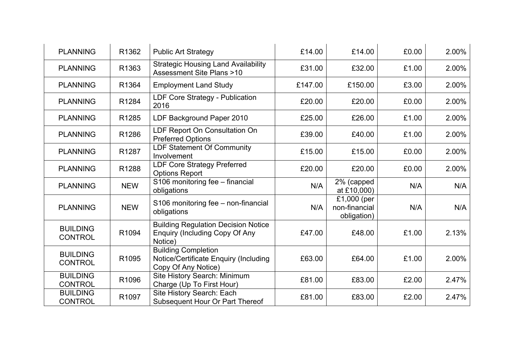| <b>PLANNING</b>                   | R1362      | <b>Public Art Strategy</b>                                                                     | £14.00  | £14.00                                      | £0.00 | 2.00% |
|-----------------------------------|------------|------------------------------------------------------------------------------------------------|---------|---------------------------------------------|-------|-------|
| <b>PLANNING</b>                   | R1363      | <b>Strategic Housing Land Availability</b><br><b>Assessment Site Plans &gt;10</b>              | £31.00  | £32.00                                      | £1.00 | 2.00% |
| <b>PLANNING</b>                   | R1364      | <b>Employment Land Study</b>                                                                   | £147.00 | £150.00                                     | £3.00 | 2.00% |
| <b>PLANNING</b>                   | R1284      | LDF Core Strategy - Publication<br>2016                                                        | £20.00  | £20.00                                      | £0.00 | 2.00% |
| <b>PLANNING</b>                   | R1285      | LDF Background Paper 2010                                                                      | £25.00  | £26.00                                      | £1.00 | 2.00% |
| <b>PLANNING</b>                   | R1286      | LDF Report On Consultation On<br><b>Preferred Options</b>                                      | £39.00  | £40.00                                      | £1.00 | 2.00% |
| <b>PLANNING</b>                   | R1287      | LDF Statement Of Community<br>Involvement                                                      | £15.00  | £15.00                                      | £0.00 | 2.00% |
| <b>PLANNING</b>                   | R1288      | <b>LDF Core Strategy Preferred</b><br><b>Options Report</b>                                    | £20.00  | £20.00                                      | £0.00 | 2.00% |
| <b>PLANNING</b>                   | <b>NEW</b> | S106 monitoring fee - financial<br>obligations                                                 | N/A     | 2% (capped<br>at £10,000)                   | N/A   | N/A   |
| <b>PLANNING</b>                   | <b>NEW</b> | S106 monitoring fee - non-financial<br>obligations                                             | N/A     | £1,000 (per<br>non-financial<br>obligation) | N/A   | N/A   |
| <b>BUILDING</b><br><b>CONTROL</b> | R1094      | <b>Building Regulation Decision Notice</b><br><b>Enquiry (Including Copy Of Any</b><br>Notice) | £47.00  | £48.00                                      | £1.00 | 2.13% |
| <b>BUILDING</b><br><b>CONTROL</b> | R1095      | <b>Building Completion</b><br>Notice/Certificate Enquiry (Including<br>Copy Of Any Notice)     | £63.00  | £64.00                                      | £1.00 | 2.00% |
| <b>BUILDING</b><br><b>CONTROL</b> | R1096      | Site History Search: Minimum<br>Charge (Up To First Hour)                                      | £81.00  | £83.00                                      | £2.00 | 2.47% |
| <b>BUILDING</b><br><b>CONTROL</b> | R1097      | Site History Search: Each<br>Subsequent Hour Or Part Thereof                                   | £81.00  | £83.00                                      | £2.00 | 2.47% |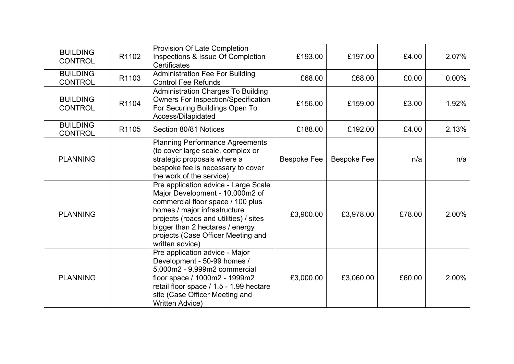| <b>BUILDING</b><br><b>CONTROL</b> | R1102 | Provision Of Late Completion<br>Inspections & Issue Of Completion<br>Certificates                                                                                                                                                                                                  | £193.00            | £197.00            | £4.00  | 2.07%    |
|-----------------------------------|-------|------------------------------------------------------------------------------------------------------------------------------------------------------------------------------------------------------------------------------------------------------------------------------------|--------------------|--------------------|--------|----------|
| <b>BUILDING</b><br><b>CONTROL</b> | R1103 | <b>Administration Fee For Building</b><br><b>Control Fee Refunds</b>                                                                                                                                                                                                               | £68.00             | £68.00             | £0.00  | $0.00\%$ |
| <b>BUILDING</b><br><b>CONTROL</b> | R1104 | Administration Charges To Building<br><b>Owners For Inspection/Specification</b><br>For Securing Buildings Open To<br>Access/Dilapidated                                                                                                                                           | £156.00            | £159.00            | £3.00  | 1.92%    |
| <b>BUILDING</b><br><b>CONTROL</b> | R1105 | Section 80/81 Notices                                                                                                                                                                                                                                                              | £188.00            | £192.00            | £4.00  | 2.13%    |
| <b>PLANNING</b>                   |       | <b>Planning Performance Agreements</b><br>(to cover large scale, complex or<br>strategic proposals where a<br>bespoke fee is necessary to cover<br>the work of the service)                                                                                                        | <b>Bespoke Fee</b> | <b>Bespoke Fee</b> | n/a    | n/a      |
| <b>PLANNING</b>                   |       | Pre application advice - Large Scale<br>Major Development - 10,000m2 of<br>commercial floor space / 100 plus<br>homes / major infrastructure<br>projects (roads and utilities) / sites<br>bigger than 2 hectares / energy<br>projects (Case Officer Meeting and<br>written advice) | £3,900.00          | £3,978.00          | £78.00 | 2.00%    |
| <b>PLANNING</b>                   |       | Pre application advice - Major<br>Development - 50-99 homes /<br>5,000m2 - 9,999m2 commercial<br>floor space / 1000m2 - 1999m2<br>retail floor space / 1.5 - 1.99 hectare<br>site (Case Officer Meeting and<br><b>Written Advice)</b>                                              | £3,000.00          | £3,060.00          | £60.00 | 2.00%    |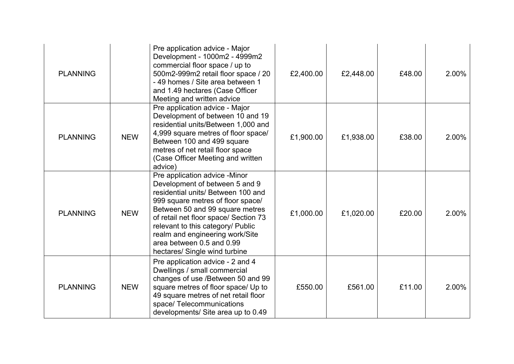| <b>PLANNING</b> |            | Pre application advice - Major<br>Development - 1000m2 - 4999m2<br>commercial floor space / up to<br>500m2-999m2 retail floor space / 20<br>-49 homes / Site area between 1<br>and 1.49 hectares (Case Officer<br>Meeting and written advice                                                                                                                 | £2,400.00 | £2,448.00 | £48.00 | 2.00% |
|-----------------|------------|--------------------------------------------------------------------------------------------------------------------------------------------------------------------------------------------------------------------------------------------------------------------------------------------------------------------------------------------------------------|-----------|-----------|--------|-------|
| <b>PLANNING</b> | <b>NEW</b> | Pre application advice - Major<br>Development of between 10 and 19<br>residential units/Between 1,000 and<br>4,999 square metres of floor space/<br>Between 100 and 499 square<br>metres of net retail floor space<br>(Case Officer Meeting and written<br>advice)                                                                                           | £1,900.00 | £1,938.00 | £38.00 | 2.00% |
| <b>PLANNING</b> | <b>NEW</b> | Pre application advice -Minor<br>Development of between 5 and 9<br>residential units/ Between 100 and<br>999 square metres of floor space/<br>Between 50 and 99 square metres<br>of retail net floor space/ Section 73<br>relevant to this category/ Public<br>realm and engineering work/Site<br>area between 0.5 and 0.99<br>hectares/ Single wind turbine | £1,000.00 | £1,020.00 | £20.00 | 2.00% |
| <b>PLANNING</b> | <b>NEW</b> | Pre application advice - 2 and 4<br>Dwellings / small commercial<br>changes of use /Between 50 and 99<br>square metres of floor space/ Up to<br>49 square metres of net retail floor<br>space/Telecommunications<br>developments/ Site area up to 0.49                                                                                                       | £550.00   | £561.00   | £11.00 | 2.00% |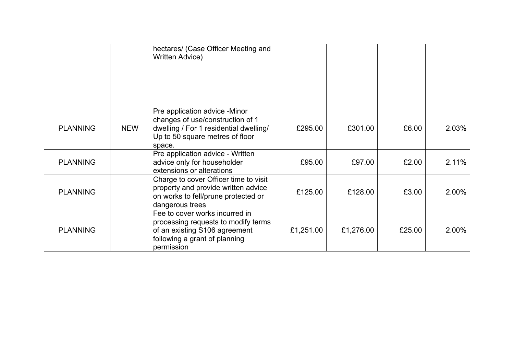|                 |            | hectares/ (Case Officer Meeting and<br>Written Advice)                                                                                                   |           |           |        |       |
|-----------------|------------|----------------------------------------------------------------------------------------------------------------------------------------------------------|-----------|-----------|--------|-------|
| <b>PLANNING</b> | <b>NEW</b> | Pre application advice -Minor<br>changes of use/construction of 1<br>dwelling / For 1 residential dwelling/<br>Up to 50 square metres of floor<br>space. | £295.00   | £301.00   | £6.00  | 2.03% |
| <b>PLANNING</b> |            | Pre application advice - Written<br>advice only for householder<br>extensions or alterations                                                             | £95.00    | £97.00    | £2.00  | 2.11% |
| <b>PLANNING</b> |            | Charge to cover Officer time to visit<br>property and provide written advice<br>on works to fell/prune protected or<br>dangerous trees                   | £125.00   | £128.00   | £3.00  | 2.00% |
| <b>PLANNING</b> |            | Fee to cover works incurred in<br>processing requests to modify terms<br>of an existing S106 agreement<br>following a grant of planning<br>permission    | £1,251.00 | £1,276.00 | £25.00 | 2.00% |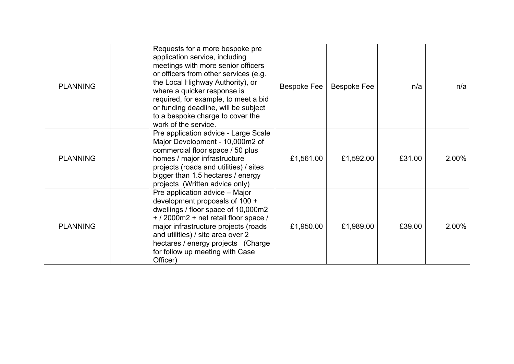| <b>PLANNING</b> | Requests for a more bespoke pre<br>application service, including<br>meetings with more senior officers<br>or officers from other services (e.g.<br>the Local Highway Authority), or<br>where a quicker response is<br>required, for example, to meet a bid<br>or funding deadline, will be subject<br>to a bespoke charge to cover the<br>work of the service. | <b>Bespoke Fee</b> | <b>Bespoke Fee</b> | n/a    | n/a   |
|-----------------|-----------------------------------------------------------------------------------------------------------------------------------------------------------------------------------------------------------------------------------------------------------------------------------------------------------------------------------------------------------------|--------------------|--------------------|--------|-------|
| <b>PLANNING</b> | Pre application advice - Large Scale<br>Major Development - 10,000m2 of<br>commercial floor space / 50 plus<br>homes / major infrastructure<br>projects (roads and utilities) / sites<br>bigger than 1.5 hectares / energy<br>projects (Written advice only)                                                                                                    | £1,561.00          | £1,592.00          | £31.00 | 2.00% |
| <b>PLANNING</b> | Pre application advice – Major<br>development proposals of 100 +<br>dwellings / floor space of 10,000m2<br>+ / 2000m2 + net retail floor space /<br>major infrastructure projects (roads<br>and utilities) / site area over 2<br>hectares / energy projects (Charge<br>for follow up meeting with Case<br>Officer)                                              | £1,950.00          | £1,989.00          | £39.00 | 2.00% |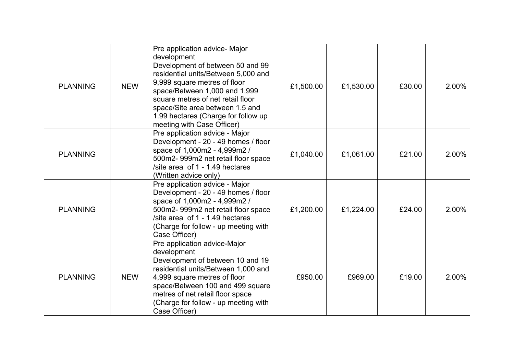| <b>PLANNING</b> | <b>NEW</b> | Pre application advice- Major<br>development<br>Development of between 50 and 99<br>residential units/Between 5,000 and<br>9,999 square metres of floor<br>space/Between 1,000 and 1,999<br>square metres of net retail floor<br>space/Site area between 1.5 and<br>1.99 hectares (Charge for follow up<br>meeting with Case Officer) | £1,500.00 | £1,530.00 | £30.00 | 2.00% |
|-----------------|------------|---------------------------------------------------------------------------------------------------------------------------------------------------------------------------------------------------------------------------------------------------------------------------------------------------------------------------------------|-----------|-----------|--------|-------|
| <b>PLANNING</b> |            | Pre application advice - Major<br>Development - 20 - 49 homes / floor<br>space of 1,000m2 - 4,999m2 /<br>500m2-999m2 net retail floor space<br>/site area of 1 - 1.49 hectares<br>(Written advice only)                                                                                                                               | £1,040.00 | £1,061.00 | £21.00 | 2.00% |
| <b>PLANNING</b> |            | Pre application advice - Major<br>Development - 20 - 49 homes / floor<br>space of 1,000m2 - 4,999m2 /<br>500m2-999m2 net retail floor space<br>/site area of 1 - 1.49 hectares<br>(Charge for follow - up meeting with<br>Case Officer)                                                                                               | £1,200.00 | £1,224.00 | £24.00 | 2.00% |
| <b>PLANNING</b> | <b>NEW</b> | Pre application advice-Major<br>development<br>Development of between 10 and 19<br>residential units/Between 1,000 and<br>4,999 square metres of floor<br>space/Between 100 and 499 square<br>metres of net retail floor space<br>(Charge for follow - up meeting with<br>Case Officer)                                               | £950.00   | £969.00   | £19.00 | 2.00% |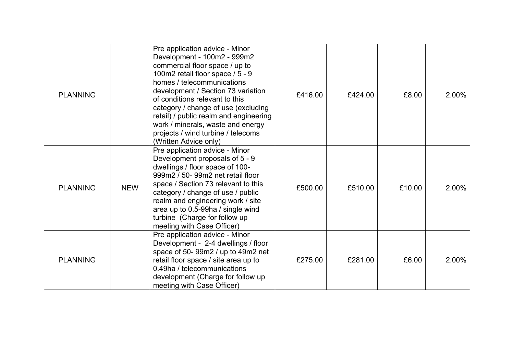| <b>PLANNING</b> |            | Pre application advice - Minor<br>Development - 100m2 - 999m2<br>commercial floor space / up to<br>100m2 retail floor space / 5 - 9<br>homes / telecommunications<br>development / Section 73 variation<br>of conditions relevant to this<br>category / change of use (excluding<br>retail) / public realm and engineering<br>work / minerals, waste and energy<br>projects / wind turbine / telecoms<br>(Written Advice only) | £416.00 | £424.00 | £8.00  | 2.00% |
|-----------------|------------|--------------------------------------------------------------------------------------------------------------------------------------------------------------------------------------------------------------------------------------------------------------------------------------------------------------------------------------------------------------------------------------------------------------------------------|---------|---------|--------|-------|
| <b>PLANNING</b> | <b>NEW</b> | Pre application advice - Minor<br>Development proposals of 5 - 9<br>dwellings / floor space of 100-<br>999m2 / 50- 99m2 net retail floor<br>space / Section 73 relevant to this<br>category / change of use / public<br>realm and engineering work / site<br>area up to 0.5-99ha / single wind<br>turbine (Charge for follow up<br>meeting with Case Officer)                                                                  | £500.00 | £510.00 | £10.00 | 2.00% |
| <b>PLANNING</b> |            | Pre application advice - Minor<br>Development - 2-4 dwellings / floor<br>space of 50-99m2 / up to 49m2 net<br>retail floor space / site area up to<br>0.49ha / telecommunications<br>development (Charge for follow up<br>meeting with Case Officer)                                                                                                                                                                           | £275.00 | £281.00 | £6.00  | 2.00% |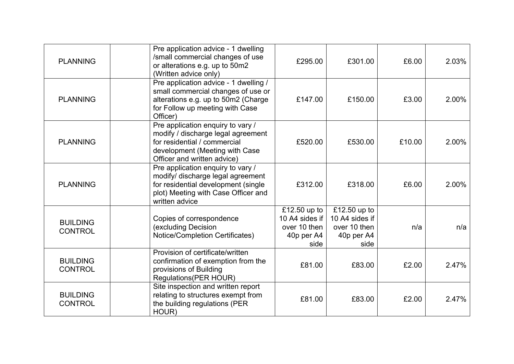| <b>PLANNING</b>                   | Pre application advice - 1 dwelling<br>/small commercial changes of use<br>or alterations e.g. up to 50m2<br>(Written advice only)                                       | £295.00                                                              | £301.00                                                              | £6.00  | 2.03% |
|-----------------------------------|--------------------------------------------------------------------------------------------------------------------------------------------------------------------------|----------------------------------------------------------------------|----------------------------------------------------------------------|--------|-------|
| <b>PLANNING</b>                   | Pre application advice - 1 dwelling /<br>small commercial changes of use or<br>alterations e.g. up to 50m2 (Charge<br>for Follow up meeting with Case<br>Officer)        | £147.00                                                              | £150.00                                                              | £3.00  | 2.00% |
| <b>PLANNING</b>                   | Pre application enquiry to vary /<br>modify / discharge legal agreement<br>for residential / commercial<br>development (Meeting with Case<br>Officer and written advice) | £520.00                                                              | £530.00                                                              | £10.00 | 2.00% |
| <b>PLANNING</b>                   | Pre application enquiry to vary /<br>modify/ discharge legal agreement<br>for residential development (single<br>plot) Meeting with Case Officer and<br>written advice   | £312.00                                                              | £318.00                                                              | £6.00  | 2.00% |
| <b>BUILDING</b><br><b>CONTROL</b> | Copies of correspondence<br>(excluding Decision<br>Notice/Completion Certificates)                                                                                       | £12.50 up to<br>10 A4 sides if<br>over 10 then<br>40p per A4<br>side | £12.50 up to<br>10 A4 sides if<br>over 10 then<br>40p per A4<br>side | n/a    | n/a   |
| <b>BUILDING</b><br><b>CONTROL</b> | Provision of certificate/written<br>confirmation of exemption from the<br>provisions of Building<br>Regulations (PER HOUR)                                               | £81.00                                                               | £83.00                                                               | £2.00  | 2.47% |
| <b>BUILDING</b><br><b>CONTROL</b> | Site inspection and written report<br>relating to structures exempt from<br>the building regulations (PER<br>HOUR)                                                       | £81.00                                                               | £83.00                                                               | £2.00  | 2.47% |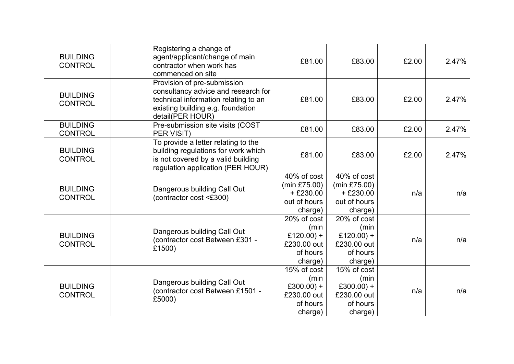| <b>BUILDING</b><br><b>CONTROL</b> | Registering a change of<br>agent/applicant/change of main<br>contractor when work has<br>commenced on site                                                          | £81.00                                                                   | £83.00                                                                   | £2.00 | 2.47% |
|-----------------------------------|---------------------------------------------------------------------------------------------------------------------------------------------------------------------|--------------------------------------------------------------------------|--------------------------------------------------------------------------|-------|-------|
| <b>BUILDING</b><br><b>CONTROL</b> | Provision of pre-submission<br>consultancy advice and research for<br>technical information relating to an<br>existing building e.g. foundation<br>detail(PER HOUR) | £81.00                                                                   | £83.00                                                                   | £2.00 | 2.47% |
| <b>BUILDING</b><br><b>CONTROL</b> | Pre-submission site visits (COST<br>PER VISIT)                                                                                                                      | £81.00                                                                   | £83.00                                                                   | £2.00 | 2.47% |
| <b>BUILDING</b><br><b>CONTROL</b> | To provide a letter relating to the<br>building regulations for work which<br>is not covered by a valid building<br>regulation application (PER HOUR)               | £81.00                                                                   | £83.00                                                                   | £2.00 | 2.47% |
| <b>BUILDING</b><br><b>CONTROL</b> | Dangerous building Call Out<br>(contractor cost <£300)                                                                                                              | 40% of cost<br>(min £75.00)<br>$+£230.00$<br>out of hours<br>charge)     | 40% of cost<br>(min £75.00)<br>$+£230.00$<br>out of hours<br>charge)     | n/a   | n/a   |
| <b>BUILDING</b><br><b>CONTROL</b> | Dangerous building Call Out<br>(contractor cost Between £301 -<br>£1500)                                                                                            | 20% of cost<br>(min<br>£120.00) +<br>£230.00 out<br>of hours<br>charge)  | 20% of cost<br>(min<br>£120.00) +<br>£230.00 out<br>of hours<br>charge)  | n/a   | n/a   |
| <b>BUILDING</b><br><b>CONTROL</b> | Dangerous building Call Out<br>(contractor cost Between £1501 -<br>£5000)                                                                                           | 15% of cost<br>(min)<br>£300.00) +<br>£230.00 out<br>of hours<br>charge) | 15% of cost<br>(min)<br>£300.00) +<br>£230.00 out<br>of hours<br>charge) | n/a   | n/a   |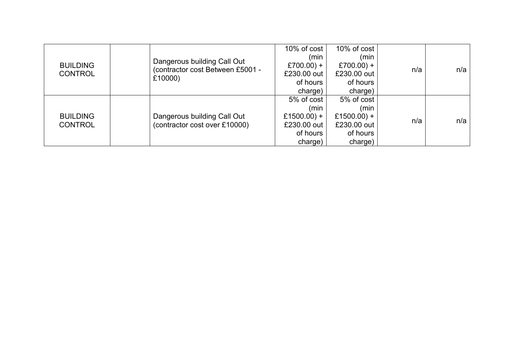| <b>BUILDING</b><br><b>CONTROL</b> | Dangerous building Call Out<br>(contractor cost Between £5001 -<br>£10000) | 10% of cost<br>(min<br>£700.00) +<br>£230.00 out<br>of hours<br>charge) | 10% of cost<br>(min<br>£700.00) +<br>£230.00 out<br>of hours<br>charge) | n/a | n/a |
|-----------------------------------|----------------------------------------------------------------------------|-------------------------------------------------------------------------|-------------------------------------------------------------------------|-----|-----|
| <b>BUILDING</b><br><b>CONTROL</b> | Dangerous building Call Out<br>(contractor cost over £10000)               | 5% of cost<br>(min<br>£1500.00) +<br>£230.00 out<br>of hours<br>charge) | 5% of cost<br>(min<br>£1500.00) +<br>£230.00 out<br>of hours<br>charge) | n/a | n/a |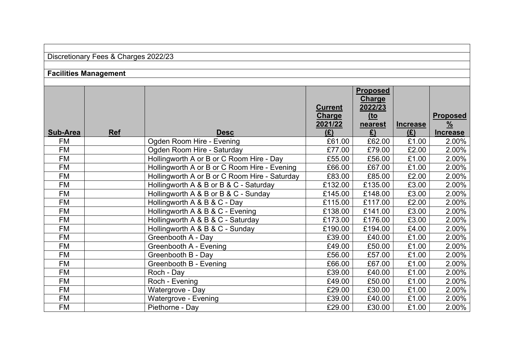| Discretionary Fees & Charges 2022/23 |  |  |  |
|--------------------------------------|--|--|--|
|--------------------------------------|--|--|--|

# **Facilities Management**

| Sub-Area  | <b>Ref</b> | <b>Desc</b>                                   | <b>Current</b><br><b>Charge</b><br>2021/22<br>(E) | <b>Proposed</b><br><b>Charge</b><br>2022/23<br><u>(to</u><br>nearest<br>E) | <b>Increase</b><br>(E) | <b>Proposed</b><br>$\frac{9}{6}$<br><b>Increase</b> |
|-----------|------------|-----------------------------------------------|---------------------------------------------------|----------------------------------------------------------------------------|------------------------|-----------------------------------------------------|
| <b>FM</b> |            | Ogden Room Hire - Evening                     | £61.00                                            | £62.00                                                                     | £1.00                  | 2.00%                                               |
| <b>FM</b> |            | Ogden Room Hire - Saturday                    | £77.00                                            | £79.00                                                                     | £2.00                  | 2.00%                                               |
| FM        |            | Hollingworth A or B or C Room Hire - Day      | £55.00                                            | £56.00                                                                     | £1.00                  | 2.00%                                               |
| FM        |            | Hollingworth A or B or C Room Hire - Evening  | £66.00                                            | £67.00                                                                     | £1.00                  | 2.00%                                               |
| FM        |            | Hollingworth A or B or C Room Hire - Saturday | £83.00                                            | £85.00                                                                     | £2.00                  | 2.00%                                               |
| <b>FM</b> |            | Hollingworth A & B or B & C - Saturday        | £132.00                                           | £135.00                                                                    | £3.00                  | 2.00%                                               |
| FM        |            | Hollingworth A & B or B & C - Sunday          | £145.00                                           | £148.00                                                                    | £3.00                  | 2.00%                                               |
| <b>FM</b> |            | Hollingworth A & B & C - Day                  | £115.00                                           | £117.00                                                                    | £2.00                  | 2.00%                                               |
| <b>FM</b> |            | Hollingworth A & B & C - Evening              | £138.00                                           | £141.00                                                                    | £3.00                  | 2.00%                                               |
| FM        |            | Hollingworth A & B & C - Saturday             | £173.00                                           | £176.00                                                                    | £3.00                  | 2.00%                                               |
| FM        |            | Hollingworth A & B & C - Sunday               | £190.00                                           | £194.00                                                                    | £4.00                  | 2.00%                                               |
| FM        |            | Greenbooth A - Day                            | £39.00                                            | £40.00                                                                     | £1.00                  | 2.00%                                               |
| <b>FM</b> |            | Greenbooth A - Evening                        | £49.00                                            | £50.00                                                                     | £1.00                  | 2.00%                                               |
| FM        |            | Greenbooth B - Day                            | £56.00                                            | £57.00                                                                     | £1.00                  | 2.00%                                               |
| <b>FM</b> |            | Greenbooth B - Evening                        | £66.00                                            | £67.00                                                                     | £1.00                  | 2.00%                                               |
| <b>FM</b> |            | Roch - Day                                    | £39.00                                            | £40.00                                                                     | £1.00                  | 2.00%                                               |
| FM        |            | Roch - Evening                                | £49.00                                            | £50.00                                                                     | £1.00                  | 2.00%                                               |
| FM        |            | Watergrove - Day                              | £29.00                                            | £30.00                                                                     | £1.00                  | 2.00%                                               |
| FM        |            | Watergrove - Evening                          | £39.00                                            | £40.00                                                                     | £1.00                  | 2.00%                                               |
| FM        |            | Piethorne - Day                               | £29.00                                            | £30.00                                                                     | £1.00                  | 2.00%                                               |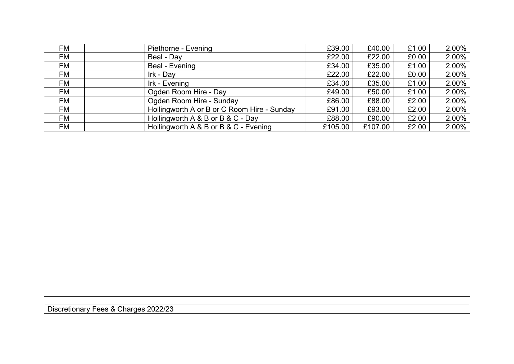| <b>FM</b> | Piethorne - Evening                         | £39.00  | £40.00  | £1.00 | 2.00% |
|-----------|---------------------------------------------|---------|---------|-------|-------|
| FM        | Beal - Day                                  | £22.00  | £22.00  | £0.00 | 2.00% |
| FM        | Beal - Evening                              | £34.00  | £35.00  | £1.00 | 2.00% |
| FM        | Irk - Day                                   | £22.00  | £22.00  | £0.00 | 2.00% |
| FM        | Irk - Evening                               | £34.00  | £35.00  | £1.00 | 2.00% |
| FM        | Ogden Room Hire - Day                       | £49.00  | £50.00  | £1.00 | 2.00% |
| FM        | Ogden Room Hire - Sunday                    | £86.00  | £88.00  | £2.00 | 2.00% |
| FM        | Hollingworth A or B or C Room Hire - Sunday | £91.00  | £93.00  | £2.00 | 2.00% |
| FM        | Hollingworth A & B or B & C - Day           | £88.00  | £90.00  | £2.00 | 2.00% |
| FM        | Hollingworth A & B or B & C - Evening       | £105.00 | £107.00 | £2.00 | 2.00% |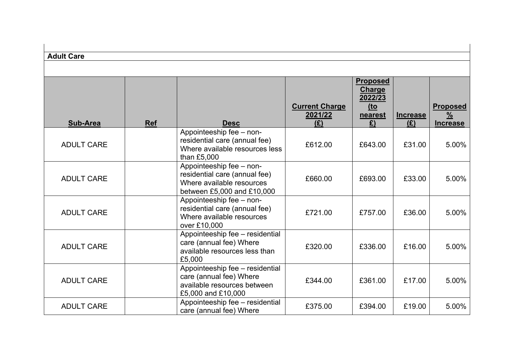| <b>Adult Care</b> |            |                                                                                                                      |                                         |                                                                      |                        |                                                     |
|-------------------|------------|----------------------------------------------------------------------------------------------------------------------|-----------------------------------------|----------------------------------------------------------------------|------------------------|-----------------------------------------------------|
| <b>Sub-Area</b>   | <b>Ref</b> | <b>Desc</b>                                                                                                          | <b>Current Charge</b><br>2021/22<br>(E) | <b>Proposed</b><br><b>Charge</b><br>2022/23<br>$to$<br>nearest<br>E) | <b>Increase</b><br>(E) | <b>Proposed</b><br>$\frac{9}{6}$<br><b>Increase</b> |
| <b>ADULT CARE</b> |            | Appointeeship fee - non-<br>residential care (annual fee)<br>Where available resources less<br>than £5,000           | £612.00                                 | £643.00                                                              | £31.00                 | 5.00%                                               |
| <b>ADULT CARE</b> |            | Appointeeship fee - non-<br>residential care (annual fee)<br>Where available resources<br>between £5,000 and £10,000 | £660.00                                 | £693.00                                                              | £33.00                 | 5.00%                                               |
| <b>ADULT CARE</b> |            | Appointeeship fee - non-<br>residential care (annual fee)<br>Where available resources<br>over £10,000               | £721.00                                 | £757.00                                                              | £36.00                 | 5.00%                                               |
| <b>ADULT CARE</b> |            | Appointeeship fee - residential<br>care (annual fee) Where<br>available resources less than<br>£5,000                | £320.00                                 | £336.00                                                              | £16.00                 | 5.00%                                               |
| <b>ADULT CARE</b> |            | Appointeeship fee - residential<br>care (annual fee) Where<br>available resources between<br>£5,000 and £10,000      | £344.00                                 | £361.00                                                              | £17.00                 | 5.00%                                               |
| <b>ADULT CARE</b> |            | Appointeeship fee - residential<br>care (annual fee) Where                                                           | £375.00                                 | £394.00                                                              | £19.00                 | 5.00%                                               |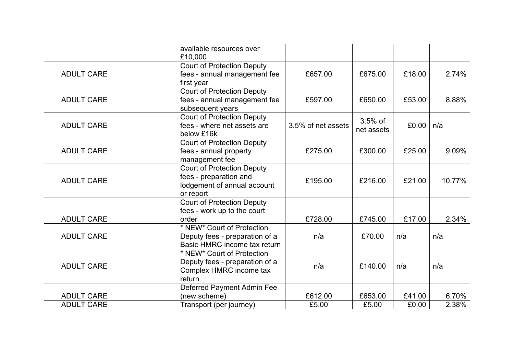|                   | available resources over<br>£10,000                                                                     |                    |                         |        |          |
|-------------------|---------------------------------------------------------------------------------------------------------|--------------------|-------------------------|--------|----------|
| <b>ADULT CARE</b> | <b>Court of Protection Deputy</b><br>fees - annual management fee<br>first year                         | £657.00            | £675.00                 | £18.00 | 2.74%    |
| <b>ADULT CARE</b> | <b>Court of Protection Deputy</b><br>fees - annual management fee<br>subsequent years                   | £597.00            | £650.00                 | £53.00 | 8.88%    |
| <b>ADULT CARE</b> | <b>Court of Protection Deputy</b><br>fees - where net assets are<br>below £16k                          | 3.5% of net assets | $3.5%$ of<br>net assets | £0.00  | n/a      |
| <b>ADULT CARE</b> | <b>Court of Protection Deputy</b><br>fees - annual property<br>management fee                           | £275.00            | £300.00                 | £25.00 | 9.09%    |
| <b>ADULT CARE</b> | <b>Court of Protection Deputy</b><br>fees - preparation and<br>lodgement of annual account<br>or report | £195.00            | £216.00                 | £21.00 | 10.77%   |
| <b>ADULT CARE</b> | Court of Protection Deputy<br>fees - work up to the court<br>order<br>* NEW* Court of Protection        | £728.00            | £745.00                 | £17.00 | 2.34%    |
| <b>ADULT CARE</b> | Deputy fees - preparation of a<br>Basic HMRC income tax return                                          | n/a                | £70.00                  | n/a    | n/a      |
| <b>ADULT CARE</b> | * NEW* Court of Protection<br>Deputy fees - preparation of a<br>Complex HMRC income tax<br>return       | n/a                | £140.00                 | n/a    | n/a      |
| <b>ADULT CARE</b> | Deferred Payment Admin Fee<br>(new scheme)                                                              | £612.00            | £653.00                 | £41.00 | $6.70\%$ |
| <b>ADULT CARE</b> | Transport (per journey)                                                                                 | £5.00              | £5.00                   | £0.00  | 2.38%    |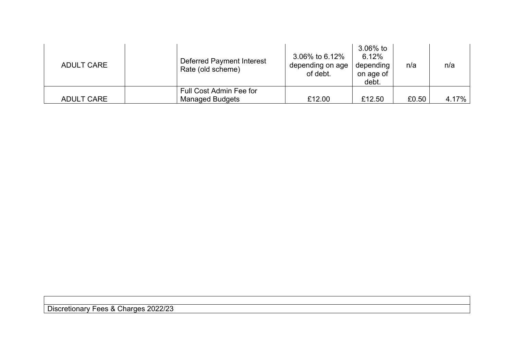| <b>ADULT CARE</b> | Deferred Payment Interest<br>Rate (old scheme) | 3.06% to 6.12%<br>depending on age<br>of debt. | $3.06\%$ to<br>6.12%<br>depending<br>on age of<br>debt. | n/a   | n/a   |
|-------------------|------------------------------------------------|------------------------------------------------|---------------------------------------------------------|-------|-------|
|                   | Full Cost Admin Fee for                        |                                                |                                                         |       |       |
| <b>ADULT CARE</b> | <b>Managed Budgets</b>                         | £12.00                                         | £12.50                                                  | £0.50 | 4.17% |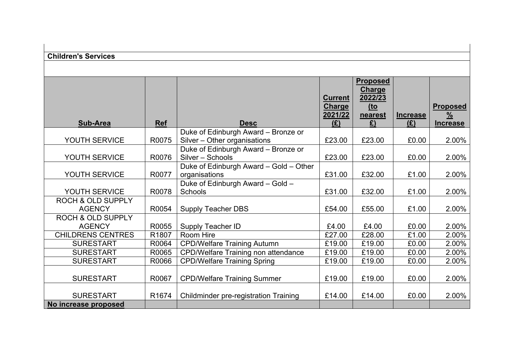| <b>Children's Services</b>   |            |                                             |                                 |                 |                 |                 |
|------------------------------|------------|---------------------------------------------|---------------------------------|-----------------|-----------------|-----------------|
|                              |            |                                             |                                 |                 |                 |                 |
|                              |            |                                             |                                 | <b>Proposed</b> |                 |                 |
|                              |            |                                             |                                 | Charge          |                 |                 |
|                              |            |                                             | <b>Current</b><br><b>Charge</b> | 2022/23<br>$to$ |                 | <b>Proposed</b> |
|                              |            |                                             | 2021/22                         | nearest         | <b>Increase</b> | $\frac{9}{6}$   |
| <b>Sub-Area</b>              | <b>Ref</b> | <b>Desc</b>                                 | (E)                             | E)              | (E)             | <b>Increase</b> |
|                              |            | Duke of Edinburgh Award - Bronze or         |                                 |                 |                 |                 |
| YOUTH SERVICE                | R0075      | Silver - Other organisations                | £23.00                          | £23.00          | £0.00           | 2.00%           |
|                              |            | Duke of Edinburgh Award - Bronze or         |                                 |                 |                 |                 |
| YOUTH SERVICE                | R0076      | Silver - Schools                            | £23.00                          | £23.00          | £0.00           | 2.00%           |
|                              |            | Duke of Edinburgh Award - Gold - Other      |                                 |                 |                 |                 |
| YOUTH SERVICE                | R0077      | organisations                               | £31.00                          | £32.00          | £1.00           | 2.00%           |
| YOUTH SERVICE                | R0078      | Duke of Edinburgh Award - Gold -<br>Schools | £31.00                          | £32.00          | £1.00           | 2.00%           |
| <b>ROCH &amp; OLD SUPPLY</b> |            |                                             |                                 |                 |                 |                 |
| <b>AGENCY</b>                | R0054      | <b>Supply Teacher DBS</b>                   | £54.00                          | £55.00          | £1.00           | 2.00%           |
| <b>ROCH &amp; OLD SUPPLY</b> |            |                                             |                                 |                 |                 |                 |
| <b>AGENCY</b>                | R0055      | <b>Supply Teacher ID</b>                    | £4.00                           | £4.00           | £0.00           | 2.00%           |
| <b>CHILDRENS CENTRES</b>     | R1807      | Room Hire                                   | £27.00                          | £28.00          | £1.00           | 2.00%           |
| <b>SURESTART</b>             | R0064      | <b>CPD/Welfare Training Autumn</b>          | £19.00                          | £19.00          | £0.00           | 2.00%           |
| <b>SURESTART</b>             | R0065      | CPD/Welfare Training non attendance         | £19.00                          | £19.00          | £0.00           | 2.00%           |
| <b>SURESTART</b>             | R0066      | <b>CPD/Welfare Training Spring</b>          | £19.00                          | £19.00          | £0.00           | 2.00%           |
|                              |            |                                             |                                 |                 |                 |                 |
| <b>SURESTART</b>             | R0067      | <b>CPD/Welfare Training Summer</b>          | £19.00                          | £19.00          | £0.00           | 2.00%           |
|                              |            |                                             |                                 |                 |                 |                 |
| <b>SURESTART</b>             | R1674      | Childminder pre-registration Training       | £14.00                          | £14.00          | £0.00           | 2.00%           |
| No increase proposed         |            |                                             |                                 |                 |                 |                 |